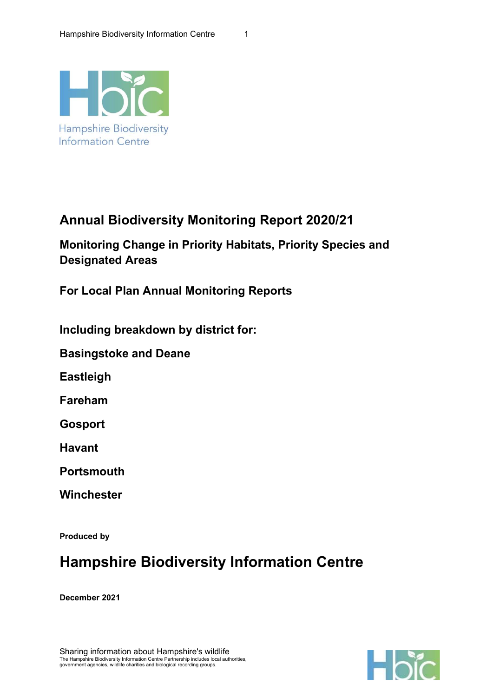

# Annual Biodiversity Monitoring Report 2020/21

Monitoring Change in Priority Habitats, Priority Species and Designated Areas

For Local Plan Annual Monitoring Reports

Including breakdown by district for:

Basingstoke and Deane

Eastleigh

Fareham

Gosport

Havant

**Portsmouth** 

**Winchester** 

Produced by

# Hampshire Biodiversity Information Centre

December 2021

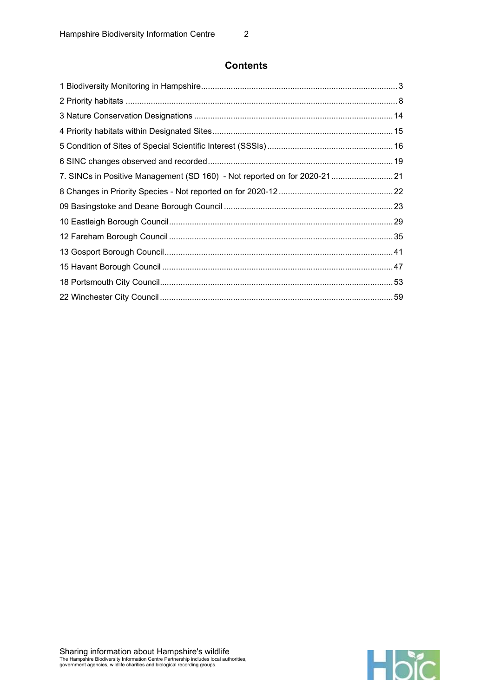## **Contents**

| 7. SINCs in Positive Management (SD 160) - Not reported on for 2020-21 21 |  |
|---------------------------------------------------------------------------|--|
|                                                                           |  |
|                                                                           |  |
|                                                                           |  |
|                                                                           |  |
|                                                                           |  |
|                                                                           |  |
|                                                                           |  |
|                                                                           |  |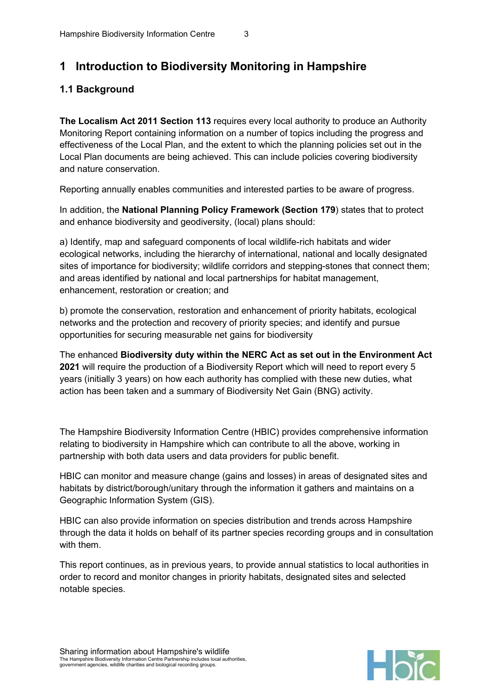# 1 Introduction to Biodiversity Monitoring in Hampshire

## 1.1 Background

The Localism Act 2011 Section 113 requires every local authority to produce an Authority Monitoring Report containing information on a number of topics including the progress and effectiveness of the Local Plan, and the extent to which the planning policies set out in the Local Plan documents are being achieved. This can include policies covering biodiversity and nature conservation.

Reporting annually enables communities and interested parties to be aware of progress.

In addition, the National Planning Policy Framework (Section 179) states that to protect and enhance biodiversity and geodiversity, (local) plans should:

a) Identify, map and safeguard components of local wildlife-rich habitats and wider ecological networks, including the hierarchy of international, national and locally designated sites of importance for biodiversity; wildlife corridors and stepping-stones that connect them; and areas identified by national and local partnerships for habitat management, enhancement, restoration or creation; and

b) promote the conservation, restoration and enhancement of priority habitats, ecological networks and the protection and recovery of priority species; and identify and pursue opportunities for securing measurable net gains for biodiversity

The enhanced Biodiversity duty within the NERC Act as set out in the Environment Act 2021 will require the production of a Biodiversity Report which will need to report every 5 years (initially 3 years) on how each authority has complied with these new duties, what action has been taken and a summary of Biodiversity Net Gain (BNG) activity.

The Hampshire Biodiversity Information Centre (HBIC) provides comprehensive information relating to biodiversity in Hampshire which can contribute to all the above, working in partnership with both data users and data providers for public benefit.

HBIC can monitor and measure change (gains and losses) in areas of designated sites and habitats by district/borough/unitary through the information it gathers and maintains on a Geographic Information System (GIS).

HBIC can also provide information on species distribution and trends across Hampshire through the data it holds on behalf of its partner species recording groups and in consultation with them.

This report continues, as in previous years, to provide annual statistics to local authorities in order to record and monitor changes in priority habitats, designated sites and selected notable species.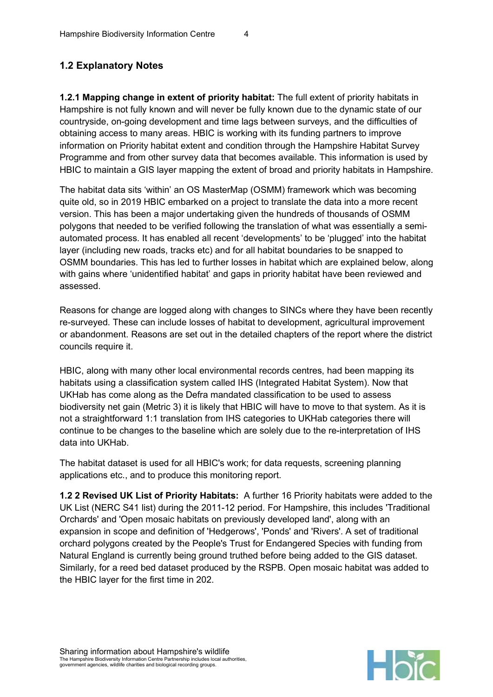# 1.2 Explanatory Notes

1.2.1 Mapping change in extent of priority habitat: The full extent of priority habitats in Hampshire is not fully known and will never be fully known due to the dynamic state of our countryside, on-going development and time lags between surveys, and the difficulties of obtaining access to many areas. HBIC is working with its funding partners to improve information on Priority habitat extent and condition through the Hampshire Habitat Survey Programme and from other survey data that becomes available. This information is used by HBIC to maintain a GIS layer mapping the extent of broad and priority habitats in Hampshire.

The habitat data sits 'within' an OS MasterMap (OSMM) framework which was becoming quite old, so in 2019 HBIC embarked on a project to translate the data into a more recent version. This has been a major undertaking given the hundreds of thousands of OSMM polygons that needed to be verified following the translation of what was essentially a semiautomated process. It has enabled all recent 'developments' to be 'plugged' into the habitat layer (including new roads, tracks etc) and for all habitat boundaries to be snapped to OSMM boundaries. This has led to further losses in habitat which are explained below, along with gains where 'unidentified habitat' and gaps in priority habitat have been reviewed and assessed.

Reasons for change are logged along with changes to SINCs where they have been recently re-surveyed. These can include losses of habitat to development, agricultural improvement or abandonment. Reasons are set out in the detailed chapters of the report where the district councils require it.

HBIC, along with many other local environmental records centres, had been mapping its habitats using a classification system called IHS (Integrated Habitat System). Now that UKHab has come along as the Defra mandated classification to be used to assess biodiversity net gain (Metric 3) it is likely that HBIC will have to move to that system. As it is not a straightforward 1:1 translation from IHS categories to UKHab categories there will continue to be changes to the baseline which are solely due to the re-interpretation of IHS data into UKHab.

The habitat dataset is used for all HBIC's work; for data requests, screening planning applications etc., and to produce this monitoring report.

1.2 2 Revised UK List of Priority Habitats: A further 16 Priority habitats were added to the UK List (NERC S41 list) during the 2011-12 period. For Hampshire, this includes 'Traditional Orchards' and 'Open mosaic habitats on previously developed land', along with an expansion in scope and definition of 'Hedgerows', 'Ponds' and 'Rivers'. A set of traditional orchard polygons created by the People's Trust for Endangered Species with funding from Natural England is currently being ground truthed before being added to the GIS dataset. Similarly, for a reed bed dataset produced by the RSPB. Open mosaic habitat was added to the HBIC layer for the first time in 202.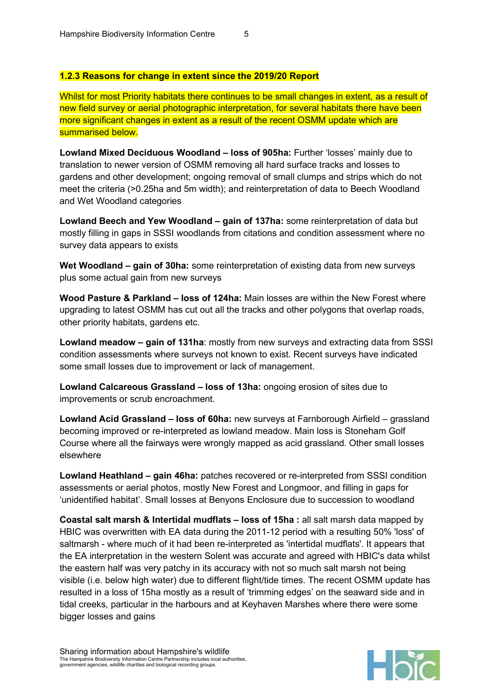### 1.2.3 Reasons for change in extent since the 2019/20 Report

Whilst for most Priority habitats there continues to be small changes in extent, as a result of new field survey or aerial photographic interpretation, for several habitats there have been more significant changes in extent as a result of the recent OSMM update which are summarised below.

Lowland Mixed Deciduous Woodland – loss of 905ha: Further 'losses' mainly due to translation to newer version of OSMM removing all hard surface tracks and losses to gardens and other development; ongoing removal of small clumps and strips which do not meet the criteria (>0.25ha and 5m width); and reinterpretation of data to Beech Woodland and Wet Woodland categories

Lowland Beech and Yew Woodland – gain of 137ha: some reinterpretation of data but mostly filling in gaps in SSSI woodlands from citations and condition assessment where no survey data appears to exists

Wet Woodland – gain of 30ha: some reinterpretation of existing data from new surveys plus some actual gain from new surveys

Wood Pasture & Parkland – loss of 124ha: Main losses are within the New Forest where upgrading to latest OSMM has cut out all the tracks and other polygons that overlap roads, other priority habitats, gardens etc.

Lowland meadow – gain of 131ha: mostly from new surveys and extracting data from SSSI condition assessments where surveys not known to exist. Recent surveys have indicated some small losses due to improvement or lack of management.

Lowland Calcareous Grassland – loss of 13ha: ongoing erosion of sites due to improvements or scrub encroachment.

Lowland Acid Grassland – loss of 60ha: new surveys at Farnborough Airfield – grassland becoming improved or re-interpreted as lowland meadow. Main loss is Stoneham Golf Course where all the fairways were wrongly mapped as acid grassland. Other small losses elsewhere

Lowland Heathland – gain 46ha: patches recovered or re-interpreted from SSSI condition assessments or aerial photos, mostly New Forest and Longmoor, and filling in gaps for 'unidentified habitat'. Small losses at Benyons Enclosure due to succession to woodland

Coastal salt marsh & Intertidal mudflats – loss of 15ha : all salt marsh data mapped by HBIC was overwritten with EA data during the 2011-12 period with a resulting 50% 'loss' of saltmarsh - where much of it had been re-interpreted as 'intertidal mudflats'. It appears that the EA interpretation in the western Solent was accurate and agreed with HBIC's data whilst the eastern half was very patchy in its accuracy with not so much salt marsh not being visible (i.e. below high water) due to different flight/tide times. The recent OSMM update has resulted in a loss of 15ha mostly as a result of 'trimming edges' on the seaward side and in tidal creeks, particular in the harbours and at Keyhaven Marshes where there were some bigger losses and gains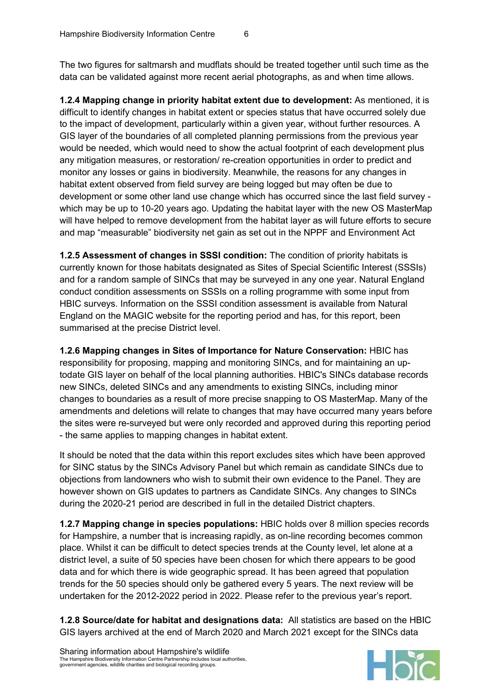The two figures for saltmarsh and mudflats should be treated together until such time as the data can be validated against more recent aerial photographs, as and when time allows.

1.2.4 Mapping change in priority habitat extent due to development: As mentioned, it is difficult to identify changes in habitat extent or species status that have occurred solely due to the impact of development, particularly within a given year, without further resources. A GIS layer of the boundaries of all completed planning permissions from the previous year would be needed, which would need to show the actual footprint of each development plus any mitigation measures, or restoration/ re-creation opportunities in order to predict and monitor any losses or gains in biodiversity. Meanwhile, the reasons for any changes in habitat extent observed from field survey are being logged but may often be due to development or some other land use change which has occurred since the last field survey which may be up to 10-20 years ago. Updating the habitat layer with the new OS MasterMap will have helped to remove development from the habitat layer as will future efforts to secure and map "measurable" biodiversity net gain as set out in the NPPF and Environment Act

1.2.5 Assessment of changes in SSSI condition: The condition of priority habitats is currently known for those habitats designated as Sites of Special Scientific Interest (SSSIs) and for a random sample of SINCs that may be surveyed in any one year. Natural England conduct condition assessments on SSSIs on a rolling programme with some input from HBIC surveys. Information on the SSSI condition assessment is available from Natural England on the MAGIC website for the reporting period and has, for this report, been summarised at the precise District level.

1.2.6 Mapping changes in Sites of Importance for Nature Conservation: HBIC has responsibility for proposing, mapping and monitoring SINCs, and for maintaining an uptodate GIS layer on behalf of the local planning authorities. HBIC's SINCs database records new SINCs, deleted SINCs and any amendments to existing SINCs, including minor changes to boundaries as a result of more precise snapping to OS MasterMap. Many of the amendments and deletions will relate to changes that may have occurred many years before the sites were re-surveyed but were only recorded and approved during this reporting period - the same applies to mapping changes in habitat extent.

It should be noted that the data within this report excludes sites which have been approved for SINC status by the SINCs Advisory Panel but which remain as candidate SINCs due to objections from landowners who wish to submit their own evidence to the Panel. They are however shown on GIS updates to partners as Candidate SINCs. Any changes to SINCs during the 2020-21 period are described in full in the detailed District chapters.

1.2.7 Mapping change in species populations: HBIC holds over 8 million species records for Hampshire, a number that is increasing rapidly, as on-line recording becomes common place. Whilst it can be difficult to detect species trends at the County level, let alone at a district level, a suite of 50 species have been chosen for which there appears to be good data and for which there is wide geographic spread. It has been agreed that population trends for the 50 species should only be gathered every 5 years. The next review will be undertaken for the 2012-2022 period in 2022. Please refer to the previous year's report.

1.2.8 Source/date for habitat and designations data: All statistics are based on the HBIC GIS layers archived at the end of March 2020 and March 2021 except for the SINCs data

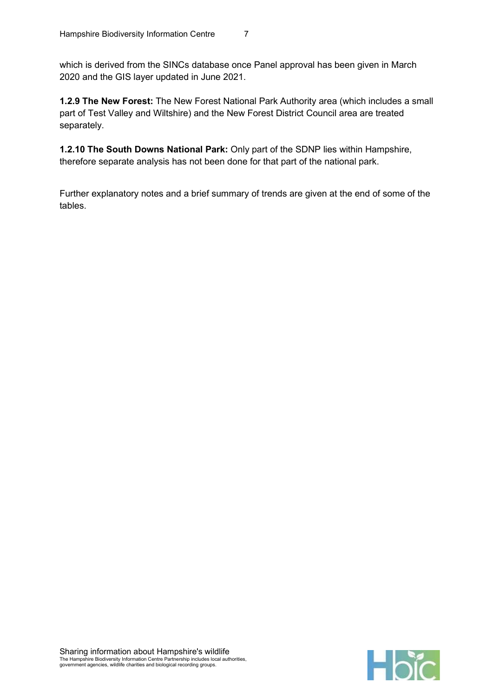which is derived from the SINCs database once Panel approval has been given in March 2020 and the GIS layer updated in June 2021.

1.2.9 The New Forest: The New Forest National Park Authority area (which includes a small part of Test Valley and Wiltshire) and the New Forest District Council area are treated separately.

1.2.10 The South Downs National Park: Only part of the SDNP lies within Hampshire, therefore separate analysis has not been done for that part of the national park.

Further explanatory notes and a brief summary of trends are given at the end of some of the tables.

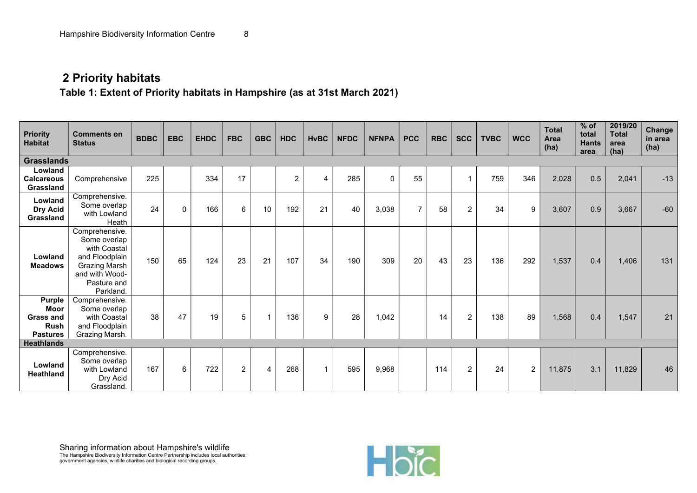# 2 Priority habitats

Table 1: Extent of Priority habitats in Hampshire (as at 31st March 2021)

| <b>Priority</b><br><b>Habitat</b>                                                  | <b>Comments on</b><br><b>Status</b>                                                                                             | <b>BDBC</b> | <b>EBC</b>   | <b>EHDC</b> | <b>FBC</b>     | <b>GBC</b>     | <b>HDC</b>     | <b>HvBC</b>    | <b>NFDC</b> | <b>NFNPA</b> | <b>PCC</b>     | <b>RBC</b> | <b>SCC</b>     | <b>TVBC</b> | <b>WCC</b>     | <b>Total</b><br>Area<br>(ha) | $%$ of<br>total<br><b>Hants</b><br>area | 2019/20<br><b>Total</b><br>area<br>(ha) | <b>Change</b><br>in area<br>(ha) |
|------------------------------------------------------------------------------------|---------------------------------------------------------------------------------------------------------------------------------|-------------|--------------|-------------|----------------|----------------|----------------|----------------|-------------|--------------|----------------|------------|----------------|-------------|----------------|------------------------------|-----------------------------------------|-----------------------------------------|----------------------------------|
| <b>Grasslands</b>                                                                  |                                                                                                                                 |             |              |             |                |                |                |                |             |              |                |            |                |             |                |                              |                                         |                                         |                                  |
| Lowland<br><b>Calcareous</b><br>Grassland                                          | Comprehensive                                                                                                                   | 225         |              | 334         | 17             |                | $\overline{2}$ | $\overline{4}$ | 285         | $\mathbf 0$  | 55             |            | 1              | 759         | 346            | 2,028                        | 0.5                                     | 2,041                                   | $-13$                            |
| Lowland<br>Dry Acid<br>Grassland                                                   | Comprehensive.<br>Some overlap<br>with Lowland<br>Heath                                                                         | 24          | $\mathbf{0}$ | 166         | 6              | 10             | 192            | 21             | 40          | 3,038        | $\overline{7}$ | 58         | $\overline{2}$ | 34          | 9              | 3,607                        | 0.9                                     | 3,667                                   | $-60$                            |
| Lowland<br><b>Meadows</b>                                                          | Comprehensive.<br>Some overlap<br>with Coastal<br>and Floodplain<br>Grazing Marsh<br>and with Wood-<br>Pasture and<br>Parkland. | 150         | 65           | 124         | 23             | 21             | 107            | 34             | 190         | 309          | 20             | 43         | 23             | 136         | 292            | 1,537                        | 0.4                                     | 1,406                                   | 131                              |
| <b>Purple</b><br><b>Moor</b><br><b>Grass and</b><br><b>Rush</b><br><b>Pastures</b> | Comprehensive.<br>Some overlap<br>with Coastal<br>and Floodplain<br>Grazing Marsh.                                              | 38          | 47           | 19          | 5              | $\mathbf{1}$   | 136            | 9              | 28          | 1,042        |                | 14         | $\overline{2}$ | 138         | 89             | 1,568                        | 0.4                                     | 1,547                                   | 21                               |
| <b>Heathlands</b>                                                                  |                                                                                                                                 |             |              |             |                |                |                |                |             |              |                |            |                |             |                |                              |                                         |                                         |                                  |
| Lowland<br><b>Heathland</b>                                                        | Comprehensive.<br>Some overlap<br>with Lowland<br>Dry Acid<br>Grassland.                                                        | 167         | 6            | 722         | $\overline{2}$ | $\overline{4}$ | 268            | $\mathbf{1}$   | 595         | 9,968        |                | 114        | $\overline{2}$ | 24          | $\overline{2}$ | 11,875                       | 3.1                                     | 11,829                                  | 46                               |

Sharing information about Hampshire's wildlife The Hampshire Biodiversity Information Centre Partnership includes local authorities, government agencies, wildlife charities and biological recording groups.

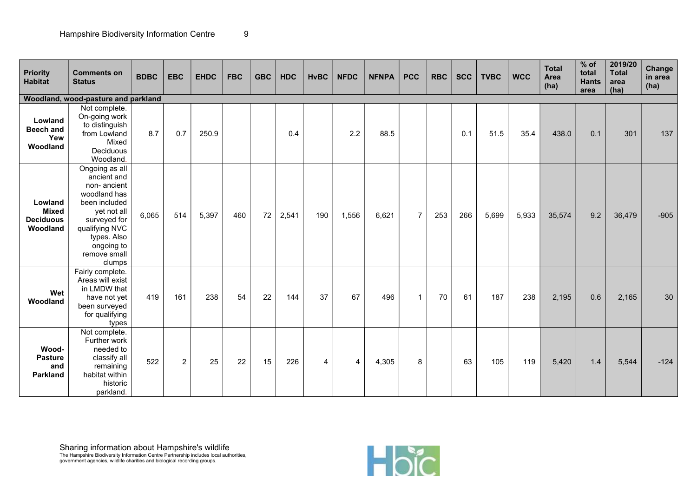| <b>Priority</b><br><b>Habitat</b>                       | <b>Comments on</b><br><b>Status</b>                                                                                                                                                   | <b>BDBC</b> | <b>EBC</b>     | <b>EHDC</b> | <b>FBC</b> | <b>GBC</b> | <b>HDC</b> | <b>HvBC</b> | <b>NFDC</b>    | <b>NFNPA</b> | <b>PCC</b>     | <b>RBC</b> | <b>SCC</b> | <b>TVBC</b> | <b>WCC</b> | <b>Total</b><br>Area<br>(ha) | $%$ of<br>total<br><b>Hants</b><br>area | 2019/20<br><b>Total</b><br>area<br>(ha) | <b>Change</b><br>in area<br>(ha) |
|---------------------------------------------------------|---------------------------------------------------------------------------------------------------------------------------------------------------------------------------------------|-------------|----------------|-------------|------------|------------|------------|-------------|----------------|--------------|----------------|------------|------------|-------------|------------|------------------------------|-----------------------------------------|-----------------------------------------|----------------------------------|
|                                                         | Woodland, wood-pasture and parkland                                                                                                                                                   |             |                |             |            |            |            |             |                |              |                |            |            |             |            |                              |                                         |                                         |                                  |
| Lowland<br><b>Beech and</b><br>Yew<br>Woodland          | Not complete.<br>On-going work<br>to distinguish<br>from Lowland<br>Mixed<br>Deciduous<br>Woodland.                                                                                   | 8.7         | 0.7            | 250.9       |            |            | 0.4        |             | 2.2            | 88.5         |                |            | 0.1        | 51.5        | 35.4       | 438.0                        | 0.1                                     | 301                                     | 137                              |
| Lowland<br><b>Mixed</b><br><b>Deciduous</b><br>Woodland | Ongoing as all<br>ancient and<br>non-ancient<br>woodland has<br>been included<br>yet not all<br>surveyed for<br>qualifying NVC<br>types. Also<br>ongoing to<br>remove small<br>clumps | 6,065       | 514            | 5,397       | 460        | 72         | 2,541      | 190         | 1,556          | 6,621        | $\overline{7}$ | 253        | 266        | 5,699       | 5,933      | 35,574                       | 9.2                                     | 36,479                                  | $-905$                           |
| Wet<br>Woodland                                         | Fairly complete.<br>Areas will exist<br>in LMDW that<br>have not yet<br>been surveyed<br>for qualifying<br>types                                                                      | 419         | 161            | 238         | 54         | 22         | 144        | 37          | 67             | 496          | $\mathbf{1}$   | 70         | 61         | 187         | 238        | 2,195                        | 0.6                                     | 2,165                                   | 30                               |
| Wood-<br><b>Pasture</b><br>and<br><b>Parkland</b>       | Not complete.<br>Further work<br>needed to<br>classify all<br>remaining<br>habitat within<br>historic<br>parkland.                                                                    | 522         | $\overline{2}$ | 25          | 22         | 15         | 226        | 4           | $\overline{4}$ | 4,305        | 8              |            | 63         | 105         | 119        | 5,420                        | $1.4$                                   | 5,544                                   | $-124$                           |

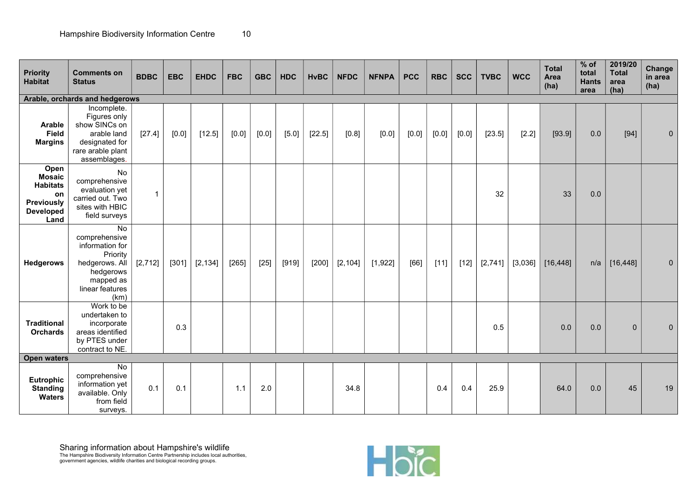| Priority<br><b>Habitat</b>                                                                      | <b>Comments on</b><br><b>Status</b>                                                                                       | <b>BDBC</b>  | <b>EBC</b> | <b>EHDC</b> | <b>FBC</b> | <b>GBC</b> | <b>HDC</b> | <b>HvBC</b> | <b>NFDC</b> | <b>NFNPA</b> | <b>PCC</b> | <b>RBC</b> | <b>SCC</b> | <b>TVBC</b> | <b>WCC</b> | <b>Total</b><br>Area<br>(ha) | $%$ of<br>total<br><b>Hants</b><br>area | 2019/20<br><b>Total</b><br>area<br>(ha) | Change<br>in area<br>(ha) |
|-------------------------------------------------------------------------------------------------|---------------------------------------------------------------------------------------------------------------------------|--------------|------------|-------------|------------|------------|------------|-------------|-------------|--------------|------------|------------|------------|-------------|------------|------------------------------|-----------------------------------------|-----------------------------------------|---------------------------|
|                                                                                                 | Arable, orchards and hedgerows                                                                                            |              |            |             |            |            |            |             |             |              |            |            |            |             |            |                              |                                         |                                         |                           |
| Arable<br><b>Field</b><br><b>Margins</b>                                                        | Incomplete.<br>Figures only<br>show SINCs on<br>arable land<br>designated for<br>rare arable plant<br>assemblages.        | [27.4]       | $[0.0]$    | [12.5]      | $[0.0]$    | $[0.0]$    | $[5.0]$    | [22.5]      | [0.8]       | [0.0]        | [0.0]      | [0.0]      | $[0.0]$    | [23.5]      | [2.2]      | [93.9]                       | 0.0                                     | $[94]$                                  | $\Omega$                  |
| Open<br><b>Mosaic</b><br><b>Habitats</b><br>on<br><b>Previously</b><br><b>Developed</b><br>Land | No<br>comprehensive<br>evaluation yet<br>carried out. Two<br>sites with HBIC<br>field surveys                             | $\mathbf{1}$ |            |             |            |            |            |             |             |              |            |            |            | 32          |            | 33                           | 0.0                                     |                                         |                           |
| <b>Hedgerows</b>                                                                                | No<br>comprehensive<br>information for<br>Priority<br>hedgerows. All<br>hedgerows<br>mapped as<br>linear features<br>(km) | [2, 712]     | $[301]$    | [2, 134]    | [265]      | $[25]$     | [919]      | $[200]$     | [2, 104]    | [1,922]      | [66]       | $[11]$     | $[12]$     | [2,741]     | [3,036]    | [16, 448]                    | n/a                                     | [16, 448]                               | $\mathbf{0}$              |
| <b>Traditional</b><br><b>Orchards</b>                                                           | Work to be<br>undertaken to<br>incorporate<br>areas identified<br>by PTES under<br>contract to NE.                        |              | 0.3        |             |            |            |            |             |             |              |            |            |            | 0.5         |            | 0.0                          | 0.0                                     | 0                                       | $\Omega$                  |
| <b>Open waters</b>                                                                              |                                                                                                                           |              |            |             |            |            |            |             |             |              |            |            |            |             |            |                              |                                         |                                         |                           |
| Eutrophic<br><b>Standing</b><br><b>Waters</b>                                                   | No<br>comprehensive<br>information yet<br>available. Only<br>from field<br>surveys.                                       | 0.1          | 0.1        |             | 1.1        | 2.0        |            |             | 34.8        |              |            | 0.4        | 0.4        | 25.9        |            | 64.0                         | 0.0                                     | 45                                      | 19                        |

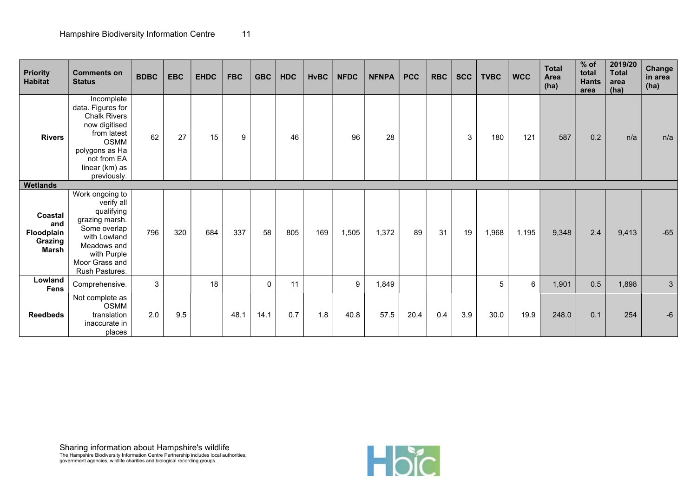| <b>Priority</b><br><b>Habitat</b>                       | <b>Comments on</b><br><b>Status</b>                                                                                                                                     | <b>BDBC</b> | <b>EBC</b> | <b>EHDC</b> | <b>FBC</b> | <b>GBC</b>  | <b>HDC</b> | <b>HvBC</b> | <b>NFDC</b> | <b>NFNPA</b> | <b>PCC</b> | <b>RBC</b> | <b>SCC</b> | <b>TVBC</b>     | <b>WCC</b> | <b>Total</b><br>Area<br>(ha) | $%$ of<br>total<br><b>Hants</b><br>area | 2019/20<br><b>Total</b><br>area<br>(ha) | <b>Change</b><br>in area<br>(ha) |
|---------------------------------------------------------|-------------------------------------------------------------------------------------------------------------------------------------------------------------------------|-------------|------------|-------------|------------|-------------|------------|-------------|-------------|--------------|------------|------------|------------|-----------------|------------|------------------------------|-----------------------------------------|-----------------------------------------|----------------------------------|
| <b>Rivers</b>                                           | Incomplete<br>data. Figures for<br><b>Chalk Rivers</b><br>now digitised<br>from latest<br><b>OSMM</b><br>polygons as Ha<br>not from EA<br>linear (km) as<br>previously. | 62          | 27         | 15          | 9          |             | 46         |             | 96          | 28           |            |            | 3          | 180             | 121        | 587                          | 0.2                                     | n/a                                     | n/a                              |
| <b>Wetlands</b>                                         |                                                                                                                                                                         |             |            |             |            |             |            |             |             |              |            |            |            |                 |            |                              |                                         |                                         |                                  |
| Coastal<br>and<br>Floodplain<br>Grazing<br><b>Marsh</b> | Work ongoing to<br>verify all<br>qualifying<br>grazing marsh.<br>Some overlap<br>with Lowland<br>Meadows and<br>with Purple<br>Moor Grass and<br>Rush Pastures.         | 796         | 320        | 684         | 337        | 58          | 805        | 169         | 1,505       | 1,372        | 89         | 31         | 19         | 1,968           | 1,195      | 9,348                        | 2.4                                     | 9,413                                   | $-65$                            |
| Lowland<br><b>Fens</b>                                  | Comprehensive.                                                                                                                                                          | 3           |            | 18          |            | $\mathbf 0$ | 11         |             | 9           | 1,849        |            |            |            | $5\overline{)}$ | 6          | 1,901                        | 0.5                                     | 1,898                                   | 3                                |
| <b>Reedbeds</b>                                         | Not complete as<br><b>OSMM</b><br>translation<br>inaccurate in<br>places                                                                                                | 2.0         | 9.5        |             | 48.1       | 14.1        | 0.7        | 1.8         | 40.8        | 57.5         | 20.4       | 0.4        | 3.9        | 30.0            | 19.9       | 248.0                        | 0.1                                     | 254                                     | $-6$                             |

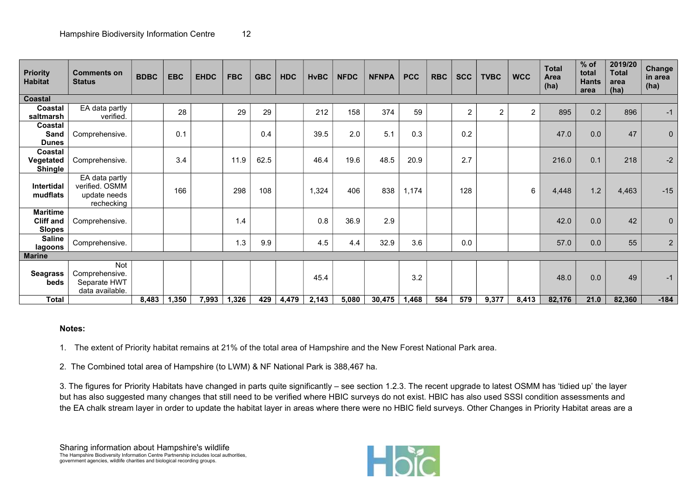| <b>Priority</b><br><b>Habitat</b>                    | <b>Comments on</b><br><b>Status</b>                            | <b>BDBC</b> | <b>EBC</b> | <b>EHDC</b> | <b>FBC</b> | <b>GBC</b> | <b>HDC</b> | <b>HvBC</b> | <b>NFDC</b> | <b>NFNPA</b> | <b>PCC</b> | <b>RBC</b> | <b>SCC</b>     | <b>TVBC</b>    | <b>WCC</b>     | <b>Total</b><br>Area<br>(ha) | $%$ of<br>total<br><b>Hants</b><br>area | 2019/20<br><b>Total</b><br>area<br>(ha) | <b>Change</b><br>in area<br>(ha) |
|------------------------------------------------------|----------------------------------------------------------------|-------------|------------|-------------|------------|------------|------------|-------------|-------------|--------------|------------|------------|----------------|----------------|----------------|------------------------------|-----------------------------------------|-----------------------------------------|----------------------------------|
| Coastal                                              |                                                                |             |            |             |            |            |            |             |             |              |            |            |                |                |                |                              |                                         |                                         |                                  |
| Coastal<br>saltmarsh                                 | EA data partly<br>verified.                                    |             | 28         |             | 29         | 29         |            | 212         | 158         | 374          | 59         |            | $\overline{c}$ | $\overline{2}$ | $\overline{2}$ | 895                          | 0.2                                     | 896                                     | $-1$                             |
| Coastal<br>Sand<br><b>Dunes</b>                      | Comprehensive.                                                 |             | 0.1        |             |            | 0.4        |            | 39.5        | 2.0         | 5.1          | 0.3        |            | 0.2            |                |                | 47.0                         | 0.0                                     | 47                                      | $\pmb{0}$                        |
| Coastal<br>Vegetated<br><b>Shingle</b>               | Comprehensive.                                                 |             | 3.4        |             | 11.9       | 62.5       |            | 46.4        | 19.6        | 48.5         | 20.9       |            | 2.7            |                |                | 216.0                        | 0.1                                     | 218                                     | $-2$                             |
| Intertidal<br>mudflats                               | EA data partly<br>verified. OSMM<br>update needs<br>rechecking |             | 166        |             | 298        | 108        |            | 1,324       | 406         | 838          | 1,174      |            | 128            |                | 6              | 4,448                        | 1.2                                     | 4,463                                   | $-15$                            |
| <b>Maritime</b><br><b>Cliff and</b><br><b>Slopes</b> | Comprehensive.                                                 |             |            |             | 1.4        |            |            | 0.8         | 36.9        | 2.9          |            |            |                |                |                | 42.0                         | 0.0                                     | 42                                      | $\mathbf 0$                      |
| <b>Saline</b><br>lagoons                             | Comprehensive.                                                 |             |            |             | 1.3        | 9.9        |            | 4.5         | 4.4         | 32.9         | 3.6        |            | 0.0            |                |                | 57.0                         | 0.0                                     | 55                                      | $\overline{2}$                   |
| <b>Marine</b>                                        |                                                                |             |            |             |            |            |            |             |             |              |            |            |                |                |                |                              |                                         |                                         |                                  |
| <b>Seagrass</b><br>beds                              | Not<br>Comprehensive.<br>Separate HWT<br>data available.       |             |            |             |            |            |            | 45.4        |             |              | 3.2        |            |                |                |                | 48.0                         | 0.0                                     | 49                                      | $-1$                             |
| <b>Total</b>                                         |                                                                | 8,483       | 1,350      | 7,993       | 1,326      | 429        | 4,479      | 2,143       | 5,080       | 30,475       | 1,468      | 584        | 579            | 9,377          | 8,413          | 82,176                       | 21.0                                    | 82,360                                  | $-184$                           |

#### Notes:

1. The extent of Priority habitat remains at 21% of the total area of Hampshire and the New Forest National Park area.

2. The Combined total area of Hampshire (to LWM) & NF National Park is 388,467 ha.

3. The figures for Priority Habitats have changed in parts quite significantly – see section 1.2.3. The recent upgrade to latest OSMM has 'tidied up' the layer but has also suggested many changes that still need to be verified where HBIC surveys do not exist. HBIC has also used SSSI condition assessments and the EA chalk stream layer in order to update the habitat layer in areas where there were no HBIC field surveys. Other Changes in Priority Habitat areas are a

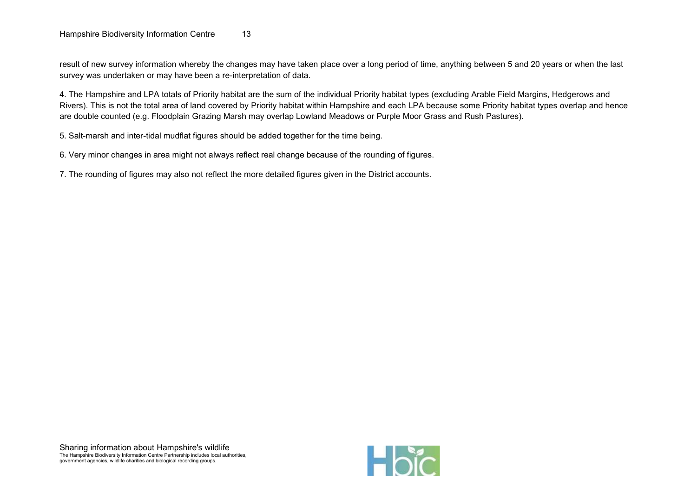result of new survey information whereby the changes may have taken place over a long period of time, anything between 5 and 20 years or when the last survey was undertaken or may have been a re-interpretation of data.

4. The Hampshire and LPA totals of Priority habitat are the sum of the individual Priority habitat types (excluding Arable Field Margins, Hedgerows and Rivers). This is not the total area of land covered by Priority habitat within Hampshire and each LPA because some Priority habitat types overlap and hence are double counted (e.g. Floodplain Grazing Marsh may overlap Lowland Meadows or Purple Moor Grass and Rush Pastures).

5. Salt-marsh and inter-tidal mudflat figures should be added together for the time being.

6. Very minor changes in area might not always reflect real change because of the rounding of figures.

7. The rounding of figures may also not reflect the more detailed figures given in the District accounts.

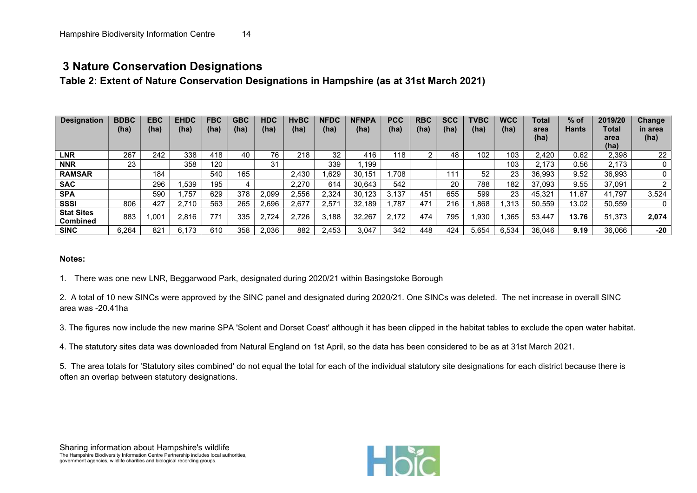## 3 Nature Conservation Designations

Table 2: Extent of Nature Conservation Designations in Hampshire (as at 31st March 2021)

| <b>Designation</b>                   | <b>BDBC</b><br>(ha) | <b>EBC</b><br>(ha) | <b>EHDC</b><br>(ha) | <b>FBC</b><br>(ha) | GBC<br>(ha) | <b>HDC</b><br>(ha) | <b>HvBC</b><br>(ha) | <b>IFDC</b><br>(ha) | <b>NFNPA</b><br>(ha) | <b>PCC</b><br>(ha) | <b>RBC</b><br>(ha) | <b>SCC</b><br>(ha) | TVBC<br>(ha) | <b>WCC</b><br>(ha) | Total<br>area<br>(ha) | % of<br><b>Hants</b> | 2019/20<br>Total<br>area<br>(ha) | Change<br>in area<br>(ha) |
|--------------------------------------|---------------------|--------------------|---------------------|--------------------|-------------|--------------------|---------------------|---------------------|----------------------|--------------------|--------------------|--------------------|--------------|--------------------|-----------------------|----------------------|----------------------------------|---------------------------|
| <b>LNR</b>                           | 267                 | 242                | 338                 | 418                | 40          | 76                 | 218                 | 32                  | 416                  | 118                |                    | 48                 | 102          | 103                | 2.420                 | 0.62                 | 2,398                            | 22                        |
| <b>NNR</b>                           | 23                  |                    | 358                 | 120                |             | 31                 |                     | 339                 | .199                 |                    |                    |                    |              | 103                | 2.173                 | 0.56                 | 2.173                            |                           |
| <b>RAMSAR</b>                        |                     | 184                |                     | 540                | 165         |                    | 2.430               | .629                | 30.151               | .708               |                    | 111                | 52           | 23                 | 36,993                | 9.52                 | 36.993                           |                           |
| <b>SAC</b>                           |                     | 296                | .539                | 195                |             |                    | 2,270               | 614                 | 30.643               | 542                |                    | 20                 | 788          | 182                | 37.093                | 9.55                 | 37,091                           |                           |
| <b>SPA</b>                           |                     | 590                | 757                 | 629                | 378         | 2.099              | 2.556               | 2,324               | 30.123               | 3.137              | 451                | 655                | 599          | 23                 | 45.321                | 1.67                 | 41.797                           | 3,524                     |
| <b>SSSI</b>                          | 806                 | 427                | 2.710               | 563                | 265         | 2.696              | 2,677               | 2.57'               | 32.189               | .787               | 47'                | 216                | .868         | .313               | 50.559                | 13.02                | 50,559                           |                           |
| <b>Stat Sites</b><br><b>Combined</b> | 883                 | .001               | 2.816               | 771                | 335         | 2,724              | 2.726               | .188                | 32.267               | 2.172              | 474                | 795                | .930         | ,365               | 53.447                | 13.76                | 51.373                           | 2,074                     |
| <b>SINC</b>                          | 6,264               | 821                | 73<br>6.1           | 610                | 358         | 2.036              | 882                 | 2.453               | 3.047                | 342                | 448                | 424                | 5.654        | 6.534              | 36.046                | 9.19                 | 36.066                           | $-20$                     |

#### Notes:

1. There was one new LNR, Beggarwood Park, designated during 2020/21 within Basingstoke Borough

2. A total of 10 new SINCs were approved by the SINC panel and designated during 2020/21. One SINCs was deleted. The net increase in overall SINC area was -20.41ha

3. The figures now include the new marine SPA 'Solent and Dorset Coast' although it has been clipped in the habitat tables to exclude the open water habitat.

4. The statutory sites data was downloaded from Natural England on 1st April, so the data has been considered to be as at 31st March 2021.

5. The area totals for 'Statutory sites combined' do not equal the total for each of the individual statutory site designations for each district because there is often an overlap between statutory designations.

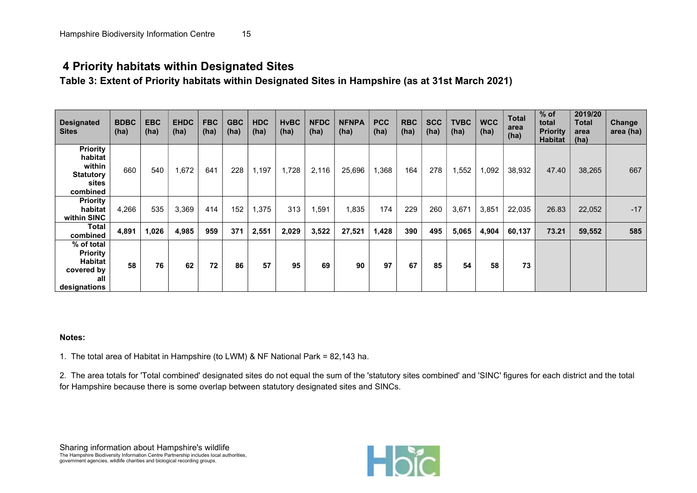## 4 Priority habitats within Designated Sites

Table 3: Extent of Priority habitats within Designated Sites in Hampshire (as at 31st March 2021)

| <b>Designated</b><br><b>Sites</b>                                                    | <b>BDBC</b><br>(ha) | <b>EBC</b><br>(ha) | <b>EHDC</b><br>(ha) | <b>FBC</b><br>(ha) | <b>GBC</b><br>(ha) | <b>HDC</b><br>(ha) | <b>HvBC</b><br>(ha) | <b>NFDC</b><br>(ha) | <b>NFNPA</b><br>(ha) | <b>PCC</b><br>(ha) | <b>RBC</b><br>(ha) | <b>SCC</b><br>(ha) | <b>TVBC</b><br>(ha) | <b>WCC</b><br>(ha) | <b>Total</b><br>area<br>(ha) | $%$ of<br>total<br><b>Priority</b><br>Habitat | 2019/20<br><b>Total</b><br>area<br>(ha) | Change<br>area (ha) |
|--------------------------------------------------------------------------------------|---------------------|--------------------|---------------------|--------------------|--------------------|--------------------|---------------------|---------------------|----------------------|--------------------|--------------------|--------------------|---------------------|--------------------|------------------------------|-----------------------------------------------|-----------------------------------------|---------------------|
| <b>Priority</b><br>habitat<br>within<br><b>Statutory</b><br>sites<br>combined        | 660                 | 540                | 1,672               | 641                | 228                | 1,197              | 1,728               | 2,116               | 25,696               | 1,368              | 164                | 278                | 1,552               | 1,092              | 38,932                       | 47.40                                         | 38,265                                  | 667                 |
| <b>Priority</b><br>habitat<br>within SINC                                            | 4,266               | 535                | 3,369               | 414                | 152                | 1,375              | 313                 | 1,591               | 1,835                | 174                | 229                | 260                | 3,671               | 3,851              | 22,035                       | 26.83                                         | 22,052                                  | $-17$               |
| Total<br>combined                                                                    | 4,891               | 1,026              | 4,985               | 959                | 371                | 2,551              | 2,029               | 3,522               | 27,521               | 1,428              | 390                | 495                | 5,065               | 4,904              | 60,137                       | 73.21                                         | 59,552                                  | 585                 |
| % of total<br><b>Priority</b><br><b>Habitat</b><br>covered by<br>all<br>designations | 58                  | 76                 | 62                  | 72                 | 86                 | 57                 | 95                  | 69                  | 90                   | 97                 | 67                 | 85                 | 54                  | 58                 | 73                           |                                               |                                         |                     |

#### Notes:

1. The total area of Habitat in Hampshire (to LWM) & NF National Park = 82,143 ha.

2. The area totals for 'Total combined' designated sites do not equal the sum of the 'statutory sites combined' and 'SINC' figures for each district and the total for Hampshire because there is some overlap between statutory designated sites and SINCs.

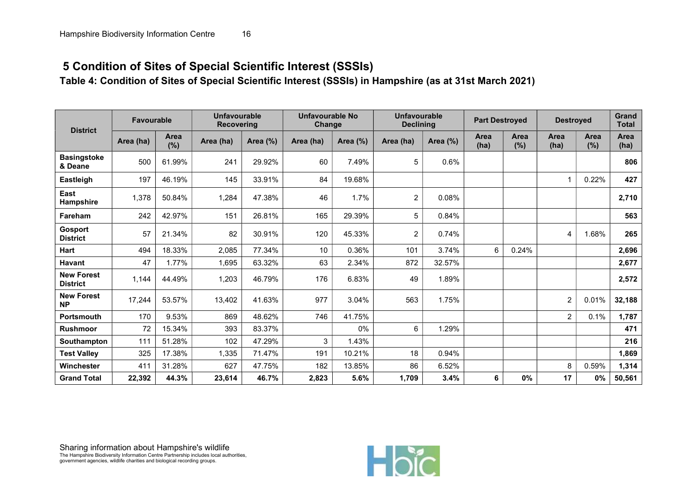# 5 Condition of Sites of Special Scientific Interest (SSSIs)

Table 4: Condition of Sites of Special Scientific Interest (SSSIs) in Hampshire (as at 31st March 2021)

| <b>District</b>                      | <b>Favourable</b> |             | <b>Unfavourable</b><br><b>Recovering</b> |          | Unfavourable No<br>Change |          | Unfavourable<br><b>Declining</b> |          | <b>Part Destroyed</b> |             | <b>Destroyed</b>        |             | <b>Grand</b><br><b>Total</b> |
|--------------------------------------|-------------------|-------------|------------------------------------------|----------|---------------------------|----------|----------------------------------|----------|-----------------------|-------------|-------------------------|-------------|------------------------------|
|                                      | Area (ha)         | Area<br>(%) | Area (ha)                                | Area (%) | Area (ha)                 | Area (%) | Area (ha)                        | Area (%) | <b>Area</b><br>(ha)   | Area<br>(%) | Area<br>(ha)            | Area<br>(%) | Area<br>(ha)                 |
| <b>Basingstoke</b><br>& Deane        | 500               | 61.99%      | 241                                      | 29.92%   | 60                        | 7.49%    | 5                                | 0.6%     |                       |             |                         |             | 806                          |
| Eastleigh                            | 197               | 46.19%      | 145                                      | 33.91%   | 84                        | 19.68%   |                                  |          |                       |             | $\overline{\mathbf{A}}$ | 0.22%       | 427                          |
| East<br><b>Hampshire</b>             | 1,378             | 50.84%      | 1,284                                    | 47.38%   | 46                        | 1.7%     | $\overline{c}$                   | 0.08%    |                       |             |                         |             | 2,710                        |
| Fareham                              | 242               | 42.97%      | 151                                      | 26.81%   | 165                       | 29.39%   | 5                                | 0.84%    |                       |             |                         |             | 563                          |
| Gosport<br><b>District</b>           | 57                | 21.34%      | 82                                       | 30.91%   | 120                       | 45.33%   | $\overline{2}$                   | 0.74%    |                       |             | 4                       | 1.68%       | 265                          |
| <b>Hart</b>                          | 494               | 18.33%      | 2,085                                    | 77.34%   | 10                        | 0.36%    | 101                              | 3.74%    | 6                     | 0.24%       |                         |             | 2,696                        |
| <b>Havant</b>                        | 47                | 1.77%       | 1,695                                    | 63.32%   | 63                        | 2.34%    | 872                              | 32.57%   |                       |             |                         |             | 2,677                        |
| <b>New Forest</b><br><b>District</b> | 1,144             | 44.49%      | 1,203                                    | 46.79%   | 176                       | 6.83%    | 49                               | 1.89%    |                       |             |                         |             | 2,572                        |
| <b>New Forest</b><br><b>NP</b>       | 17,244            | 53.57%      | 13,402                                   | 41.63%   | 977                       | 3.04%    | 563                              | 1.75%    |                       |             | $\overline{2}$          | 0.01%       | 32,188                       |
| <b>Portsmouth</b>                    | 170               | 9.53%       | 869                                      | 48.62%   | 746                       | 41.75%   |                                  |          |                       |             | $\overline{2}$          | 0.1%        | 1,787                        |
| <b>Rushmoor</b>                      | 72                | 15.34%      | 393                                      | 83.37%   |                           | $0\%$    | 6                                | 1.29%    |                       |             |                         |             | 471                          |
| Southampton                          | 111               | 51.28%      | 102                                      | 47.29%   | 3                         | 1.43%    |                                  |          |                       |             |                         |             | 216                          |
| <b>Test Valley</b>                   | 325               | 17.38%      | 1,335                                    | 71.47%   | 191                       | 10.21%   | 18                               | 0.94%    |                       |             |                         |             | 1,869                        |
| Winchester                           | 411               | 31.28%      | 627                                      | 47.75%   | 182                       | 13.85%   | 86                               | 6.52%    |                       |             | 8                       | 0.59%       | 1,314                        |
| <b>Grand Total</b>                   | 22,392            | 44.3%       | 23,614                                   | 46.7%    | 2,823                     | 5.6%     | 1,709                            | 3.4%     | 6                     | 0%          | 17                      | 0%          | 50,561                       |

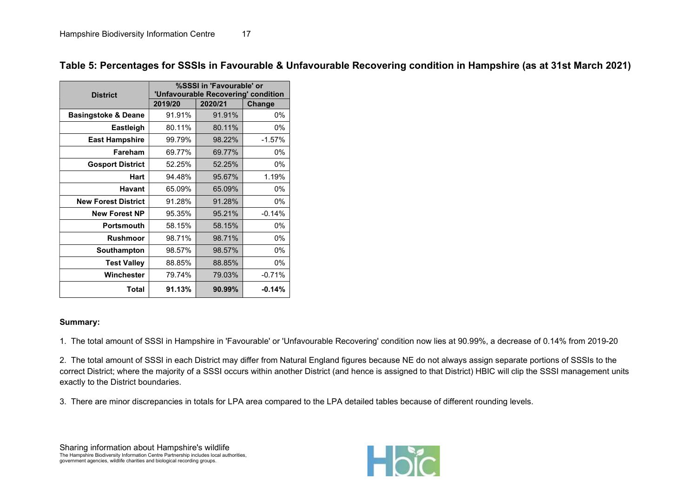| <b>District</b>                |         | %SSSI in 'Favourable' or<br>'Unfavourable Recovering' condition |          |
|--------------------------------|---------|-----------------------------------------------------------------|----------|
|                                | 2019/20 | 2020/21                                                         | Change   |
| <b>Basingstoke &amp; Deane</b> | 91.91%  | 91.91%                                                          | 0%       |
| Eastleigh                      | 80.11%  | 80.11%                                                          | 0%       |
| <b>East Hampshire</b>          | 99.79%  | 98.22%                                                          | $-1.57%$ |
| Fareham                        | 69.77%  | 69.77%                                                          | 0%       |
| <b>Gosport District</b>        | 52.25%  | 52.25%                                                          | 0%       |
| <b>Hart</b>                    | 94.48%  | 95.67%                                                          | 1.19%    |
| <b>Havant</b>                  | 65.09%  | 65.09%                                                          | 0%       |
| <b>New Forest District</b>     | 91.28%  | 91.28%                                                          | 0%       |
| <b>New Forest NP</b>           | 95.35%  | 95.21%                                                          | $-0.14%$ |
| <b>Portsmouth</b>              | 58.15%  | 58.15%                                                          | 0%       |
| <b>Rushmoor</b>                | 98.71%  | 98.71%                                                          | 0%       |
| Southampton                    | 98.57%  | 98.57%                                                          | 0%       |
| <b>Test Valley</b>             | 88.85%  | 88.85%                                                          | 0%       |
| Winchester                     | 79.74%  | 79.03%                                                          | $-0.71%$ |
| Total                          | 91.13%  | 90.99%                                                          | $-0.14%$ |

Table 5: Percentages for SSSIs in Favourable & Unfavourable Recovering condition in Hampshire (as at 31st March 2021)

#### Summary:

1. The total amount of SSSI in Hampshire in 'Favourable' or 'Unfavourable Recovering' condition now lies at 90.99%, a decrease of 0.14% from 2019-20

2. The total amount of SSSI in each District may differ from Natural England figures because NE do not always assign separate portions of SSSIs to the correct District; where the majority of a SSSI occurs within another District (and hence is assigned to that District) HBIC will clip the SSSI management units exactly to the District boundaries.

3. There are minor discrepancies in totals for LPA area compared to the LPA detailed tables because of different rounding levels.

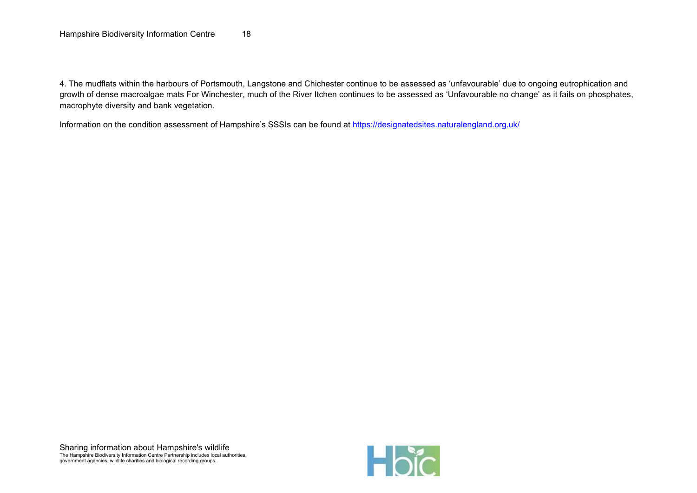4. The mudflats within the harbours of Portsmouth, Langstone and Chichester continue to be assessed as 'unfavourable' due to ongoing eutrophication and growth of dense macroalgae mats For Winchester, much of the River Itchen continues to be assessed as 'Unfavourable no change' as it fails on phosphates, macrophyte diversity and bank vegetation.

Information on the condition assessment of Hampshire's SSSIs can be found at https://designatedsites.naturalengland.org.uk/

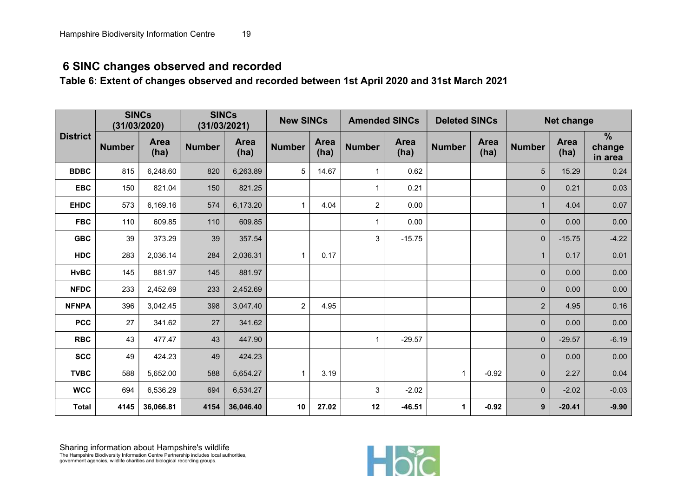# 6 SINC changes observed and recorded

Table 6: Extent of changes observed and recorded between 1st April 2020 and 31st March 2021

|                 | <b>SINCs</b><br>(31/03/2020) |                     |               | <b>SINCs</b><br>(31/03/2021) | <b>New SINCs</b> |                     | <b>Amended SINCs</b> |                     | <b>Deleted SINCs</b> |                     |                | <b>Net change</b>   |                                    |
|-----------------|------------------------------|---------------------|---------------|------------------------------|------------------|---------------------|----------------------|---------------------|----------------------|---------------------|----------------|---------------------|------------------------------------|
| <b>District</b> | <b>Number</b>                | <b>Area</b><br>(ha) | <b>Number</b> | <b>Area</b><br>(ha)          | <b>Number</b>    | <b>Area</b><br>(ha) | <b>Number</b>        | <b>Area</b><br>(ha) | <b>Number</b>        | <b>Area</b><br>(ha) | <b>Number</b>  | <b>Area</b><br>(ha) | $\frac{9}{6}$<br>change<br>in area |
| <b>BDBC</b>     | 815                          | 6,248.60            | 820           | 6,263.89                     | 5                | 14.67               | 1                    | 0.62                |                      |                     | 5              | 15.29               | 0.24                               |
| <b>EBC</b>      | 150                          | 821.04              | 150           | 821.25                       |                  |                     |                      | 0.21                |                      |                     | $\mathbf{0}$   | 0.21                | 0.03                               |
| <b>EHDC</b>     | 573                          | 6,169.16            | 574           | 6,173.20                     | $\mathbf{1}$     | 4.04                | $\overline{2}$       | 0.00                |                      |                     |                | 4.04                | 0.07                               |
| <b>FBC</b>      | 110                          | 609.85              | 110           | 609.85                       |                  |                     |                      | 0.00                |                      |                     | $\mathbf{0}$   | 0.00                | 0.00                               |
| <b>GBC</b>      | 39                           | 373.29              | 39            | 357.54                       |                  |                     | 3                    | $-15.75$            |                      |                     | $\mathbf{0}$   | $-15.75$            | $-4.22$                            |
| <b>HDC</b>      | 283                          | 2,036.14            | 284           | 2,036.31                     | $\mathbf{1}$     | 0.17                |                      |                     |                      |                     | $\mathbf{1}$   | 0.17                | 0.01                               |
| <b>HvBC</b>     | 145                          | 881.97              | 145           | 881.97                       |                  |                     |                      |                     |                      |                     | $\mathbf 0$    | 0.00                | 0.00                               |
| <b>NFDC</b>     | 233                          | 2,452.69            | 233           | 2,452.69                     |                  |                     |                      |                     |                      |                     | $\mathbf 0$    | 0.00                | 0.00                               |
| <b>NFNPA</b>    | 396                          | 3,042.45            | 398           | 3,047.40                     | $\overline{2}$   | 4.95                |                      |                     |                      |                     | $\overline{2}$ | 4.95                | 0.16                               |
| <b>PCC</b>      | 27                           | 341.62              | 27            | 341.62                       |                  |                     |                      |                     |                      |                     | $\mathbf{0}$   | 0.00                | 0.00                               |
| <b>RBC</b>      | 43                           | 477.47              | 43            | 447.90                       |                  |                     |                      | $-29.57$            |                      |                     | $\mathbf 0$    | $-29.57$            | $-6.19$                            |
| <b>SCC</b>      | 49                           | 424.23              | 49            | 424.23                       |                  |                     |                      |                     |                      |                     | $\mathbf 0$    | 0.00                | 0.00                               |
| <b>TVBC</b>     | 588                          | 5,652.00            | 588           | 5,654.27                     | $\mathbf{1}$     | 3.19                |                      |                     | $\mathbf{1}$         | $-0.92$             | $\mathbf{0}$   | 2.27                | 0.04                               |
| <b>WCC</b>      | 694                          | 6,536.29            | 694           | 6,534.27                     |                  |                     | 3                    | $-2.02$             |                      |                     | $\mathbf{0}$   | $-2.02$             | $-0.03$                            |
| <b>Total</b>    | 4145                         | 36,066.81           | 4154          | 36,046.40                    | 10               | 27.02               | 12                   | $-46.51$            | $\mathbf 1$          | $-0.92$             | 9              | $-20.41$            | $-9.90$                            |

Sharing information about Hampshire's wildlife The Hampshire Biodiversity Information Centre Partnership includes local authorities, government agencies, wildlife charities and biological recording groups.

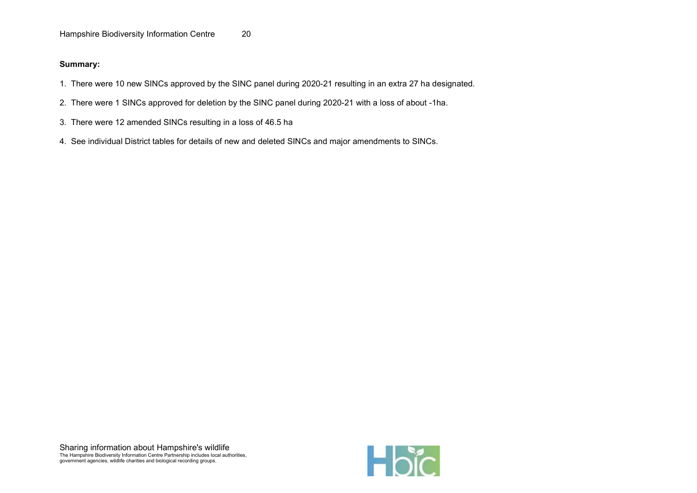- 1. There were 10 new SINCs approved by the SINC panel during 2020-21 resulting in an extra 27 ha designated.
- 2. There were 1 SINCs approved for deletion by the SINC panel during 2020-21 with a loss of about -1ha.
- 3. There were 12 amended SINCs resulting in a loss of 46.5 ha
- 4. See individual District tables for details of new and deleted SINCs and major amendments to SINCs.

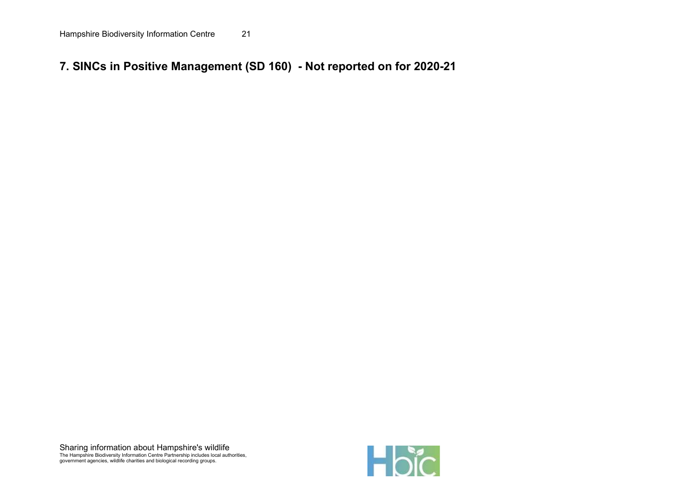# 7. SINCs in Positive Management (SD 160) - Not reported on for 2020-21

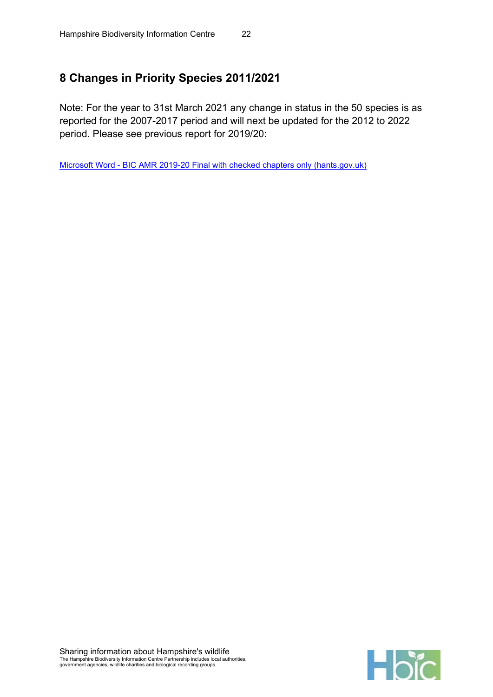# 8 Changes in Priority Species 2011/2021

Note: For the year to 31st March 2021 any change in status in the 50 species is as reported for the 2007-2017 period and will next be updated for the 2012 to 2022 period. Please see previous report for 2019/20:

Microsoft Word - BIC AMR 2019-20 Final with checked chapters only (hants.gov.uk)

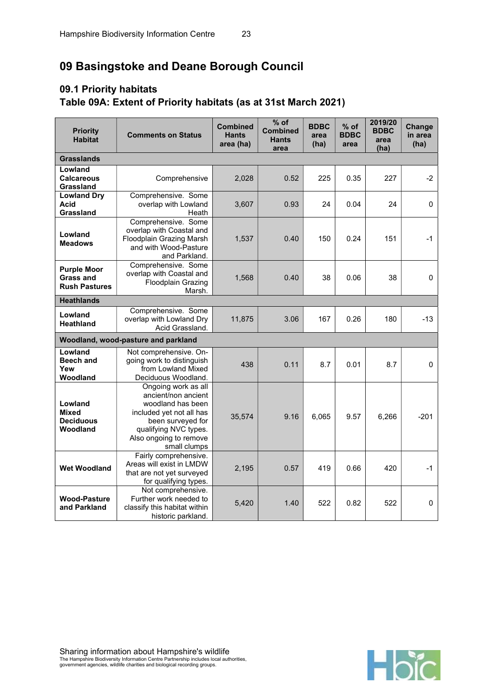# 09 Basingstoke and Deane Borough Council

# 09.1 Priority habitats Table 09A: Extent of Priority habitats (as at 31st March 2021)

| <b>Priority</b><br><b>Habitat</b>                       | <b>Comments on Status</b>                                                                                                                                                           | <b>Combined</b><br><b>Hants</b><br>area (ha) | $%$ of<br><b>Combined</b><br><b>Hants</b><br>area | <b>BDBC</b><br>area<br>(ha) | $%$ of<br><b>BDBC</b><br>area | 2019/20<br><b>BDBC</b><br>area<br>(ha) | Change<br>in area<br>(ha) |
|---------------------------------------------------------|-------------------------------------------------------------------------------------------------------------------------------------------------------------------------------------|----------------------------------------------|---------------------------------------------------|-----------------------------|-------------------------------|----------------------------------------|---------------------------|
| <b>Grasslands</b>                                       |                                                                                                                                                                                     |                                              |                                                   |                             |                               |                                        |                           |
| Lowland<br><b>Calcareous</b><br>Grassland               | Comprehensive                                                                                                                                                                       | 2,028                                        | 0.52                                              | 225                         | 0.35                          | 227                                    | $-2$                      |
| <b>Lowland Dry</b><br><b>Acid</b><br>Grassland          | Comprehensive. Some<br>overlap with Lowland<br>Heath                                                                                                                                | 3,607                                        | 0.93                                              | 24                          | 0.04                          | 24                                     | 0                         |
| Lowland<br><b>Meadows</b>                               | Comprehensive. Some<br>overlap with Coastal and<br><b>Floodplain Grazing Marsh</b><br>and with Wood-Pasture<br>and Parkland.                                                        | 1,537                                        | 0.40                                              | 150                         | 0.24                          | 151                                    | $-1$                      |
| <b>Purple Moor</b><br>Grass and<br><b>Rush Pastures</b> | Comprehensive. Some<br>overlap with Coastal and<br><b>Floodplain Grazing</b><br>Marsh.                                                                                              | 1,568                                        | 0.40                                              | 38                          | 0.06                          | 38                                     | 0                         |
| <b>Heathlands</b>                                       |                                                                                                                                                                                     |                                              |                                                   |                             |                               |                                        |                           |
| Lowland<br><b>Heathland</b>                             | Comprehensive. Some<br>overlap with Lowland Dry<br>Acid Grassland.                                                                                                                  | 11,875                                       | 3.06                                              | 167                         | 0.26                          | 180                                    | $-13$                     |
|                                                         | Woodland, wood-pasture and parkland                                                                                                                                                 |                                              |                                                   |                             |                               |                                        |                           |
| Lowland<br><b>Beech and</b><br>Yew<br>Woodland          | Not comprehensive. On-<br>going work to distinguish<br>from Lowland Mixed<br>Deciduous Woodland.                                                                                    | 438                                          | 0.11                                              | 8.7                         | 0.01                          | 8.7                                    | 0                         |
| Lowland<br><b>Mixed</b><br><b>Deciduous</b><br>Woodland | Ongoing work as all<br>ancient/non ancient<br>woodland has been<br>included yet not all has<br>been surveyed for<br>qualifying NVC types.<br>Also ongoing to remove<br>small clumps | 35,574                                       | 9.16                                              | 6,065                       | 9.57                          | 6,266                                  | $-201$                    |
| <b>Wet Woodland</b>                                     | Fairly comprehensive.<br>Areas will exist in LMDW<br>that are not yet surveyed<br>for qualifying types.                                                                             | 2,195                                        | 0.57                                              | 419                         | 0.66                          | 420                                    | $-1$                      |
| <b>Wood-Pasture</b><br>and Parkland                     | Not comprehensive.<br>Further work needed to<br>classify this habitat within<br>historic parkland.                                                                                  | 5,420                                        | 1.40                                              | 522                         | 0.82                          | 522                                    | $\mathbf 0$               |

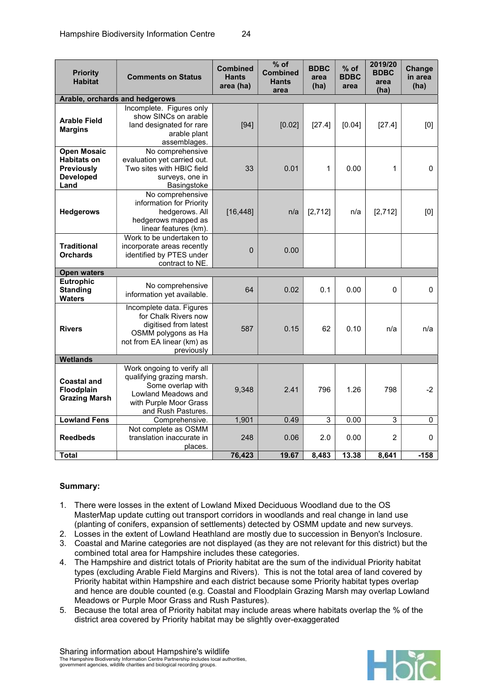| <b>Priority</b><br><b>Habitat</b>                                                         | <b>Comments on Status</b>                                                                                                                           | <b>Combined</b><br><b>Hants</b><br>area (ha) | $%$ of<br><b>Combined</b><br><b>Hants</b><br>area | <b>BDBC</b><br>area<br>(ha) | $%$ of<br><b>BDBC</b><br>area | 2019/20<br><b>BDBC</b><br>area<br>(ha) | Change<br>in area<br>(ha) |
|-------------------------------------------------------------------------------------------|-----------------------------------------------------------------------------------------------------------------------------------------------------|----------------------------------------------|---------------------------------------------------|-----------------------------|-------------------------------|----------------------------------------|---------------------------|
|                                                                                           | Arable, orchards and hedgerows                                                                                                                      |                                              |                                                   |                             |                               |                                        |                           |
| <b>Arable Field</b><br><b>Margins</b>                                                     | Incomplete. Figures only<br>show SINCs on arable<br>land designated for rare<br>arable plant<br>assemblages.                                        | [94]                                         | [0.02]                                            | [27.4]                      | [0.04]                        | [27.4]                                 | [0]                       |
| <b>Open Mosaic</b><br><b>Habitats on</b><br><b>Previously</b><br><b>Developed</b><br>Land | No comprehensive<br>evaluation yet carried out.<br>Two sites with HBIC field<br>surveys, one in<br>Basingstoke                                      | 33                                           | 0.01                                              | 1                           | 0.00                          | 1                                      | 0                         |
| <b>Hedgerows</b>                                                                          | No comprehensive<br>information for Priority<br>hedgerows. All<br>hedgerows mapped as<br>linear features (km).                                      | [16, 448]                                    | n/a                                               | [2, 712]                    | n/a                           | [2, 712]                               | [0]                       |
| <b>Traditional</b><br><b>Orchards</b>                                                     | Work to be undertaken to<br>incorporate areas recently<br>identified by PTES under<br>contract to NE.                                               | 0                                            | 0.00                                              |                             |                               |                                        |                           |
| <b>Open waters</b>                                                                        |                                                                                                                                                     |                                              |                                                   |                             |                               |                                        |                           |
| Eutrophic<br><b>Standing</b><br><b>Waters</b>                                             | No comprehensive<br>information yet available.                                                                                                      | 64                                           | 0.02                                              | 0.1                         | 0.00                          | 0                                      | $\mathbf 0$               |
| <b>Rivers</b>                                                                             | Incomplete data. Figures<br>for Chalk Rivers now<br>digitised from latest<br>OSMM polygons as Ha<br>not from EA linear (km) as<br>previously        | 587                                          | 0.15                                              | 62                          | 0.10                          | n/a                                    | n/a                       |
| <b>Wetlands</b>                                                                           |                                                                                                                                                     |                                              |                                                   |                             |                               |                                        |                           |
| <b>Coastal and</b><br>Floodplain<br><b>Grazing Marsh</b>                                  | Work ongoing to verify all<br>qualifying grazing marsh.<br>Some overlap with<br>Lowland Meadows and<br>with Purple Moor Grass<br>and Rush Pastures. | 9,348                                        | 2.41                                              | 796                         | 1.26                          | 798                                    | $-2$                      |
| <b>Lowland Fens</b>                                                                       | Comprehensive.                                                                                                                                      | 1,901                                        | 0.49                                              | 3                           | 0.00                          | 3                                      | $\overline{0}$            |
| <b>Reedbeds</b>                                                                           | Not complete as OSMM<br>translation inaccurate in<br>places.                                                                                        | 248                                          | 0.06                                              | 2.0                         | 0.00                          | $\overline{2}$                         | 0                         |
| <b>Total</b>                                                                              |                                                                                                                                                     | 76,423                                       | 19.67                                             | 8,483                       | 13.38                         | 8,641                                  | $-158$                    |

- 1. There were losses in the extent of Lowland Mixed Deciduous Woodland due to the OS MasterMap update cutting out transport corridors in woodlands and real change in land use (planting of conifers, expansion of settlements) detected by OSMM update and new surveys.
- 2. Losses in the extent of Lowland Heathland are mostly due to succession in Benyon's Inclosure.
- 3. Coastal and Marine categories are not displayed (as they are not relevant for this district) but the combined total area for Hampshire includes these categories.
- 4. The Hampshire and district totals of Priority habitat are the sum of the individual Priority habitat types (excluding Arable Field Margins and Rivers). This is not the total area of land covered by Priority habitat within Hampshire and each district because some Priority habitat types overlap and hence are double counted (e.g. Coastal and Floodplain Grazing Marsh may overlap Lowland Meadows or Purple Moor Grass and Rush Pastures).
- 5. Because the total area of Priority habitat may include areas where habitats overlap the % of the district area covered by Priority habitat may be slightly over-exaggerated

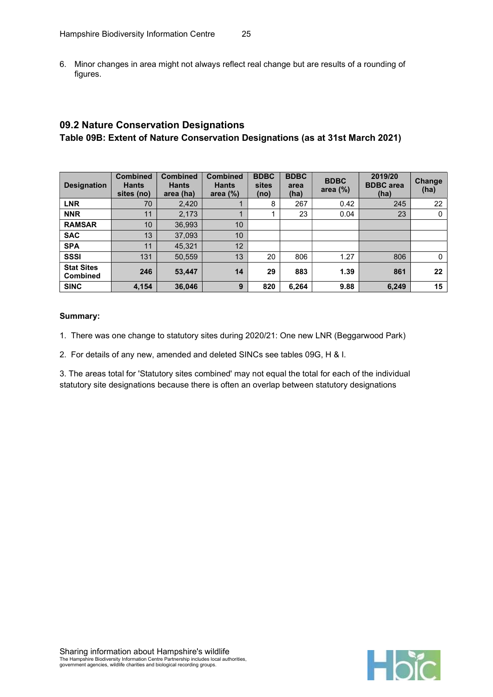6. Minor changes in area might not always reflect real change but are results of a rounding of figures.

## 09.2 Nature Conservation Designations Table 09B: Extent of Nature Conservation Designations (as at 31st March 2021)

| <b>Designation</b>            | <b>Combined</b><br><b>Hants</b><br>sites (no) | <b>Combined</b><br><b>Hants</b><br>area (ha) | <b>Combined</b><br><b>Hants</b><br>area $(\%)$ | <b>BDBC</b><br>sites<br>(no) | <b>BDBC</b><br>area<br>(ha) | <b>BDBC</b><br>area $(\%)$ | 2019/20<br><b>BDBC</b> area<br>(ha) | Change<br>(ha) |
|-------------------------------|-----------------------------------------------|----------------------------------------------|------------------------------------------------|------------------------------|-----------------------------|----------------------------|-------------------------------------|----------------|
| <b>LNR</b>                    | 70                                            | 2,420                                        |                                                | 8                            | 267                         | 0.42                       | 245                                 | 22             |
| <b>NNR</b>                    | 11                                            | 2,173                                        |                                                |                              | 23                          | 0.04                       | 23                                  | 0              |
| <b>RAMSAR</b>                 | 10                                            | 36,993                                       | 10                                             |                              |                             |                            |                                     |                |
| <b>SAC</b>                    | 13                                            | 37,093                                       | 10                                             |                              |                             |                            |                                     |                |
| <b>SPA</b>                    | 11                                            | 45,321                                       | 12                                             |                              |                             |                            |                                     |                |
| <b>SSSI</b>                   | 131                                           | 50,559                                       | 13                                             | 20                           | 806                         | 1.27                       | 806                                 | $\Omega$       |
| <b>Stat Sites</b><br>Combined | 246                                           | 53,447                                       | 14                                             | 29                           | 883                         | 1.39                       | 861                                 | 22             |
| <b>SINC</b>                   | 4,154                                         | 36,046                                       | 9                                              | 820                          | 6,264                       | 9.88                       | 6.249                               | 15             |

#### Summary:

- 1. There was one change to statutory sites during 2020/21: One new LNR (Beggarwood Park)
- 2. For details of any new, amended and deleted SINCs see tables 09G, H & I.

3. The areas total for 'Statutory sites combined' may not equal the total for each of the individual statutory site designations because there is often an overlap between statutory designations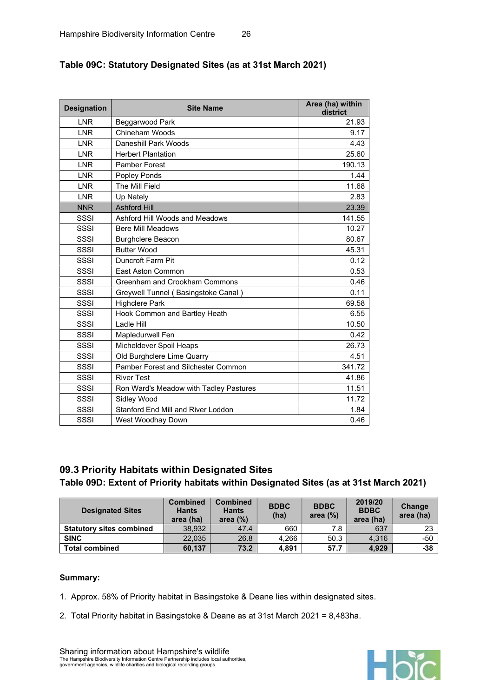| <b>Designation</b> | <b>Site Name</b>                       | Area (ha) within<br>district |
|--------------------|----------------------------------------|------------------------------|
| <b>LNR</b>         | Beggarwood Park                        | 21.93                        |
| <b>LNR</b>         | Chineham Woods                         | 9.17                         |
| <b>LNR</b>         | Daneshill Park Woods                   | 4.43                         |
| <b>LNR</b>         | <b>Herbert Plantation</b>              | 25.60                        |
| <b>LNR</b>         | Pamber Forest                          | 190.13                       |
| <b>LNR</b>         | Popley Ponds                           | 1.44                         |
| <b>LNR</b>         | The Mill Field                         | 11.68                        |
| <b>LNR</b>         | Up Nately                              | 2.83                         |
| <b>NNR</b>         | <b>Ashford Hill</b>                    | 23.39                        |
| SSSI               | Ashford Hill Woods and Meadows         | 141.55                       |
| SSSI               | <b>Bere Mill Meadows</b>               | 10.27                        |
| SSSI               | <b>Burghclere Beacon</b>               | 80.67                        |
| SSSI               | <b>Butter Wood</b>                     | 45.31                        |
| SSSI               | Duncroft Farm Pit                      | 0.12                         |
| SSSI               | East Aston Common                      | 0.53                         |
| SSSI               | Greenham and Crookham Commons          | 0.46                         |
| SSSI               | Greywell Tunnel (Basingstoke Canal)    | 0.11                         |
| SSSI               | <b>Highclere Park</b>                  | 69.58                        |
| SSSI               | Hook Common and Bartley Heath          | 6.55                         |
| SSSI               | Ladle Hill                             | 10.50                        |
| SSSI               | Mapledurwell Fen                       | 0.42                         |
| SSSI               | Micheldever Spoil Heaps                | 26.73                        |
| SSSI               | Old Burghclere Lime Quarry             | 4.51                         |
| SSSI               | Pamber Forest and Silchester Common    | 341.72                       |
| SSSI               | <b>River Test</b>                      | 41.86                        |
| SSSI               | Ron Ward's Meadow with Tadley Pastures | 11.51                        |
| SSSI               | Sidley Wood                            | 11.72                        |
| SSSI               | Stanford End Mill and River Loddon     | 1.84                         |
| SSSI               | West Woodhay Down                      | 0.46                         |

### Table 09C: Statutory Designated Sites (as at 31st March 2021)

## 09.3 Priority Habitats within Designated Sites Table 09D: Extent of Priority habitats within Designated Sites (as at 31st March 2021)

| <b>Designated Sites</b>         | <b>Combined</b><br><b>Hants</b><br>area (ha) | <b>Combined</b><br><b>Hants</b><br>area $(\%)$ | <b>BDBC</b><br>(ha) | <b>BDBC</b><br>area $(\%)$ | 2019/20<br><b>BDBC</b><br>area (ha) | Change<br>area (ha) |
|---------------------------------|----------------------------------------------|------------------------------------------------|---------------------|----------------------------|-------------------------------------|---------------------|
| <b>Statutory sites combined</b> | 38.932                                       | 47.4                                           | 660                 | 7.8                        | 637                                 | 23                  |
| <b>SINC</b>                     | 22.035                                       | 26.8                                           | 4.266               | 50.3                       | 4.316                               | $-50$               |
| <b>Total combined</b>           | 60,137                                       | 73.2                                           | 4.891               | 57.7                       | 4,929                               | $-38$               |

- 1. Approx. 58% of Priority habitat in Basingstoke & Deane lies within designated sites.
- 2. Total Priority habitat in Basingstoke & Deane as at 31st March 2021 = 8,483ha.



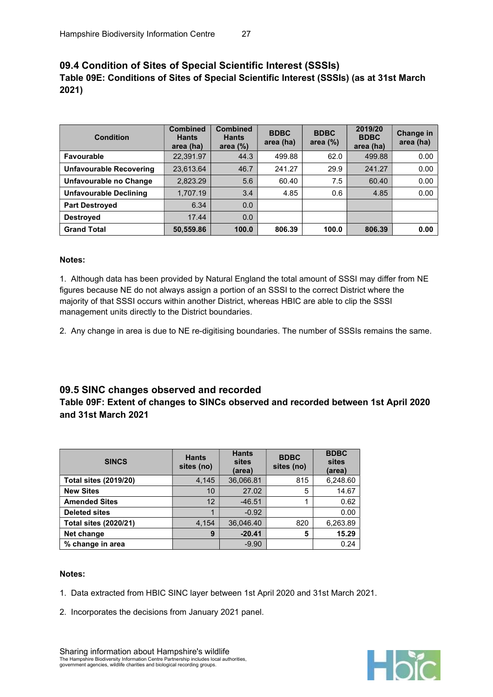## 09.4 Condition of Sites of Special Scientific Interest (SSSIs) Table 09E: Conditions of Sites of Special Scientific Interest (SSSIs) (as at 31st March 2021)

| <b>Condition</b>               | <b>Combined</b><br><b>Hants</b><br>area (ha) | <b>Combined</b><br><b>Hants</b><br>area $(\%)$ | <b>BDBC</b><br>area (ha) | <b>BDBC</b><br>area $(\%)$ | 2019/20<br><b>BDBC</b><br>area (ha) | <b>Change in</b><br>area (ha) |
|--------------------------------|----------------------------------------------|------------------------------------------------|--------------------------|----------------------------|-------------------------------------|-------------------------------|
| <b>Favourable</b>              | 22,391.97                                    | 44.3                                           | 499.88                   | 62.0                       | 499.88                              | 0.00                          |
| <b>Unfavourable Recovering</b> | 23,613.64                                    | 46.7                                           | 241.27                   | 29.9                       | 241.27                              | 0.00                          |
| Unfavourable no Change         | 2,823.29                                     | 5.6                                            | 60.40                    | 7.5                        | 60.40                               | 0.00                          |
| <b>Unfavourable Declining</b>  | 1,707.19                                     | 3.4                                            | 4.85                     | 0.6                        | 4.85                                | 0.00                          |
| <b>Part Destroyed</b>          | 6.34                                         | 0.0                                            |                          |                            |                                     |                               |
| <b>Destroyed</b>               | 17.44                                        | 0.0                                            |                          |                            |                                     |                               |
| <b>Grand Total</b>             | 50,559.86                                    | 100.0                                          | 806.39                   | 100.0                      | 806.39                              | 0.00                          |

#### Notes:

1. Although data has been provided by Natural England the total amount of SSSI may differ from NE figures because NE do not always assign a portion of an SSSI to the correct District where the majority of that SSSI occurs within another District, whereas HBIC are able to clip the SSSI management units directly to the District boundaries.

2. Any change in area is due to NE re-digitising boundaries. The number of SSSIs remains the same.

#### 09.5 SINC changes observed and recorded

#### Table 09F: Extent of changes to SINCs observed and recorded between 1st April 2020 and 31st March 2021

| <b>SINCS</b>                 | <b>Hants</b><br>sites (no) | <b>Hants</b><br>sites<br>(area) | <b>BDBC</b><br>sites (no) | <b>BDBC</b><br>sites<br>(area) |
|------------------------------|----------------------------|---------------------------------|---------------------------|--------------------------------|
| <b>Total sites (2019/20)</b> | 4,145                      | 36,066.81                       | 815                       | 6,248.60                       |
| <b>New Sites</b>             | 10                         | 27.02                           | 5                         | 14.67                          |
| <b>Amended Sites</b>         | 12                         | $-46.51$                        |                           | 0.62                           |
| <b>Deleted sites</b>         | $\blacktriangleleft$       | $-0.92$                         |                           | 0.00                           |
| <b>Total sites (2020/21)</b> | 4,154                      | 36,046.40                       | 820                       | 6,263.89                       |
| Net change                   | 9                          | $-20.41$                        | 5                         | 15.29                          |
| % change in area             |                            | $-9.90$                         |                           | 0.24                           |

#### Notes:

- 1. Data extracted from HBIC SINC layer between 1st April 2020 and 31st March 2021.
- 2. Incorporates the decisions from January 2021 panel.

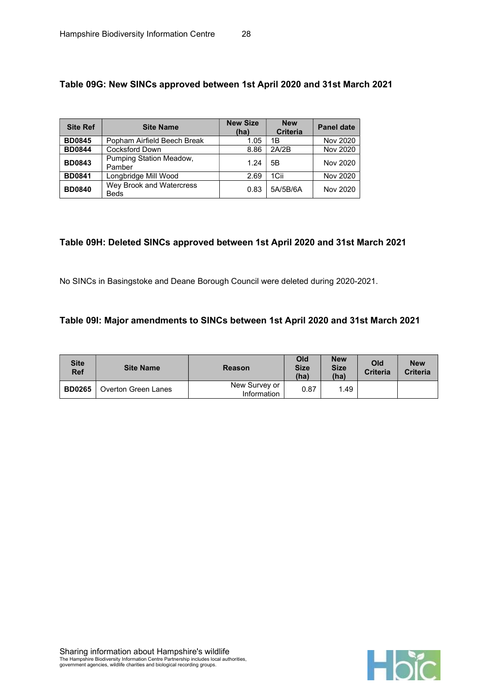| <b>Site Ref</b> | <b>Site Name</b>                        | <b>New Size</b><br>(ha) | <b>New</b><br><b>Criteria</b> | <b>Panel date</b> |
|-----------------|-----------------------------------------|-------------------------|-------------------------------|-------------------|
| <b>BD0845</b>   | Popham Airfield Beech Break             | 1.05                    | 1B                            | Nov 2020          |
| <b>BD0844</b>   | <b>Cocksford Down</b>                   | 8.86                    | 2A/2B                         | Nov 2020          |
| <b>BD0843</b>   | Pumping Station Meadow,<br>Pamber       | 1.24                    | 5B                            | Nov 2020          |
| <b>BD0841</b>   | Longbridge Mill Wood                    | 2.69                    | 1Cii                          | Nov 2020          |
| <b>BD0840</b>   | Wey Brook and Watercress<br><b>Beds</b> | 0.83                    | 5A/5B/6A                      | Nov 2020          |

## Table 09G: New SINCs approved between 1st April 2020 and 31st March 2021

## Table 09H: Deleted SINCs approved between 1st April 2020 and 31st March 2021

No SINCs in Basingstoke and Deane Borough Council were deleted during 2020-2021.

#### Table 09I: Major amendments to SINCs between 1st April 2020 and 31st March 2021

| <b>Site</b><br><b>Ref</b> | <b>Site Name</b>    | <b>Reason</b>                | Old<br><b>Size</b><br>(ha) | <b>New</b><br><b>Size</b><br>(ha) | Old<br><b>Criteria</b> | <b>New</b><br><b>Criteria</b> |
|---------------------------|---------------------|------------------------------|----------------------------|-----------------------------------|------------------------|-------------------------------|
| <b>BD0265</b>             | Overton Green Lanes | New Survey or<br>Information | 0.87                       | 1.49                              |                        |                               |

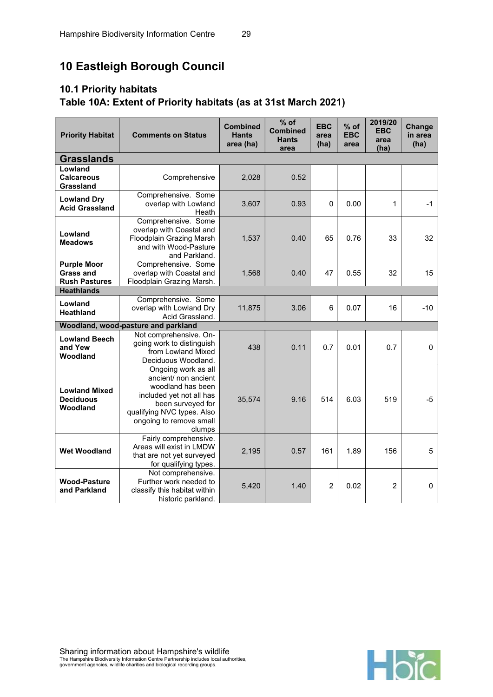# 10 Eastleigh Borough Council

# 10.1 Priority habitats Table 10A: Extent of Priority habitats (as at 31st March 2021)

| <b>Priority Habitat</b>                                        | <b>Comments on Status</b>                                                                                                                                                            | <b>Combined</b><br><b>Hants</b><br>area (ha) | $%$ of<br><b>Combined</b><br><b>Hants</b><br>area | <b>EBC</b><br>area<br>(ha) | $%$ of<br><b>EBC</b><br>area | 2019/20<br><b>EBC</b><br>area<br>(ha) | <b>Change</b><br>in area<br>(ha) |
|----------------------------------------------------------------|--------------------------------------------------------------------------------------------------------------------------------------------------------------------------------------|----------------------------------------------|---------------------------------------------------|----------------------------|------------------------------|---------------------------------------|----------------------------------|
| <b>Grasslands</b>                                              |                                                                                                                                                                                      |                                              |                                                   |                            |                              |                                       |                                  |
| Lowland<br><b>Calcareous</b><br>Grassland                      | Comprehensive                                                                                                                                                                        |                                              | 0.52                                              |                            |                              |                                       |                                  |
| <b>Lowland Dry</b><br><b>Acid Grassland</b>                    | Comprehensive. Some<br>overlap with Lowland<br>Heath                                                                                                                                 | 3,607                                        | 0.93                                              | 0                          | 0.00                         | 1                                     | $-1$                             |
| Lowland<br><b>Meadows</b>                                      | Comprehensive. Some<br>overlap with Coastal and<br><b>Floodplain Grazing Marsh</b><br>and with Wood-Pasture<br>and Parkland.                                                         | 1,537                                        | 0.40                                              | 65                         | 0.76                         | 33                                    | 32                               |
| <b>Purple Moor</b><br><b>Grass and</b><br><b>Rush Pastures</b> | Comprehensive. Some<br>overlap with Coastal and<br>Floodplain Grazing Marsh.                                                                                                         | 1,568                                        | 0.40                                              | 47                         | 0.55                         | 32                                    | 15                               |
| <b>Heathlands</b>                                              |                                                                                                                                                                                      |                                              |                                                   |                            |                              |                                       |                                  |
| Lowland<br>Heathland                                           | Comprehensive. Some<br>overlap with Lowland Dry<br>Acid Grassland.                                                                                                                   | 11,875                                       | 3.06                                              | 6                          | 0.07                         | 16                                    | $-10$                            |
|                                                                | Woodland, wood-pasture and parkland                                                                                                                                                  |                                              |                                                   |                            |                              |                                       |                                  |
| <b>Lowland Beech</b><br>and Yew<br>Woodland                    | Not comprehensive. On-<br>going work to distinguish<br>from Lowland Mixed<br>Deciduous Woodland.                                                                                     | 438                                          | 0.11                                              | 0.7                        | 0.01                         | 0.7                                   | $\mathbf 0$                      |
| <b>Lowland Mixed</b><br><b>Deciduous</b><br>Woodland           | Ongoing work as all<br>ancient/ non ancient<br>woodland has been<br>included yet not all has<br>been surveyed for<br>qualifying NVC types. Also<br>ongoing to remove small<br>clumps | 35,574                                       | 9.16                                              | 514                        | 6.03                         | 519                                   | $-5$                             |
| <b>Wet Woodland</b>                                            | Fairly comprehensive.<br>Areas will exist in LMDW<br>that are not yet surveyed<br>for qualifying types.                                                                              | 2,195                                        | 0.57                                              | 161                        | 1.89                         | 156                                   | 5                                |
| <b>Wood-Pasture</b><br>and Parkland                            | Not comprehensive.<br>Further work needed to<br>classify this habitat within<br>historic parkland.                                                                                   | 5,420                                        | 1.40                                              | $\overline{2}$             | 0.02                         | $\overline{2}$                        | $\mathbf 0$                      |

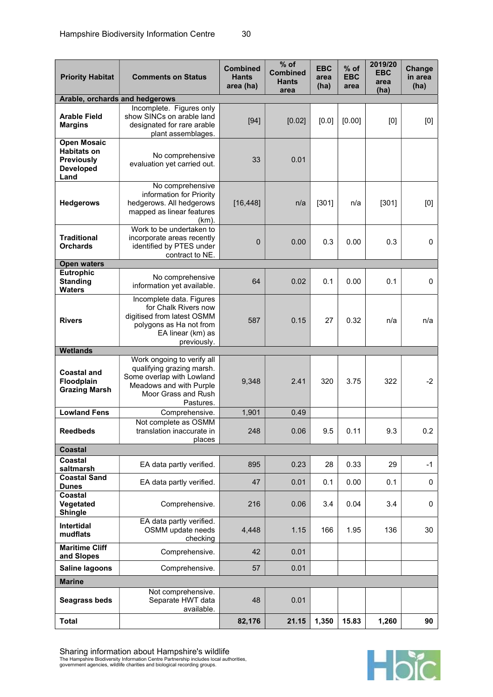| <b>Priority Habitat</b>                                             | <b>Comments on Status</b>                                                                                                                           | <b>Combined</b><br><b>Hants</b><br>area (ha) | $%$ of<br><b>Combined</b><br><b>Hants</b><br>area | <b>EBC</b><br>area<br>(ha) | % of<br><b>EBC</b><br>area | 2019/20<br><b>EBC</b><br>area<br>(ha) | <b>Change</b><br>in area<br>(ha) |
|---------------------------------------------------------------------|-----------------------------------------------------------------------------------------------------------------------------------------------------|----------------------------------------------|---------------------------------------------------|----------------------------|----------------------------|---------------------------------------|----------------------------------|
| Arable, orchards and hedgerows                                      |                                                                                                                                                     |                                              |                                                   |                            |                            |                                       |                                  |
| <b>Arable Field</b><br><b>Margins</b>                               | Incomplete. Figures only<br>show SINCs on arable land<br>designated for rare arable<br>plant assemblages.                                           | $[94]$                                       | [0.02]                                            | [0.0]                      | [0.00]                     | [0]                                   | [0]                              |
| <b>Habitats on</b><br><b>Previously</b><br><b>Developed</b><br>Land | <b>Open Mosaic</b><br>No comprehensive<br>evaluation yet carried out.                                                                               |                                              | 0.01                                              |                            |                            |                                       |                                  |
| <b>Hedgerows</b>                                                    | No comprehensive<br>information for Priority<br>hedgerows. All hedgerows<br>mapped as linear features<br>(km).                                      | [16, 448]                                    | n/a                                               | [301]                      | n/a                        | [301]                                 | [0]                              |
| <b>Traditional</b><br><b>Orchards</b>                               | Work to be undertaken to<br>incorporate areas recently<br>identified by PTES under<br>contract to NE.                                               | $\mathbf 0$                                  | 0.00                                              | 0.3                        | 0.00                       | 0.3                                   | $\mathbf 0$                      |
| <b>Open waters</b>                                                  |                                                                                                                                                     |                                              |                                                   |                            |                            |                                       |                                  |
| Eutrophic<br><b>Standing</b><br><b>Waters</b>                       | No comprehensive<br>information yet available.                                                                                                      | 64                                           | 0.02                                              | 0.1                        | 0.00                       | 0.1                                   | 0                                |
| <b>Rivers</b>                                                       | Incomplete data. Figures<br>for Chalk Rivers now<br>digitised from latest OSMM<br>polygons as Ha not from<br>EA linear (km) as<br>previously.       |                                              | 0.15                                              | 27                         | 0.32                       | n/a                                   | n/a                              |
| <b>Wetlands</b>                                                     |                                                                                                                                                     |                                              |                                                   |                            |                            |                                       |                                  |
| <b>Coastal and</b><br>Floodplain<br><b>Grazing Marsh</b>            | Work ongoing to verify all<br>qualifying grazing marsh.<br>Some overlap with Lowland<br>Meadows and with Purple<br>Moor Grass and Rush<br>Pastures. | 9,348                                        | 2.41                                              | 320                        | 3.75                       | 322                                   | $-2$                             |
| <b>Lowland Fens</b>                                                 | Comprehensive.                                                                                                                                      | 1,901                                        | 0.49                                              |                            |                            |                                       |                                  |
| <b>Reedbeds</b>                                                     | Not complete as OSMM<br>translation inaccurate in<br>places                                                                                         | 248                                          | 0.06                                              | 9.5                        | 0.11                       | 9.3                                   | 0.2                              |
| <b>Coastal</b>                                                      |                                                                                                                                                     |                                              |                                                   |                            |                            |                                       |                                  |
| Coastal<br>saltmarsh<br><b>Coastal Sand</b>                         | EA data partly verified.                                                                                                                            | 895                                          | 0.23                                              | 28                         | 0.33                       | 29                                    | $-1$                             |
| <b>Dunes</b>                                                        | EA data partly verified.                                                                                                                            | 47                                           | 0.01                                              | 0.1                        | 0.00                       | 0.1                                   | 0                                |
| Coastal<br>Vegetated<br><b>Shingle</b>                              | Comprehensive.                                                                                                                                      | 216                                          | 0.06                                              | 3.4                        | 0.04                       | 3.4                                   | 0                                |
| Intertidal<br>mudflats                                              | EA data partly verified.<br>OSMM update needs<br>checking                                                                                           | 4,448                                        | 1.15                                              | 166                        | 1.95                       | 136                                   | 30                               |
| <b>Maritime Cliff</b><br>and Slopes                                 | Comprehensive.                                                                                                                                      | 42                                           | 0.01                                              |                            |                            |                                       |                                  |
| Saline lagoons                                                      | Comprehensive.                                                                                                                                      | 57                                           | 0.01                                              |                            |                            |                                       |                                  |
| <b>Marine</b>                                                       |                                                                                                                                                     |                                              |                                                   |                            |                            |                                       |                                  |
| <b>Seagrass beds</b>                                                | Not comprehensive.<br>Separate HWT data<br>available.                                                                                               | 48                                           | 0.01                                              |                            |                            |                                       |                                  |
| <b>Total</b>                                                        |                                                                                                                                                     | 82,176                                       | 21.15                                             | 1,350                      | 15.83                      | 1,260                                 | 90                               |



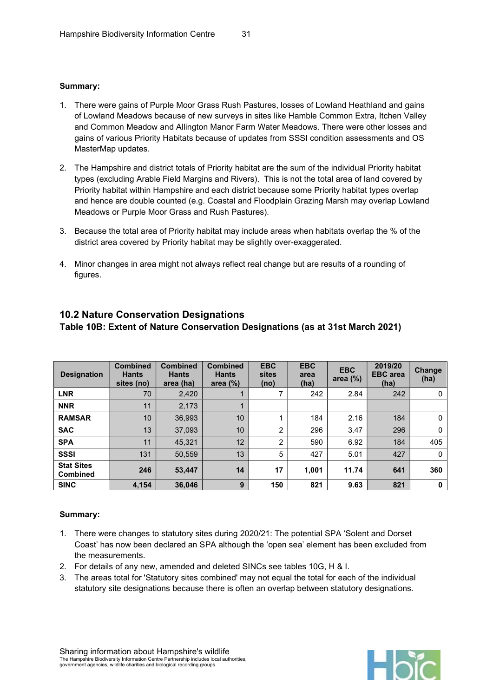#### Summary:

- 1. There were gains of Purple Moor Grass Rush Pastures, losses of Lowland Heathland and gains of Lowland Meadows because of new surveys in sites like Hamble Common Extra, Itchen Valley and Common Meadow and Allington Manor Farm Water Meadows. There were other losses and gains of various Priority Habitats because of updates from SSSI condition assessments and OS MasterMap updates.
- 2. The Hampshire and district totals of Priority habitat are the sum of the individual Priority habitat types (excluding Arable Field Margins and Rivers). This is not the total area of land covered by Priority habitat within Hampshire and each district because some Priority habitat types overlap and hence are double counted (e.g. Coastal and Floodplain Grazing Marsh may overlap Lowland Meadows or Purple Moor Grass and Rush Pastures).
- 3. Because the total area of Priority habitat may include areas when habitats overlap the % of the district area covered by Priority habitat may be slightly over-exaggerated.
- 4. Minor changes in area might not always reflect real change but are results of a rounding of figures.

| <b>Designation</b>                   | <b>Combined</b><br><b>Hants</b><br>sites (no) | <b>Combined</b><br><b>Hants</b><br>area (ha) | <b>Combined</b><br><b>Hants</b><br>area $(\%)$ | <b>EBC</b><br>sites<br>(no) | <b>EBC</b><br>area<br>(ha) | <b>EBC</b><br>area $(\%)$ | 2019/20<br><b>EBC</b> area<br>(ha) | Change<br>(ha) |
|--------------------------------------|-----------------------------------------------|----------------------------------------------|------------------------------------------------|-----------------------------|----------------------------|---------------------------|------------------------------------|----------------|
| <b>LNR</b>                           | 70                                            | 2,420                                        |                                                |                             | 242                        | 2.84                      | 242                                | 0              |
| <b>NNR</b>                           | 11                                            | 2,173                                        |                                                |                             |                            |                           |                                    |                |
| <b>RAMSAR</b>                        | 10                                            | 36,993                                       | 10                                             |                             | 184                        | 2.16                      | 184                                | 0              |
| <b>SAC</b>                           | 13                                            | 37,093                                       | 10                                             | $\overline{2}$              | 296                        | 3.47                      | 296                                | $\Omega$       |
| <b>SPA</b>                           | 11                                            | 45.321                                       | 12                                             | 2                           | 590                        | 6.92                      | 184                                | 405            |
| <b>SSSI</b>                          | 131                                           | 50,559                                       | 13                                             | 5                           | 427                        | 5.01                      | 427                                | $\Omega$       |
| <b>Stat Sites</b><br><b>Combined</b> | 246                                           | 53.447                                       | 14                                             | 17                          | 1.001                      | 11.74                     | 641                                | 360            |
| <b>SINC</b>                          | 4,154                                         | 36,046                                       | $9^{\circ}$                                    | 150                         | 821                        | 9.63                      | 821                                | 0              |

#### 10.2 Nature Conservation Designations

## Table 10B: Extent of Nature Conservation Designations (as at 31st March 2021)

- 1. There were changes to statutory sites during 2020/21: The potential SPA 'Solent and Dorset Coast' has now been declared an SPA although the 'open sea' element has been excluded from the measurements.
- 2. For details of any new, amended and deleted SINCs see tables 10G, H & I.
- 3. The areas total for 'Statutory sites combined' may not equal the total for each of the individual statutory site designations because there is often an overlap between statutory designations.

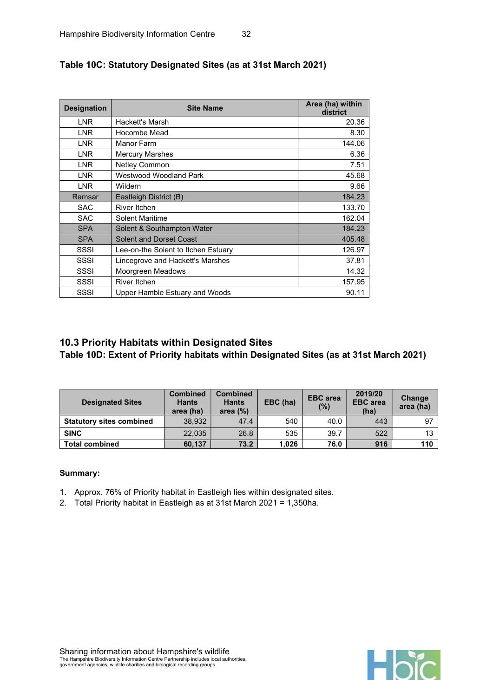| <b>Designation</b> | <b>Site Name</b>                    | Area (ha) within<br>district |
|--------------------|-------------------------------------|------------------------------|
| <b>LNR</b>         | Hackett's Marsh                     | 20.36                        |
| <b>LNR</b>         | Hocombe Mead                        | 8.30                         |
| <b>LNR</b>         | Manor Farm                          | 144.06                       |
| <b>LNR</b>         | <b>Mercury Marshes</b>              | 6.36                         |
| <b>LNR</b>         | Netley Common                       | 7.51                         |
| <b>LNR</b>         | <b>Westwood Woodland Park</b>       | 45.68                        |
| <b>LNR</b>         | Wildern                             | 9.66                         |
| Ramsar             | Eastleigh District (B)              | 184.23                       |
| <b>SAC</b>         | River Itchen                        | 133.70                       |
| <b>SAC</b>         | <b>Solent Maritime</b>              | 162.04                       |
| <b>SPA</b>         | Solent & Southampton Water          | 184.23                       |
| <b>SPA</b>         | <b>Solent and Dorset Coast</b>      | 405.48                       |
| SSSI               | Lee-on-the Solent to Itchen Estuary | 126.97                       |
| SSSI               | Lincegrove and Hackett's Marshes    | 37.81                        |
| SSSI               | Moorgreen Meadows                   | 14.32                        |
| SSSI               | River Itchen                        | 157.95                       |
| SSSI               | Upper Hamble Estuary and Woods      | 90.11                        |

## Table 10C: Statutory Designated Sites (as at 31st March 2021)

## 10.3 Priority Habitats within Designated Sites

Table 10D: Extent of Priority habitats within Designated Sites (as at 31st March 2021)

| <b>Designated Sites</b>         | <b>Combined</b><br><b>Hants</b><br>area (ha) | <b>Combined</b><br><b>Hants</b><br>area $(%)$ | EBC (ha) | <b>EBC</b> area<br>$(\% )$ | 2019/20<br><b>EBC</b> area<br>(ha) | Change<br>area (ha) |
|---------------------------------|----------------------------------------------|-----------------------------------------------|----------|----------------------------|------------------------------------|---------------------|
| <b>Statutory sites combined</b> | 38.932                                       | 47.4                                          | 540      | 40.0                       | 443                                | 97                  |
| <b>SINC</b>                     | 22.035                                       | 26.8                                          | 535      | 39.7                       | 522                                | 13                  |
| <b>Total combined</b>           | 60,137                                       | 73.2                                          | 1.026    | 76.0                       | 916                                | 110                 |

- 1. Approx. 76% of Priority habitat in Eastleigh lies within designated sites.
- 2. Total Priority habitat in Eastleigh as at 31st March 2021 = 1,350ha.

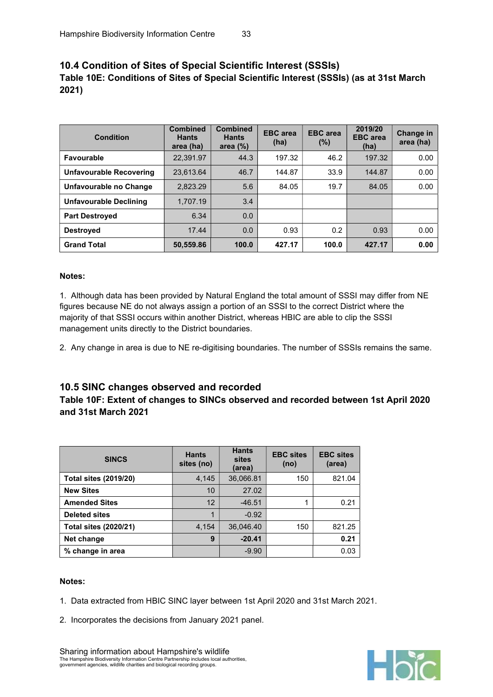## 10.4 Condition of Sites of Special Scientific Interest (SSSIs) Table 10E: Conditions of Sites of Special Scientific Interest (SSSIs) (as at 31st March 2021)

| Condition                      | <b>Combined</b><br><b>Hants</b><br>area (ha) | <b>Combined</b><br><b>Hants</b><br>area $(%)$ | <b>EBC</b> area<br>(ha) | <b>EBC</b> area<br>$(\%)$ | 2019/20<br><b>EBC</b> area<br>(ha) | <b>Change in</b><br>area (ha) |
|--------------------------------|----------------------------------------------|-----------------------------------------------|-------------------------|---------------------------|------------------------------------|-------------------------------|
| <b>Favourable</b>              | 22,391.97                                    | 44.3                                          | 197.32                  | 46.2                      | 197.32                             | 0.00                          |
| <b>Unfavourable Recovering</b> | 23.613.64                                    | 46.7                                          | 144.87                  | 33.9                      | 144.87                             | 0.00                          |
| Unfavourable no Change         | 2.823.29                                     | 5.6                                           | 84.05                   | 19.7                      | 84.05                              | 0.00                          |
| <b>Unfavourable Declining</b>  | 1.707.19                                     | 3.4                                           |                         |                           |                                    |                               |
| <b>Part Destroyed</b>          | 6.34                                         | 0.0                                           |                         |                           |                                    |                               |
| <b>Destroved</b>               | 17.44                                        | 0.0                                           | 0.93                    | 0.2                       | 0.93                               | 0.00                          |
| <b>Grand Total</b>             | 50,559.86                                    | 100.0                                         | 427.17                  | 100.0                     | 427.17                             | 0.00                          |

#### Notes:

1. Although data has been provided by Natural England the total amount of SSSI may differ from NE figures because NE do not always assign a portion of an SSSI to the correct District where the majority of that SSSI occurs within another District, whereas HBIC are able to clip the SSSI management units directly to the District boundaries.

2. Any change in area is due to NE re-digitising boundaries. The number of SSSIs remains the same.

#### 10.5 SINC changes observed and recorded

## Table 10F: Extent of changes to SINCs observed and recorded between 1st April 2020 and 31st March 2021

| <b>SINCS</b>                 | <b>Hants</b><br>sites (no) | <b>Hants</b><br>sites<br>(area) | <b>EBC</b> sites<br>(no) | <b>EBC</b> sites<br>(area) |
|------------------------------|----------------------------|---------------------------------|--------------------------|----------------------------|
| <b>Total sites (2019/20)</b> | 4,145                      | 36,066.81                       | 150                      | 821.04                     |
| <b>New Sites</b>             | 10                         | 27.02                           |                          |                            |
| <b>Amended Sites</b>         | 12                         | $-46.51$                        |                          | 0.21                       |
| <b>Deleted sites</b>         | 1                          | $-0.92$                         |                          |                            |
| <b>Total sites (2020/21)</b> | 4,154                      | 36,046.40                       | 150                      | 821.25                     |
| Net change                   | 9                          | $-20.41$                        |                          | 0.21                       |
| % change in area             |                            | $-9.90$                         |                          | 0.03                       |

#### Notes:

- 1. Data extracted from HBIC SINC layer between 1st April 2020 and 31st March 2021.
- 2. Incorporates the decisions from January 2021 panel.



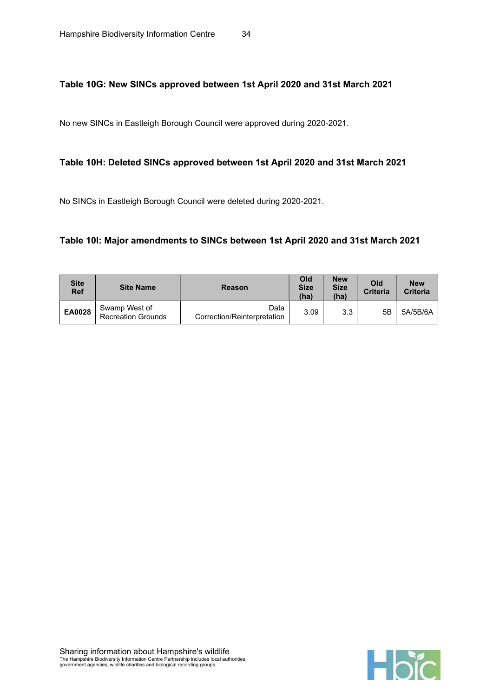### Table 10G: New SINCs approved between 1st April 2020 and 31st March 2021

No new SINCs in Eastleigh Borough Council were approved during 2020-2021.

#### Table 10H: Deleted SINCs approved between 1st April 2020 and 31st March 2021

No SINCs in Eastleigh Borough Council were deleted during 2020-2021.

#### Table 10I: Major amendments to SINCs between 1st April 2020 and 31st March 2021

| <b>Site</b><br><b>Ref</b> | <b>Site Name</b>                           | <b>Reason</b>                       | Old<br><b>Size</b><br>(ha) | <b>New</b><br><b>Size</b><br>(ha) | Old<br><b>Criteria</b> | <b>New</b><br><b>Criteria</b> |
|---------------------------|--------------------------------------------|-------------------------------------|----------------------------|-----------------------------------|------------------------|-------------------------------|
| <b>EA0028</b>             | Swamp West of<br><b>Recreation Grounds</b> | Data<br>Correction/Reinterpretation | 3.09                       | 3.3                               | 5Β                     | 5A/5B/6A                      |

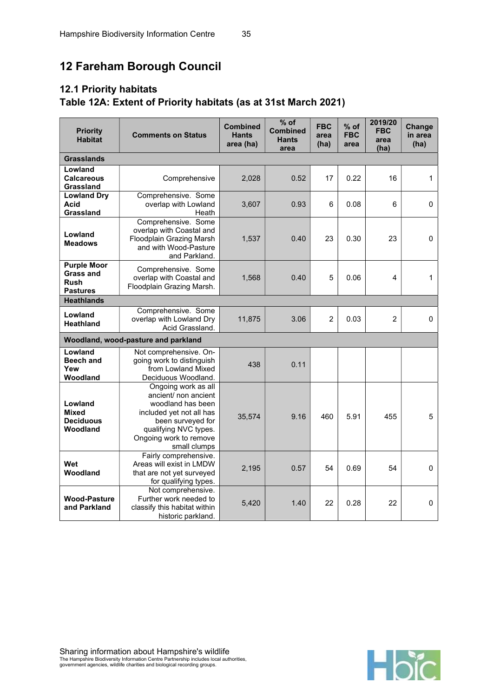# 12 Fareham Borough Council

# 12.1 Priority habitats Table 12A: Extent of Priority habitats (as at 31st March 2021)

| <b>Priority</b><br><b>Habitat</b>                                        | <b>Comments on Status</b>                                                                                                                                                            | <b>Combined</b><br><b>Hants</b><br>area (ha) | $%$ of<br><b>Combined</b><br><b>Hants</b><br>area | <b>FBC</b><br>area<br>(ha) | $%$ of<br><b>FBC</b><br>area | 2019/20<br><b>FBC</b><br>area<br>(ha) | Change<br>in area<br>(ha) |
|--------------------------------------------------------------------------|--------------------------------------------------------------------------------------------------------------------------------------------------------------------------------------|----------------------------------------------|---------------------------------------------------|----------------------------|------------------------------|---------------------------------------|---------------------------|
| <b>Grasslands</b>                                                        |                                                                                                                                                                                      |                                              |                                                   |                            |                              |                                       |                           |
| Lowland<br><b>Calcareous</b><br>Grassland                                | Comprehensive                                                                                                                                                                        | 2,028                                        | 0.52                                              | 17                         | 0.22                         | 16                                    | 1                         |
| <b>Lowland Dry</b><br>Acid<br>Grassland                                  | Comprehensive. Some<br>overlap with Lowland<br>Heath                                                                                                                                 | 3,607                                        | 0.93                                              | 6                          | 0.08                         | 6                                     | 0                         |
| Lowland<br><b>Meadows</b>                                                | Comprehensive. Some<br>overlap with Coastal and<br>Floodplain Grazing Marsh<br>and with Wood-Pasture<br>and Parkland.                                                                | 1,537                                        | 0.40                                              | 23                         | 0.30                         | 23                                    | $\mathbf 0$               |
| <b>Purple Moor</b><br><b>Grass and</b><br><b>Rush</b><br><b>Pastures</b> | Comprehensive. Some<br>overlap with Coastal and<br>Floodplain Grazing Marsh.                                                                                                         | 1,568                                        | 0.40                                              | 5                          | 0.06                         | 4                                     | $\mathbf{1}$              |
| <b>Heathlands</b>                                                        |                                                                                                                                                                                      |                                              |                                                   |                            |                              |                                       |                           |
| Lowland<br><b>Heathland</b>                                              | Comprehensive. Some<br>overlap with Lowland Dry<br>Acid Grassland.                                                                                                                   | 11,875                                       | 3.06                                              | $\overline{2}$             | 0.03                         | $\overline{2}$                        | $\mathbf{0}$              |
|                                                                          | Woodland, wood-pasture and parkland                                                                                                                                                  |                                              |                                                   |                            |                              |                                       |                           |
| Lowland<br><b>Beech and</b><br>Yew<br>Woodland                           | Not comprehensive. On-<br>going work to distinguish<br>from Lowland Mixed<br>Deciduous Woodland.                                                                                     | 438                                          | 0.11                                              |                            |                              |                                       |                           |
| Lowland<br>Mixed<br><b>Deciduous</b><br>Woodland                         | Ongoing work as all<br>ancient/ non ancient<br>woodland has been<br>included yet not all has<br>been surveyed for<br>qualifying NVC types.<br>Ongoing work to remove<br>small clumps | 35,574                                       | 9.16                                              | 460                        | 5.91                         | 455                                   | 5                         |
| Wet<br>Woodland                                                          | Fairly comprehensive.<br>Areas will exist in LMDW<br>that are not yet surveyed<br>for qualifying types.                                                                              | 2,195                                        | 0.57                                              | 54                         | 0.69                         | 54                                    | $\mathbf 0$               |
| <b>Wood-Pasture</b><br>and Parkland                                      | Not comprehensive.<br>Further work needed to<br>classify this habitat within<br>historic parkland.                                                                                   | 5,420                                        | 1.40                                              | 22                         | 0.28                         | 22                                    | $\mathbf{0}$              |

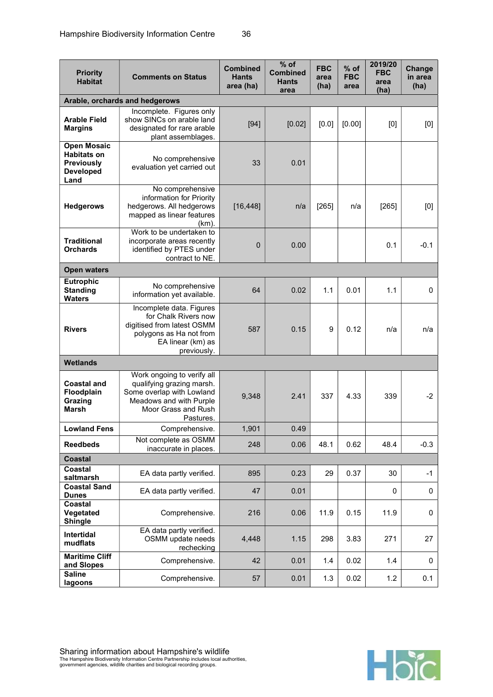| <b>Priority</b><br><b>Habitat</b>                                                         | <b>Comments on Status</b>                                                                                                                           | <b>Combined</b><br><b>Hants</b><br>area (ha) | $%$ of<br><b>Combined</b><br><b>Hants</b><br>area | <b>FBC</b><br>area<br>(ha) | $%$ of<br><b>FBC</b><br>area | 2019/20<br><b>FBC</b><br>area<br>(ha) | Change<br>in area<br>(ha) |
|-------------------------------------------------------------------------------------------|-----------------------------------------------------------------------------------------------------------------------------------------------------|----------------------------------------------|---------------------------------------------------|----------------------------|------------------------------|---------------------------------------|---------------------------|
|                                                                                           | Arable, orchards and hedgerows                                                                                                                      |                                              |                                                   |                            |                              |                                       |                           |
| <b>Arable Field</b><br><b>Margins</b>                                                     | Incomplete. Figures only<br>show SINCs on arable land<br>designated for rare arable<br>plant assemblages.                                           | $[94]$                                       | [0.02]                                            | [0.0]                      | [0.00]                       | [0]                                   | [0]                       |
| <b>Open Mosaic</b><br><b>Habitats on</b><br><b>Previously</b><br><b>Developed</b><br>Land | No comprehensive<br>evaluation yet carried out                                                                                                      | 33                                           | 0.01                                              |                            |                              |                                       |                           |
| <b>Hedgerows</b>                                                                          | No comprehensive<br>information for Priority<br>hedgerows. All hedgerows<br>mapped as linear features<br>(km).                                      | [16, 448]                                    | n/a                                               | [265]                      | n/a                          | [265]                                 | [0]                       |
| <b>Traditional</b><br><b>Orchards</b>                                                     | Work to be undertaken to<br>incorporate areas recently<br>identified by PTES under<br>contract to NE.                                               | $\mathbf 0$                                  | 0.00                                              |                            |                              | 0.1                                   | $-0.1$                    |
| <b>Open waters</b>                                                                        |                                                                                                                                                     |                                              |                                                   |                            |                              |                                       |                           |
| <b>Eutrophic</b><br><b>Standing</b><br><b>Waters</b>                                      | No comprehensive<br>information yet available.                                                                                                      | 64                                           | 0.02                                              | 1.1                        | 0.01                         | 1.1                                   | $\mathbf 0$               |
| <b>Rivers</b>                                                                             | Incomplete data. Figures<br>for Chalk Rivers now<br>digitised from latest OSMM<br>polygons as Ha not from<br>EA linear (km) as<br>previously.       | 587                                          | 0.15                                              | 9                          | 0.12                         | n/a                                   | n/a                       |
| <b>Wetlands</b>                                                                           |                                                                                                                                                     |                                              |                                                   |                            |                              |                                       |                           |
| <b>Coastal and</b><br>Floodplain<br>Grazing<br>Marsh                                      | Work ongoing to verify all<br>qualifying grazing marsh.<br>Some overlap with Lowland<br>Meadows and with Purple<br>Moor Grass and Rush<br>Pastures. | 9,348                                        | 2.41                                              | 337                        | 4.33                         | 339                                   | $-2$                      |
| <b>Lowland Fens</b>                                                                       | Comprehensive.                                                                                                                                      | 1,901                                        | 0.49                                              |                            |                              |                                       |                           |
| <b>Reedbeds</b>                                                                           | Not complete as OSMM<br>inaccurate in places.                                                                                                       | 248                                          | 0.06                                              | 48.1                       | 0.62                         | 48.4                                  | $-0.3$                    |
| <b>Coastal</b>                                                                            |                                                                                                                                                     |                                              |                                                   |                            |                              |                                       |                           |
| Coastal<br>saltmarsh                                                                      | EA data partly verified.                                                                                                                            | 895                                          | 0.23                                              | 29                         | 0.37                         | 30                                    | $-1$                      |
| <b>Coastal Sand</b><br><b>Dunes</b>                                                       | EA data partly verified.                                                                                                                            | 47                                           | 0.01                                              |                            |                              | 0                                     | 0                         |
| Coastal<br>Vegetated<br><b>Shingle</b>                                                    | Comprehensive.                                                                                                                                      | 216                                          | 0.06                                              | 11.9                       | 0.15                         | 11.9                                  | $\mathbf 0$               |
| Intertidal<br>mudflats                                                                    | EA data partly verified.<br>OSMM update needs<br>rechecking                                                                                         | 4,448                                        | 1.15                                              | 298                        | 3.83                         | 271                                   | 27                        |
| <b>Maritime Cliff</b><br>and Slopes                                                       | Comprehensive.                                                                                                                                      | 42                                           | 0.01                                              | 1.4                        | 0.02                         | 1.4                                   | 0                         |
| <b>Saline</b><br>lagoons                                                                  | Comprehensive.                                                                                                                                      | 57                                           | 0.01                                              | 1.3                        | 0.02                         | 1.2                                   | 0.1                       |

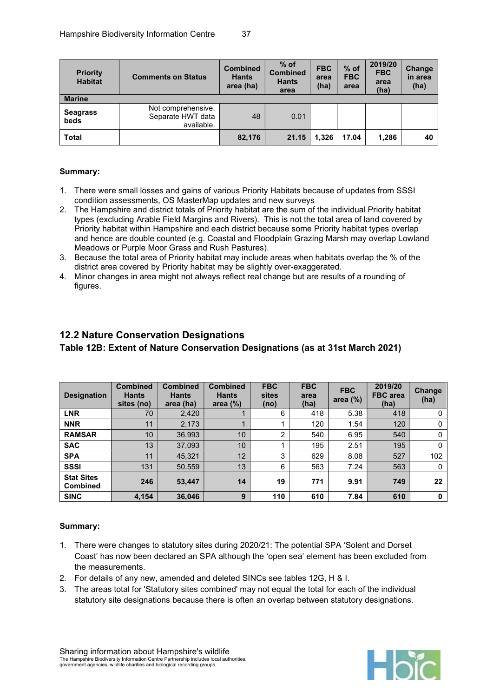| <b>Priority</b><br><b>Habitat</b> | <b>Comments on Status</b>                             | <b>Combined</b><br><b>Hants</b><br>area (ha) | $%$ of<br><b>Combined</b><br><b>Hants</b><br>area | <b>FBC</b><br>area<br>(ha) | $%$ of<br><b>FBC</b><br>area | 2019/20<br><b>FBC</b><br>area<br>(ha) | <b>Change</b><br>in area<br>(ha) |
|-----------------------------------|-------------------------------------------------------|----------------------------------------------|---------------------------------------------------|----------------------------|------------------------------|---------------------------------------|----------------------------------|
| <b>Marine</b>                     |                                                       |                                              |                                                   |                            |                              |                                       |                                  |
| <b>Seagrass</b><br>beds           | Not comprehensive.<br>Separate HWT data<br>available. | 48                                           | 0.01                                              |                            |                              |                                       |                                  |
| <b>Total</b>                      |                                                       | 82,176                                       | 21.15                                             | 1.326                      | 17.04                        | 1.286                                 | 40                               |

#### Summary:

- 1. There were small losses and gains of various Priority Habitats because of updates from SSSI condition assessments, OS MasterMap updates and new surveys
- 2. The Hampshire and district totals of Priority habitat are the sum of the individual Priority habitat types (excluding Arable Field Margins and Rivers). This is not the total area of land covered by Priority habitat within Hampshire and each district because some Priority habitat types overlap and hence are double counted (e.g. Coastal and Floodplain Grazing Marsh may overlap Lowland Meadows or Purple Moor Grass and Rush Pastures).
- 3. Because the total area of Priority habitat may include areas when habitats overlap the % of the district area covered by Priority habitat may be slightly over-exaggerated.
- 4. Minor changes in area might not always reflect real change but are results of a rounding of figures.

## 12.2 Nature Conservation Designations

Table 12B: Extent of Nature Conservation Designations (as at 31st March 2021)

| <b>Designation</b>            | <b>Combined</b><br><b>Hants</b><br>sites (no) | <b>Combined</b><br><b>Hants</b><br>area (ha) | <b>Combined</b><br><b>Hants</b><br>area $(\%)$ | <b>FBC</b><br>sites<br>(no) | <b>FBC</b><br>area<br>(ha) | <b>FBC</b><br>area $(\%)$ | 2019/20<br><b>FBC</b> area<br>(ha) | Change<br>(ha) |
|-------------------------------|-----------------------------------------------|----------------------------------------------|------------------------------------------------|-----------------------------|----------------------------|---------------------------|------------------------------------|----------------|
| <b>LNR</b>                    | 70                                            | 2,420                                        |                                                | 6                           | 418                        | 5.38                      | 418                                |                |
| <b>NNR</b>                    | 11                                            | 2,173                                        |                                                |                             | 120                        | 1.54                      | 120                                |                |
| <b>RAMSAR</b>                 | 10                                            | 36,993                                       | 10                                             | $\overline{2}$              | 540                        | 6.95                      | 540                                | 0              |
| <b>SAC</b>                    | 13                                            | 37.093                                       | 10                                             |                             | 195                        | 2.51                      | 195                                | 0              |
| <b>SPA</b>                    | 11                                            | 45,321                                       | 12                                             | 3                           | 629                        | 8.08                      | 527                                | 102            |
| <b>SSSI</b>                   | 131                                           | 50.559                                       | 13                                             | 6                           | 563                        | 7.24                      | 563                                | 0              |
| <b>Stat Sites</b><br>Combined | 246                                           | 53,447                                       | 14                                             | 19                          | 771                        | 9.91                      | 749                                | 22             |
| <b>SINC</b>                   | 4.154                                         | 36,046                                       | 9                                              | 110                         | 610                        | 7.84                      | 610                                | 0              |

- 1. There were changes to statutory sites during 2020/21: The potential SPA 'Solent and Dorset Coast' has now been declared an SPA although the 'open sea' element has been excluded from the measurements.
- 2. For details of any new, amended and deleted SINCs see tables 12G, H & I.
- 3. The areas total for 'Statutory sites combined' may not equal the total for each of the individual statutory site designations because there is often an overlap between statutory designations.

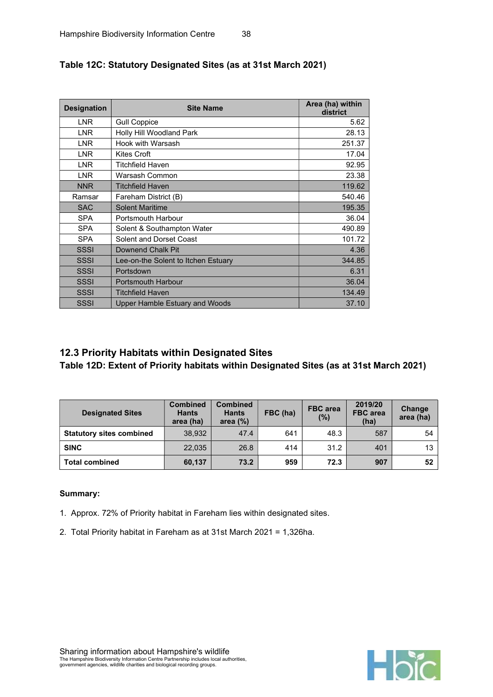| <b>Designation</b> | <b>Site Name</b>                      | Area (ha) within<br>district |
|--------------------|---------------------------------------|------------------------------|
| <b>LNR</b>         | <b>Gull Coppice</b>                   | 5.62                         |
| <b>LNR</b>         | Holly Hill Woodland Park              | 28.13                        |
| <b>LNR</b>         | Hook with Warsash                     | 251.37                       |
| <b>LNR</b>         | Kites Croft                           | 17.04                        |
| <b>LNR</b>         | <b>Titchfield Haven</b>               | 92.95                        |
| <b>LNR</b>         | Warsash Common                        | 23.38                        |
| <b>NNR</b>         | <b>Titchfield Haven</b>               | 119.62                       |
| Ramsar             | Fareham District (B)                  | 540.46                       |
| <b>SAC</b>         | <b>Solent Maritime</b>                | 195.35                       |
| <b>SPA</b>         | <b>Portsmouth Harbour</b>             | 36.04                        |
| <b>SPA</b>         | Solent & Southampton Water            | 490.89                       |
| <b>SPA</b>         | Solent and Dorset Coast               | 101.72                       |
| <b>SSSI</b>        | Downend Chalk Pit                     | 4.36                         |
| <b>SSSI</b>        | Lee-on-the Solent to Itchen Estuary   | 344.85                       |
| <b>SSSI</b>        | Portsdown                             | 6.31                         |
| <b>SSSI</b>        | <b>Portsmouth Harbour</b>             | 36.04                        |
| <b>SSSI</b>        | <b>Titchfield Haven</b>               | 134.49                       |
| <b>SSSI</b>        | <b>Upper Hamble Estuary and Woods</b> | 37.10                        |

## Table 12C: Statutory Designated Sites (as at 31st March 2021)

## 12.3 Priority Habitats within Designated Sites

Table 12D: Extent of Priority habitats within Designated Sites (as at 31st March 2021)

| <b>Designated Sites</b>         | <b>Combined</b><br><b>Hants</b><br>area (ha) | <b>Combined</b><br><b>Hants</b><br>area $(%)$ | FBC (ha) | <b>FBC</b> area<br>(%) | 2019/20<br><b>FBC</b> area<br>(ha) | Change<br>area (ha) |
|---------------------------------|----------------------------------------------|-----------------------------------------------|----------|------------------------|------------------------------------|---------------------|
| <b>Statutory sites combined</b> | 38.932                                       | 47.4                                          | 641      | 48.3                   | 587                                | 54                  |
| <b>SINC</b>                     | 22.035                                       | 26.8                                          | 414      | 31.2                   | 401                                | 13                  |
| <b>Total combined</b>           | 60,137                                       | 73.2                                          | 959      | 72.3                   | 907                                | 52                  |

- 1. Approx. 72% of Priority habitat in Fareham lies within designated sites.
- 2. Total Priority habitat in Fareham as at 31st March 2021 = 1,326ha.

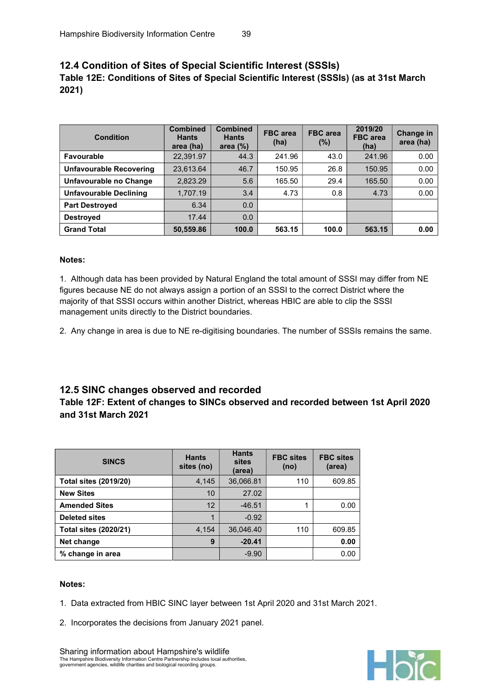## 12.4 Condition of Sites of Special Scientific Interest (SSSIs) Table 12E: Conditions of Sites of Special Scientific Interest (SSSIs) (as at 31st March 2021)

| Condition                      | <b>Combined</b><br><b>Hants</b><br>area (ha) | <b>Combined</b><br><b>Hants</b><br>area $(\%)$ | <b>FBC</b> area<br>(ha) | <b>FBC</b> area<br>(%) | 2019/20<br><b>FBC</b> area<br>(ha) | <b>Change in</b><br>area (ha) |
|--------------------------------|----------------------------------------------|------------------------------------------------|-------------------------|------------------------|------------------------------------|-------------------------------|
| Favourable                     | 22,391.97                                    | 44.3                                           | 241.96                  | 43.0                   | 241.96                             | 0.00                          |
| <b>Unfavourable Recovering</b> | 23,613.64                                    | 46.7                                           | 150.95                  | 26.8                   | 150.95                             | 0.00                          |
| Unfavourable no Change         | 2,823.29                                     | 5.6                                            | 165.50                  | 29.4                   | 165.50                             | 0.00                          |
| <b>Unfavourable Declining</b>  | 1,707.19                                     | 3.4                                            | 4.73                    | 0.8                    | 4.73                               | 0.00                          |
| <b>Part Destroyed</b>          | 6.34                                         | 0.0                                            |                         |                        |                                    |                               |
| <b>Destroved</b>               | 17.44                                        | 0.0                                            |                         |                        |                                    |                               |
| <b>Grand Total</b>             | 50,559.86                                    | 100.0                                          | 563.15                  | 100.0                  | 563.15                             | 0.00                          |

#### Notes:

1. Although data has been provided by Natural England the total amount of SSSI may differ from NE figures because NE do not always assign a portion of an SSSI to the correct District where the majority of that SSSI occurs within another District, whereas HBIC are able to clip the SSSI management units directly to the District boundaries.

2. Any change in area is due to NE re-digitising boundaries. The number of SSSIs remains the same.

#### 12.5 SINC changes observed and recorded

#### Table 12F: Extent of changes to SINCs observed and recorded between 1st April 2020 and 31st March 2021

| <b>SINCS</b>                 | <b>Hants</b><br>sites (no) | <b>Hants</b><br>sites<br>(area) | <b>FBC sites</b><br>(no) | <b>FBC sites</b><br>(area) |
|------------------------------|----------------------------|---------------------------------|--------------------------|----------------------------|
| <b>Total sites (2019/20)</b> | 4,145                      | 36,066.81                       | 110                      | 609.85                     |
| <b>New Sites</b>             | 10                         | 27.02                           |                          |                            |
| <b>Amended Sites</b>         | 12                         | $-46.51$                        | 1                        | 0.00                       |
| <b>Deleted sites</b>         |                            | $-0.92$                         |                          |                            |
| <b>Total sites (2020/21)</b> | 4,154                      | 36,046.40                       | 110                      | 609.85                     |
| Net change                   | 9                          | $-20.41$                        |                          | 0.00                       |
| % change in area             |                            | $-9.90$                         |                          | 0.00                       |

#### Notes:

- 1. Data extracted from HBIC SINC layer between 1st April 2020 and 31st March 2021.
- 2. Incorporates the decisions from January 2021 panel.



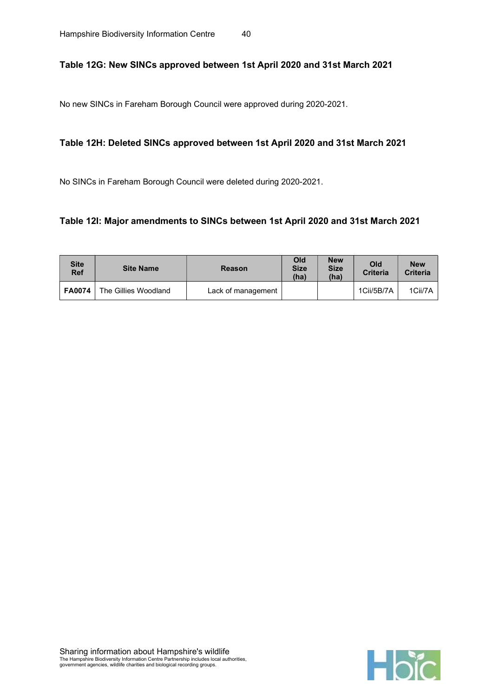#### Table 12G: New SINCs approved between 1st April 2020 and 31st March 2021

No new SINCs in Fareham Borough Council were approved during 2020-2021.

#### Table 12H: Deleted SINCs approved between 1st April 2020 and 31st March 2021

No SINCs in Fareham Borough Council were deleted during 2020-2021.

#### Table 12I: Major amendments to SINCs between 1st April 2020 and 31st March 2021

| <b>Site</b><br><b>Ref</b> | <b>Site Name</b>     | <b>Reason</b>      | Old<br><b>Size</b><br>(ha) | <b>New</b><br><b>Size</b><br>(ha) | Old<br><b>Criteria</b> | <b>New</b><br><b>Criteria</b> |
|---------------------------|----------------------|--------------------|----------------------------|-----------------------------------|------------------------|-------------------------------|
| <b>FA0074</b>             | The Gillies Woodland | Lack of management |                            |                                   | 1Cii/5B/7A             | 1Cii/7A                       |

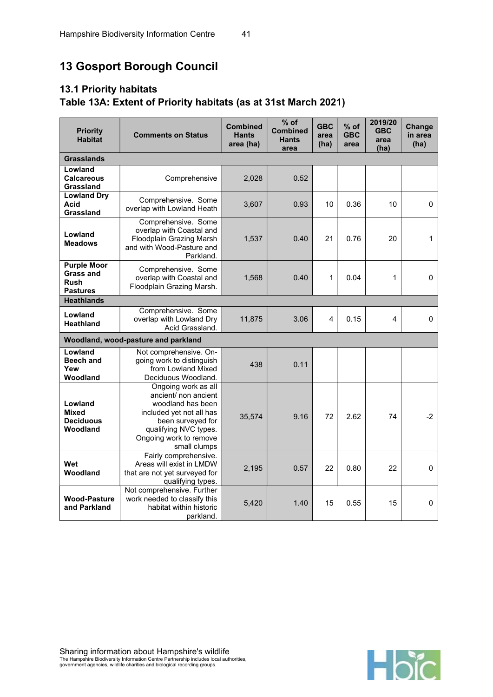# 13 Gosport Borough Council

## 13.1 Priority habitats Table 13A: Extent of Priority habitats (as at 31st March 2021)

| <b>Priority</b><br><b>Comments on Status</b><br><b>Habitat</b>           |                                                                                                                                                                                      | <b>Combined</b><br><b>Hants</b><br>area (ha) | $%$ of<br><b>Combined</b><br><b>Hants</b><br>area | <b>GBC</b><br>area<br>(ha) | $%$ of<br><b>GBC</b><br>area | 2019/20<br><b>GBC</b><br>area<br>(ha) | Change<br>in area<br>(ha) |
|--------------------------------------------------------------------------|--------------------------------------------------------------------------------------------------------------------------------------------------------------------------------------|----------------------------------------------|---------------------------------------------------|----------------------------|------------------------------|---------------------------------------|---------------------------|
| <b>Grasslands</b>                                                        |                                                                                                                                                                                      |                                              |                                                   |                            |                              |                                       |                           |
| Lowland<br><b>Calcareous</b><br>Grassland                                | Comprehensive                                                                                                                                                                        | 2,028                                        | 0.52                                              |                            |                              |                                       |                           |
| <b>Lowland Dry</b><br>Acid<br>Grassland                                  | Comprehensive. Some<br>overlap with Lowland Heath                                                                                                                                    | 3,607                                        | 0.93                                              | 10                         | 0.36                         | 10                                    | 0                         |
| Lowland<br><b>Meadows</b>                                                | Comprehensive. Some<br>overlap with Coastal and<br><b>Floodplain Grazing Marsh</b><br>and with Wood-Pasture and<br>Parkland.                                                         | 1,537                                        | 0.40                                              | 21                         | 0.76                         | 20                                    | 1                         |
| <b>Purple Moor</b><br><b>Grass and</b><br><b>Rush</b><br><b>Pastures</b> | Comprehensive. Some<br>overlap with Coastal and<br>Floodplain Grazing Marsh.                                                                                                         | 1,568                                        | 0.40                                              | 1                          | 0.04                         | 1                                     | $\mathbf 0$               |
| <b>Heathlands</b>                                                        |                                                                                                                                                                                      |                                              |                                                   |                            |                              |                                       |                           |
| Lowland<br>Heathland                                                     | Comprehensive. Some<br>overlap with Lowland Dry<br>Acid Grassland.                                                                                                                   | 11,875                                       | 3.06                                              | 4                          | 0.15                         | 4                                     | $\mathbf 0$               |
|                                                                          | Woodland, wood-pasture and parkland                                                                                                                                                  |                                              |                                                   |                            |                              |                                       |                           |
| Lowland<br><b>Beech and</b><br>Yew<br>Woodland                           | Not comprehensive. On-<br>going work to distinguish<br>from Lowland Mixed<br>Deciduous Woodland.                                                                                     | 438                                          | 0.11                                              |                            |                              |                                       |                           |
| Lowland<br>Mixed<br><b>Deciduous</b><br>Woodland                         | Ongoing work as all<br>ancient/ non ancient<br>woodland has been<br>included yet not all has<br>been surveyed for<br>qualifying NVC types.<br>Ongoing work to remove<br>small clumps | 35,574                                       | 9.16                                              | 72                         | 2.62                         | 74                                    | $-2$                      |
| Wet<br>Woodland                                                          | Fairly comprehensive.<br>Areas will exist in LMDW<br>that are not yet surveyed for<br>qualifying types.                                                                              | 2,195                                        | 0.57                                              | 22                         | 0.80                         | 22                                    | $\mathbf 0$               |
| <b>Wood-Pasture</b><br>and Parkland                                      | Not comprehensive. Further<br>work needed to classify this<br>habitat within historic<br>parkland.                                                                                   | 5,420                                        | 1.40                                              | 15                         | 0.55                         | 15                                    | $\mathbf 0$               |

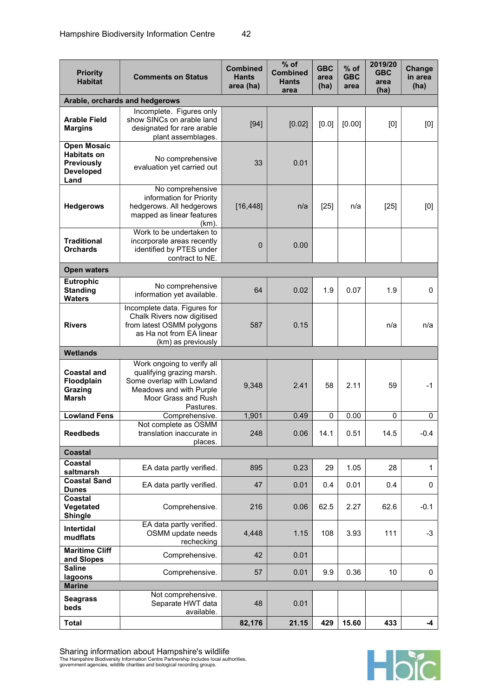| <b>Priority</b><br><b>Comments on Status</b><br><b>Habitat</b>                            |                                                                                                                                                     | <b>Combined</b><br>Hants<br>area (ha) | $%$ of<br><b>Combined</b><br><b>Hants</b><br>area | <b>GBC</b><br>area<br>(ha) | % of<br><b>GBC</b><br>area | 2019/20<br><b>GBC</b><br>area<br>(ha) | Change<br>in area<br>(ha) |
|-------------------------------------------------------------------------------------------|-----------------------------------------------------------------------------------------------------------------------------------------------------|---------------------------------------|---------------------------------------------------|----------------------------|----------------------------|---------------------------------------|---------------------------|
|                                                                                           | Arable, orchards and hedgerows                                                                                                                      |                                       |                                                   |                            |                            |                                       |                           |
| <b>Arable Field</b><br><b>Margins</b>                                                     | Incomplete. Figures only<br>show SINCs on arable land<br>designated for rare arable<br>plant assemblages.                                           | $[94]$                                | [0.02]                                            | [0.0]                      | [0.00]                     | [0]                                   | [0]                       |
| <b>Open Mosaic</b><br><b>Habitats on</b><br><b>Previously</b><br><b>Developed</b><br>Land | No comprehensive<br>evaluation yet carried out                                                                                                      | 33                                    | 0.01                                              |                            |                            |                                       |                           |
| <b>Hedgerows</b>                                                                          | No comprehensive<br>information for Priority<br>hedgerows. All hedgerows<br>mapped as linear features<br>$(km)$ .                                   | [16, 448]                             | n/a                                               | $[25]$                     | n/a                        | $[25]$                                | [0]                       |
| <b>Traditional</b><br><b>Orchards</b>                                                     | Work to be undertaken to<br>incorporate areas recently<br>identified by PTES under<br>contract to NE.                                               | $\mathbf{0}$                          | 0.00                                              |                            |                            |                                       |                           |
| <b>Open waters</b>                                                                        |                                                                                                                                                     |                                       |                                                   |                            |                            |                                       |                           |
| <b>Eutrophic</b><br><b>Standing</b><br><b>Waters</b>                                      | No comprehensive<br>information yet available.                                                                                                      | 64                                    | 0.02                                              | 1.9                        | 0.07                       | 1.9                                   | $\mathbf 0$               |
| <b>Rivers</b>                                                                             | Incomplete data. Figures for<br>Chalk Rivers now digitised<br>from latest OSMM polygons<br>as Ha not from EA linear<br>(km) as previously           | 587                                   | 0.15                                              |                            |                            | n/a                                   | n/a                       |
| <b>Wetlands</b>                                                                           |                                                                                                                                                     |                                       |                                                   |                            |                            |                                       |                           |
| <b>Coastal and</b><br><b>Floodplain</b><br>Grazing<br><b>Marsh</b>                        | Work ongoing to verify all<br>qualifying grazing marsh.<br>Some overlap with Lowland<br>Meadows and with Purple<br>Moor Grass and Rush<br>Pastures. | 9,348                                 | 2.41                                              | 58                         | 2.11                       | 59                                    | -1                        |
| <b>Lowland Fens</b>                                                                       | Comprehensive.                                                                                                                                      | 1,901                                 | 0.49                                              | 0                          | 0.00                       | 0                                     | 0                         |
| <b>Reedbeds</b>                                                                           | Not complete as OSMM<br>translation inaccurate in<br>places.                                                                                        | 248                                   | 0.06                                              | 14.1                       | 0.51                       | 14.5                                  | -0.4                      |
| <b>Coastal</b>                                                                            |                                                                                                                                                     |                                       |                                                   |                            |                            |                                       |                           |
| Coastal<br>saltmarsh                                                                      | EA data partly verified.                                                                                                                            | 895                                   | 0.23                                              | 29                         | 1.05                       | 28                                    | $\mathbf{1}$              |
| <b>Coastal Sand</b><br><b>Dunes</b>                                                       | EA data partly verified.                                                                                                                            | 47                                    | 0.01                                              | 0.4                        | 0.01                       | 0.4                                   | 0                         |
| Coastal<br>Vegetated<br><b>Shingle</b>                                                    | Comprehensive.                                                                                                                                      | 216                                   | 0.06                                              | 62.5                       | 2.27                       | 62.6                                  | $-0.1$                    |
| Intertidal<br>mudflats                                                                    | EA data partly verified.<br>OSMM update needs<br>rechecking                                                                                         | 4,448                                 | 1.15                                              | 108                        | 3.93                       | 111                                   | $-3$                      |
| <b>Maritime Cliff</b><br>and Slopes                                                       | Comprehensive.                                                                                                                                      | 42                                    | 0.01                                              |                            |                            |                                       |                           |
| <b>Saline</b><br>lagoons                                                                  | Comprehensive.                                                                                                                                      | 57                                    | 0.01                                              | 9.9                        | 0.36                       | 10                                    | 0                         |
| <b>Marine</b>                                                                             |                                                                                                                                                     |                                       |                                                   |                            |                            |                                       |                           |
| <b>Seagrass</b><br>beds                                                                   | Not comprehensive.<br>Separate HWT data<br>available.                                                                                               | 48                                    | 0.01                                              |                            |                            |                                       |                           |
| <b>Total</b>                                                                              |                                                                                                                                                     | 82,176                                | 21.15                                             | 429                        | 15.60                      | 433                                   | -4                        |



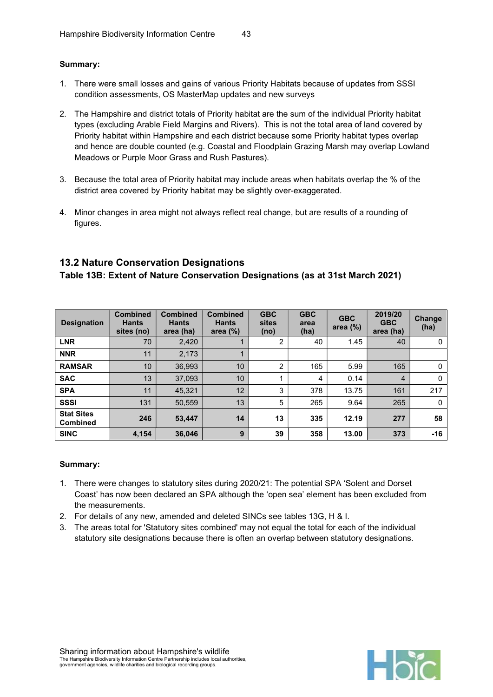#### Summary:

- 1. There were small losses and gains of various Priority Habitats because of updates from SSSI condition assessments, OS MasterMap updates and new surveys
- 2. The Hampshire and district totals of Priority habitat are the sum of the individual Priority habitat types (excluding Arable Field Margins and Rivers). This is not the total area of land covered by Priority habitat within Hampshire and each district because some Priority habitat types overlap and hence are double counted (e.g. Coastal and Floodplain Grazing Marsh may overlap Lowland Meadows or Purple Moor Grass and Rush Pastures).
- 3. Because the total area of Priority habitat may include areas when habitats overlap the % of the district area covered by Priority habitat may be slightly over-exaggerated.
- 4. Minor changes in area might not always reflect real change, but are results of a rounding of figures.

## 13.2 Nature Conservation Designations

Table 13B: Extent of Nature Conservation Designations (as at 31st March 2021)

| <b>Designation</b>                   | <b>Combined</b><br><b>Hants</b><br>sites (no) | <b>Combined</b><br><b>Hants</b><br>area (ha) | <b>Combined</b><br><b>Hants</b><br>area $(\%)$ | <b>GBC</b><br>sites<br>(no) | <b>GBC</b><br>area<br>(ha) | <b>GBC</b><br>area $(\%)$ | 2019/20<br><b>GBC</b><br>area (ha) | Change<br>(ha) |
|--------------------------------------|-----------------------------------------------|----------------------------------------------|------------------------------------------------|-----------------------------|----------------------------|---------------------------|------------------------------------|----------------|
| <b>LNR</b>                           | 70                                            | 2,420                                        |                                                | 2                           | 40                         | 1.45                      | 40                                 | 0              |
| <b>NNR</b>                           | 11                                            | 2,173                                        |                                                |                             |                            |                           |                                    |                |
| <b>RAMSAR</b>                        | 10                                            | 36.993                                       | 10                                             | 2                           | 165                        | 5.99                      | 165                                | 0              |
| <b>SAC</b>                           | 13                                            | 37.093                                       | 10                                             |                             | 4                          | 0.14                      | $\overline{4}$                     | $\mathbf{0}$   |
| <b>SPA</b>                           | 11                                            | 45,321                                       | 12                                             | 3                           | 378                        | 13.75                     | 161                                | 217            |
| <b>SSSI</b>                          | 131                                           | 50,559                                       | 13                                             | 5                           | 265                        | 9.64                      | 265                                | $\mathbf{0}$   |
| <b>Stat Sites</b><br><b>Combined</b> | 246                                           | 53,447                                       | 14                                             | 13                          | 335                        | 12.19                     | 277                                | 58             |
| <b>SINC</b>                          | 4,154                                         | 36,046                                       | 9                                              | 39                          | 358                        | 13.00                     | 373                                | $-16$          |

- 1. There were changes to statutory sites during 2020/21: The potential SPA 'Solent and Dorset Coast' has now been declared an SPA although the 'open sea' element has been excluded from the measurements.
- 2. For details of any new, amended and deleted SINCs see tables 13G, H & I.
- 3. The areas total for 'Statutory sites combined' may not equal the total for each of the individual statutory site designations because there is often an overlap between statutory designations.

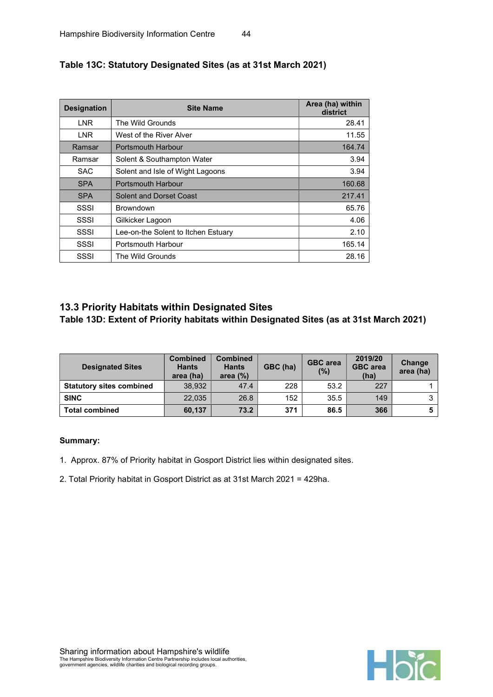| <b>Designation</b> | <b>Site Name</b>                    | Area (ha) within<br>district |
|--------------------|-------------------------------------|------------------------------|
| <b>LNR</b>         | The Wild Grounds                    | 28.41                        |
| <b>LNR</b>         | West of the River Alver             | 11.55                        |
| Ramsar             | <b>Portsmouth Harbour</b>           | 164.74                       |
| Ramsar             | Solent & Southampton Water          | 3.94                         |
| <b>SAC</b>         | Solent and Isle of Wight Lagoons    | 3.94                         |
| <b>SPA</b>         | <b>Portsmouth Harbour</b>           | 160.68                       |
| <b>SPA</b>         | Solent and Dorset Coast             | 217.41                       |
| SSSI               | <b>Browndown</b>                    | 65.76                        |
| SSSI               | Gilkicker Lagoon                    | 4.06                         |
| SSSI               | Lee-on-the Solent to Itchen Estuary | 2.10                         |
| SSSI               | Portsmouth Harbour                  | 165.14                       |
| SSSI               | The Wild Grounds                    | 28.16                        |

## Table 13C: Statutory Designated Sites (as at 31st March 2021)

## 13.3 Priority Habitats within Designated Sites Table 13D: Extent of Priority habitats within Designated Sites (as at 31st March 2021)

| <b>Designated Sites</b>         | <b>Combined</b><br><b>Hants</b><br>area (ha) | <b>Combined</b><br><b>Hants</b><br>area $(%)$ | GBC (ha) | <b>GBC</b> area<br>$(\%)$ | 2019/20<br><b>GBC</b> area<br>(ha) | Change<br>area (ha) |
|---------------------------------|----------------------------------------------|-----------------------------------------------|----------|---------------------------|------------------------------------|---------------------|
| <b>Statutory sites combined</b> | 38.932                                       | 47.4                                          | 228      | 53.2                      | 227                                |                     |
| <b>SINC</b>                     | 22.035                                       | 26.8                                          | 152      | 35.5                      | 149                                | ົ                   |
| <b>Total combined</b>           | 60.137                                       | 73.2                                          | 371      | 86.5                      | 366                                |                     |

#### Summary:

1. Approx. 87% of Priority habitat in Gosport District lies within designated sites.

2. Total Priority habitat in Gosport District as at 31st March 2021 = 429ha.

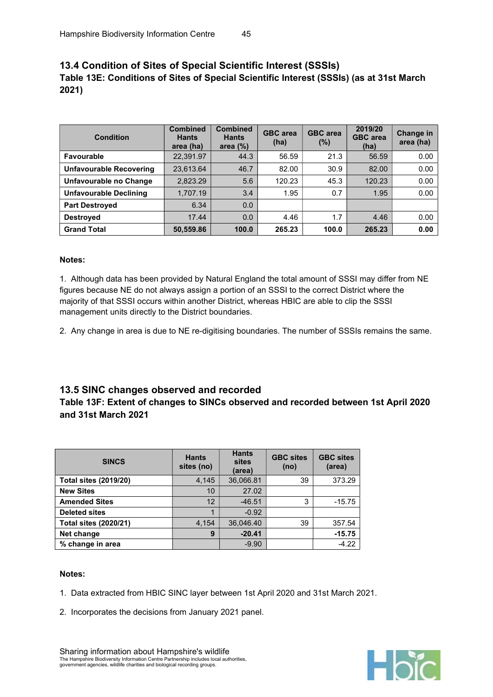## 13.4 Condition of Sites of Special Scientific Interest (SSSIs) Table 13E: Conditions of Sites of Special Scientific Interest (SSSIs) (as at 31st March 2021)

| <b>Condition</b>               | <b>Combined</b><br><b>Hants</b><br>area (ha) | <b>Combined</b><br><b>Hants</b><br>area $(\%)$ | <b>GBC</b> area<br>(ha) | <b>GBC</b> area<br>(%) | 2019/20<br><b>GBC</b> area<br>(ha) | <b>Change in</b><br>area (ha) |
|--------------------------------|----------------------------------------------|------------------------------------------------|-------------------------|------------------------|------------------------------------|-------------------------------|
| Favourable                     | 22,391.97                                    | 44.3                                           | 56.59                   | 21.3                   | 56.59                              | 0.00                          |
| <b>Unfavourable Recovering</b> | 23.613.64                                    | 46.7                                           | 82.00                   | 30.9                   | 82.00                              | 0.00                          |
| Unfavourable no Change         | 2,823.29                                     | 5.6                                            | 120.23                  | 45.3                   | 120.23                             | 0.00                          |
| <b>Unfavourable Declining</b>  | 1,707.19                                     | 3.4                                            | 1.95                    | 0.7                    | 1.95                               | 0.00                          |
| <b>Part Destroved</b>          | 6.34                                         | 0.0                                            |                         |                        |                                    |                               |
| <b>Destroyed</b>               | 17.44                                        | 0.0                                            | 4.46                    | 1.7                    | 4.46                               | 0.00                          |
| <b>Grand Total</b>             | 50,559.86                                    | 100.0                                          | 265.23                  | 100.0                  | 265.23                             | 0.00                          |

#### Notes:

1. Although data has been provided by Natural England the total amount of SSSI may differ from NE figures because NE do not always assign a portion of an SSSI to the correct District where the majority of that SSSI occurs within another District, whereas HBIC are able to clip the SSSI management units directly to the District boundaries.

2. Any change in area is due to NE re-digitising boundaries. The number of SSSIs remains the same.

#### 13.5 SINC changes observed and recorded

#### Table 13F: Extent of changes to SINCs observed and recorded between 1st April 2020 and 31st March 2021

| <b>SINCS</b>                 | <b>Hants</b><br>sites (no) | <b>Hants</b><br>sites<br>(area) | <b>GBC sites</b><br>(no) | <b>GBC sites</b><br>(area) |
|------------------------------|----------------------------|---------------------------------|--------------------------|----------------------------|
| <b>Total sites (2019/20)</b> | 4,145                      | 36,066.81                       | 39                       | 373.29                     |
| <b>New Sites</b>             | 10                         | 27.02                           |                          |                            |
| <b>Amended Sites</b>         | 12                         | $-46.51$                        | 3                        | $-15.75$                   |
| <b>Deleted sites</b>         |                            | $-0.92$                         |                          |                            |
| <b>Total sites (2020/21)</b> | 4,154                      | 36,046.40                       | 39                       | 357.54                     |
| Net change                   | 9                          | $-20.41$                        |                          | $-15.75$                   |
| % change in area             |                            | $-9.90$                         |                          | $-4.22$                    |

#### Notes:

- 1. Data extracted from HBIC SINC layer between 1st April 2020 and 31st March 2021.
- 2. Incorporates the decisions from January 2021 panel.

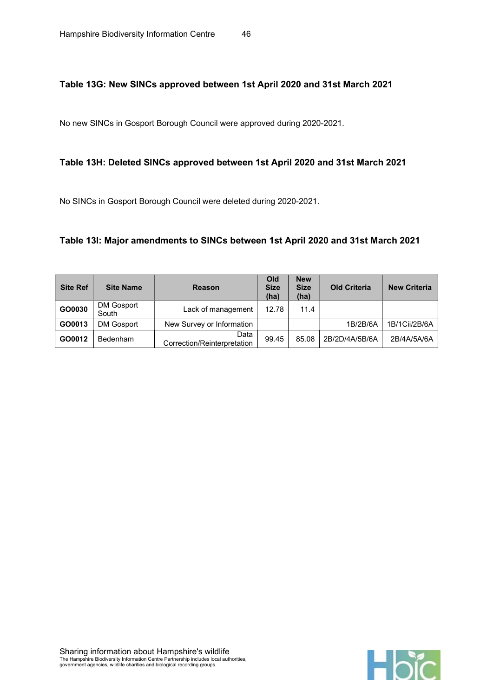### Table 13G: New SINCs approved between 1st April 2020 and 31st March 2021

No new SINCs in Gosport Borough Council were approved during 2020-2021.

#### Table 13H: Deleted SINCs approved between 1st April 2020 and 31st March 2021

No SINCs in Gosport Borough Council were deleted during 2020-2021.

#### Table 13I: Major amendments to SINCs between 1st April 2020 and 31st March 2021

| <b>Site Ref</b> | <b>Site Name</b>    | <b>Reason</b>                       | Old<br><b>Size</b><br>(ha) | <b>New</b><br><b>Size</b><br>(ha) | <b>Old Criteria</b> | <b>New Criteria</b> |
|-----------------|---------------------|-------------------------------------|----------------------------|-----------------------------------|---------------------|---------------------|
| GO0030          | DM Gosport<br>South | Lack of management                  | 12.78                      | 11.4                              |                     |                     |
| GO0013          | DM Gosport          | New Survey or Information           |                            |                                   | 1B/2B/6A            | 1B/1Cii/2B/6A       |
| GO0012          | Bedenham            | Data<br>Correction/Reinterpretation | 99.45                      | 85.08                             | 2B/2D/4A/5B/6A      | 2B/4A/5A/6A         |

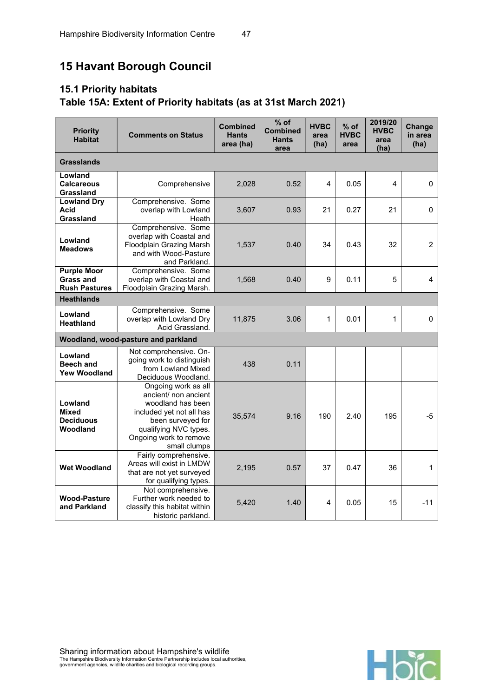# 15 Havant Borough Council

# 15.1 Priority habitats Table 15A: Extent of Priority habitats (as at 31st March 2021)

| <b>Priority</b><br><b>Comments on Status</b><br><b>Habitat</b> |                                                                                                                                                                                      | <b>Combined</b><br><b>Hants</b><br>area (ha) | $%$ of<br><b>Combined</b><br><b>Hants</b><br>area | <b>HVBC</b><br>area<br>(ha) | $%$ of<br><b>HVBC</b><br>area | 2019/20<br><b>HVBC</b><br>area<br>(ha) | Change<br>in area<br>(ha) |
|----------------------------------------------------------------|--------------------------------------------------------------------------------------------------------------------------------------------------------------------------------------|----------------------------------------------|---------------------------------------------------|-----------------------------|-------------------------------|----------------------------------------|---------------------------|
| <b>Grasslands</b>                                              |                                                                                                                                                                                      |                                              |                                                   |                             |                               |                                        |                           |
| Lowland<br><b>Calcareous</b><br>Grassland                      | Comprehensive                                                                                                                                                                        | 2,028                                        | 0.52                                              | 4                           | 0.05                          | 4                                      | 0                         |
| <b>Lowland Dry</b><br>Acid<br>Grassland                        | Comprehensive. Some<br>overlap with Lowland<br>Heath                                                                                                                                 | 3,607                                        | 0.93                                              | 21                          | 0.27                          | 21                                     | 0                         |
| Lowland<br><b>Meadows</b>                                      | Comprehensive. Some<br>overlap with Coastal and<br>Floodplain Grazing Marsh<br>and with Wood-Pasture<br>and Parkland.                                                                | 1,537                                        | 0.40                                              | 34                          | 0.43                          | 32                                     | $\overline{2}$            |
| <b>Purple Moor</b><br>Grass and<br><b>Rush Pastures</b>        | Comprehensive. Some<br>overlap with Coastal and<br>Floodplain Grazing Marsh.                                                                                                         | 1,568                                        | 0.40                                              | 9                           | 0.11                          | 5                                      | 4                         |
| <b>Heathlands</b>                                              |                                                                                                                                                                                      |                                              |                                                   |                             |                               |                                        |                           |
| Lowland<br><b>Heathland</b>                                    | Comprehensive. Some<br>overlap with Lowland Dry<br>Acid Grassland.                                                                                                                   | 11,875                                       | 3.06                                              | 1                           | 0.01                          | 1                                      | 0                         |
|                                                                | Woodland, wood-pasture and parkland                                                                                                                                                  |                                              |                                                   |                             |                               |                                        |                           |
| Lowland<br><b>Beech and</b><br><b>Yew Woodland</b>             | Not comprehensive. On-<br>going work to distinguish<br>from Lowland Mixed<br>Deciduous Woodland.                                                                                     | 438                                          | 0.11                                              |                             |                               |                                        |                           |
| Lowland<br><b>Mixed</b><br><b>Deciduous</b><br>Woodland        | Ongoing work as all<br>ancient/ non ancient<br>woodland has been<br>included yet not all has<br>been surveyed for<br>qualifying NVC types.<br>Ongoing work to remove<br>small clumps | 35,574                                       | 9.16                                              | 190                         | 2.40                          | 195                                    | $-5$                      |
| <b>Wet Woodland</b>                                            | Fairly comprehensive.<br>Areas will exist in LMDW<br>that are not yet surveyed<br>for qualifying types.                                                                              | 2,195                                        | 0.57                                              | 37                          | 0.47                          | 36                                     | 1                         |
| <b>Wood-Pasture</b><br>and Parkland                            | Not comprehensive.<br>Further work needed to<br>classify this habitat within<br>historic parkland.                                                                                   | 5,420                                        | 1.40                                              | 4                           | 0.05                          | 15                                     | $-11$                     |

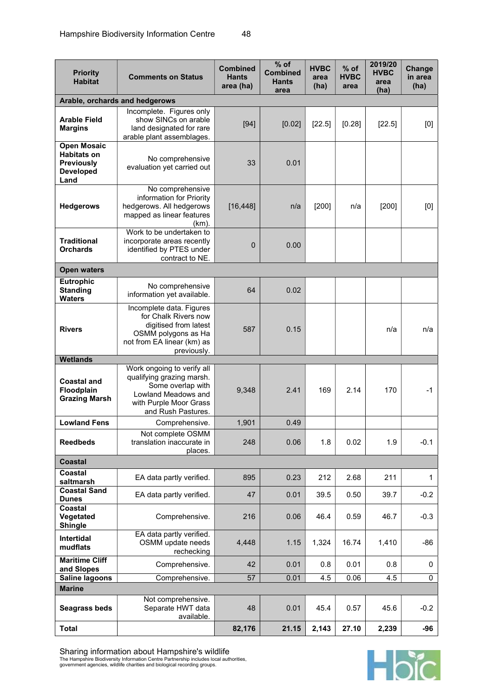| ۰.<br>× | v<br>I<br>۰. |
|---------|--------------|
|---------|--------------|

| <b>Priority</b><br><b>Habitat</b>                                                         | <b>Comments on Status</b>                                                                                                                     | <b>Combined</b><br><b>Hants</b><br>area (ha) | $%$ of<br><b>Combined</b><br><b>Hants</b><br>area | <b>HVBC</b><br>area<br>(ha) | % of<br><b>HVBC</b><br>area | 2019/20<br><b>HVBC</b><br>area<br>(ha) | Change<br>in area<br>(ha) |
|-------------------------------------------------------------------------------------------|-----------------------------------------------------------------------------------------------------------------------------------------------|----------------------------------------------|---------------------------------------------------|-----------------------------|-----------------------------|----------------------------------------|---------------------------|
|                                                                                           | Arable, orchards and hedgerows                                                                                                                |                                              |                                                   |                             |                             |                                        |                           |
| <b>Arable Field</b><br><b>Margins</b>                                                     | Incomplete. Figures only<br>show SINCs on arable<br>land designated for rare<br>arable plant assemblages.                                     | $[94]$                                       | [0.02]                                            | [22.5]                      | [0.28]                      | [22.5]                                 | [0]                       |
| <b>Open Mosaic</b><br><b>Habitats on</b><br><b>Previously</b><br><b>Developed</b><br>Land | No comprehensive<br>evaluation yet carried out                                                                                                | 33                                           | 0.01                                              |                             |                             |                                        |                           |
| <b>Hedgerows</b>                                                                          | No comprehensive<br>information for Priority<br>hedgerows. All hedgerows<br>mapped as linear features<br>$(km)$ .                             | [16, 448]                                    | n/a                                               | [200]                       | n/a                         | [200]                                  | [0]                       |
| <b>Traditional</b><br><b>Orchards</b>                                                     | Work to be undertaken to<br>incorporate areas recently<br>identified by PTES under<br>contract to NE.                                         | $\mathbf 0$                                  | 0.00                                              |                             |                             |                                        |                           |
| <b>Open waters</b>                                                                        |                                                                                                                                               |                                              |                                                   |                             |                             |                                        |                           |
| Eutrophic<br><b>Standing</b><br><b>Waters</b>                                             | No comprehensive<br>information yet available.                                                                                                | 64                                           | 0.02                                              |                             |                             |                                        |                           |
| <b>Rivers</b>                                                                             | Incomplete data. Figures<br>for Chalk Rivers now<br>digitised from latest<br>OSMM polygons as Ha<br>not from EA linear (km) as<br>previously. | 587                                          | 0.15                                              |                             |                             | n/a                                    | n/a                       |
| <b>Wetlands</b>                                                                           | Work ongoing to verify all                                                                                                                    |                                              |                                                   |                             |                             |                                        |                           |
| <b>Coastal and</b><br>Floodplain<br><b>Grazing Marsh</b>                                  | qualifying grazing marsh.<br>Some overlap with<br>Lowland Meadows and<br>with Purple Moor Grass<br>and Rush Pastures.                         | 9,348                                        | 2.41                                              | 169                         | 2.14                        | 170                                    | $-1$                      |
| <b>Lowland Fens</b>                                                                       | Comprehensive.                                                                                                                                | 1,901                                        | 0.49                                              |                             |                             |                                        |                           |
| <b>Reedbeds</b>                                                                           | Not complete OSMM<br>translation inaccurate in<br>places.                                                                                     | 248                                          | 0.06                                              | 1.8                         | 0.02                        | 1.9                                    | $-0.1$                    |
| <b>Coastal</b>                                                                            |                                                                                                                                               |                                              |                                                   |                             |                             |                                        |                           |
| Coastal<br>saltmarsh                                                                      | EA data partly verified.                                                                                                                      | 895                                          | 0.23                                              | 212                         | 2.68                        | 211                                    | 1                         |
| <b>Coastal Sand</b><br><b>Dunes</b>                                                       | EA data partly verified.                                                                                                                      | 47                                           | 0.01                                              | 39.5                        | 0.50                        | 39.7                                   | $-0.2$                    |
| Coastal<br>Vegetated<br><b>Shingle</b>                                                    | Comprehensive.                                                                                                                                | 216                                          | 0.06                                              | 46.4                        | 0.59                        | 46.7                                   | $-0.3$                    |
| <b>Intertidal</b><br>mudflats                                                             | EA data partly verified.<br>OSMM update needs<br>rechecking                                                                                   | 4,448                                        | 1.15                                              | 1,324                       | 16.74                       | 1,410                                  | $-86$                     |
| <b>Maritime Cliff</b><br>and Slopes                                                       | Comprehensive.                                                                                                                                | 42                                           | 0.01                                              | 0.8                         | 0.01                        | 0.8                                    | 0                         |
| <b>Saline lagoons</b>                                                                     | Comprehensive.                                                                                                                                | 57                                           | 0.01                                              | 4.5                         | 0.06                        | 4.5                                    | 0                         |
| <b>Marine</b>                                                                             |                                                                                                                                               |                                              |                                                   |                             |                             |                                        |                           |
| <b>Seagrass beds</b>                                                                      | Not comprehensive.<br>Separate HWT data<br>available.                                                                                         | 48                                           | 0.01                                              | 45.4                        | 0.57                        | 45.6                                   | $-0.2$                    |
| <b>Total</b>                                                                              |                                                                                                                                               | 82,176                                       | 21.15                                             | 2,143                       | 27.10                       | 2,239                                  | $-96$                     |

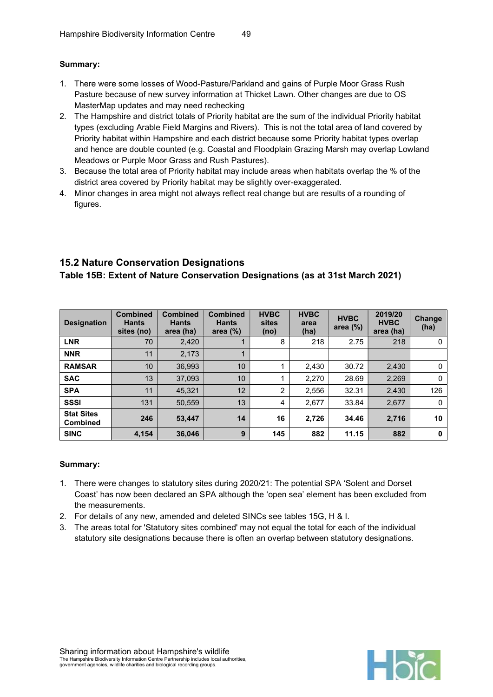### Summary:

- 1. There were some losses of Wood-Pasture/Parkland and gains of Purple Moor Grass Rush Pasture because of new survey information at Thicket Lawn. Other changes are due to OS MasterMap updates and may need rechecking
- 2. The Hampshire and district totals of Priority habitat are the sum of the individual Priority habitat types (excluding Arable Field Margins and Rivers). This is not the total area of land covered by Priority habitat within Hampshire and each district because some Priority habitat types overlap and hence are double counted (e.g. Coastal and Floodplain Grazing Marsh may overlap Lowland Meadows or Purple Moor Grass and Rush Pastures).
- 3. Because the total area of Priority habitat may include areas when habitats overlap the % of the district area covered by Priority habitat may be slightly over-exaggerated.
- 4. Minor changes in area might not always reflect real change but are results of a rounding of figures.

## 15.2 Nature Conservation Designations

## Table 15B: Extent of Nature Conservation Designations (as at 31st March 2021)

| <b>Designation</b>                   | <b>Combined</b><br><b>Hants</b><br>sites (no) | <b>Combined</b><br><b>Hants</b><br>area (ha) | <b>Combined</b><br><b>Hants</b><br>area $(\%)$ | <b>HVBC</b><br>sites<br>(no) | <b>HVBC</b><br>area<br>(ha) | <b>HVBC</b><br>area $(\%)$ | 2019/20<br><b>HVBC</b><br>area (ha) | <b>Change</b><br>(ha) |
|--------------------------------------|-----------------------------------------------|----------------------------------------------|------------------------------------------------|------------------------------|-----------------------------|----------------------------|-------------------------------------|-----------------------|
| <b>LNR</b>                           | 70                                            | 2,420                                        |                                                | 8                            | 218                         | 2.75                       | 218                                 | 0                     |
| <b>NNR</b>                           | 11                                            | 2,173                                        |                                                |                              |                             |                            |                                     |                       |
| <b>RAMSAR</b>                        | 10                                            | 36,993                                       | 10                                             |                              | 2,430                       | 30.72                      | 2,430                               | $\Omega$              |
| <b>SAC</b>                           | 13                                            | 37.093                                       | 10                                             |                              | 2.270                       | 28.69                      | 2,269                               | 0                     |
| <b>SPA</b>                           | 11                                            | 45,321                                       | 12                                             | 2                            | 2.556                       | 32.31                      | 2,430                               | 126                   |
| <b>SSSI</b>                          | 131                                           | 50,559                                       | 13                                             | 4                            | 2,677                       | 33.84                      | 2,677                               | 0                     |
| <b>Stat Sites</b><br><b>Combined</b> | 246                                           | 53,447                                       | 14                                             | 16                           | 2.726                       | 34.46                      | 2,716                               | 10                    |
| <b>SINC</b>                          | 4,154                                         | 36,046                                       | 9                                              | 145                          | 882                         | 11.15                      | 882                                 | 0                     |

- 1. There were changes to statutory sites during 2020/21: The potential SPA 'Solent and Dorset Coast' has now been declared an SPA although the 'open sea' element has been excluded from the measurements.
- 2. For details of any new, amended and deleted SINCs see tables 15G, H & I.
- 3. The areas total for 'Statutory sites combined' may not equal the total for each of the individual statutory site designations because there is often an overlap between statutory designations.

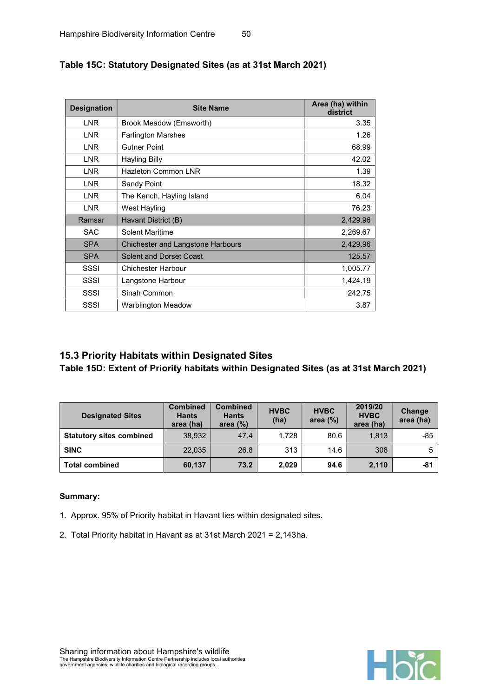| <b>Designation</b> | <b>Site Name</b>                         | Area (ha) within<br>district |
|--------------------|------------------------------------------|------------------------------|
| LNR                | Brook Meadow (Emsworth)                  | 3.35                         |
| <b>LNR</b>         | <b>Farlington Marshes</b>                | 1.26                         |
| <b>LNR</b>         | <b>Gutner Point</b>                      | 68.99                        |
| <b>LNR</b>         | <b>Hayling Billy</b>                     | 42.02                        |
| <b>LNR</b>         | <b>Hazleton Common LNR</b>               | 1.39                         |
| <b>LNR</b>         | Sandy Point                              | 18.32                        |
| <b>LNR</b>         | The Kench, Hayling Island                | 6.04                         |
| LNR                | West Hayling                             | 76.23                        |
| Ramsar             | Havant District (B)                      | 2,429.96                     |
| <b>SAC</b>         | Solent Maritime                          | 2,269.67                     |
| <b>SPA</b>         | <b>Chichester and Langstone Harbours</b> | 2,429.96                     |
| <b>SPA</b>         | Solent and Dorset Coast                  | 125.57                       |
| SSSI               | Chichester Harbour                       | 1,005.77                     |
| SSSI               | Langstone Harbour                        | 1,424.19                     |
| SSSI               | Sinah Common                             | 242.75                       |
| SSSI               | Warblington Meadow                       | 3.87                         |

## Table 15C: Statutory Designated Sites (as at 31st March 2021)

## 15.3 Priority Habitats within Designated Sites

Table 15D: Extent of Priority habitats within Designated Sites (as at 31st March 2021)

| <b>Designated Sites</b>         | <b>Combined</b><br><b>Hants</b><br>area (ha) | <b>Combined</b><br><b>Hants</b><br>area $(%)$ | <b>HVBC</b><br>(ha) | <b>HVBC</b><br>area $(\%)$ | 2019/20<br><b>HVBC</b><br>area (ha) | Change<br>area (ha) |
|---------------------------------|----------------------------------------------|-----------------------------------------------|---------------------|----------------------------|-------------------------------------|---------------------|
| <b>Statutory sites combined</b> | 38.932                                       | 47.4                                          | 1.728               | 80.6                       | 1.813                               | $-85$               |
| <b>SINC</b>                     | 22.035                                       | 26.8                                          | 313                 | 14.6                       | 308                                 | 5                   |
| <b>Total combined</b>           | 60,137                                       | 73.2                                          | 2,029               | 94.6                       | 2,110                               | -81                 |

- 1. Approx. 95% of Priority habitat in Havant lies within designated sites.
- 2. Total Priority habitat in Havant as at 31st March 2021 = 2,143ha.

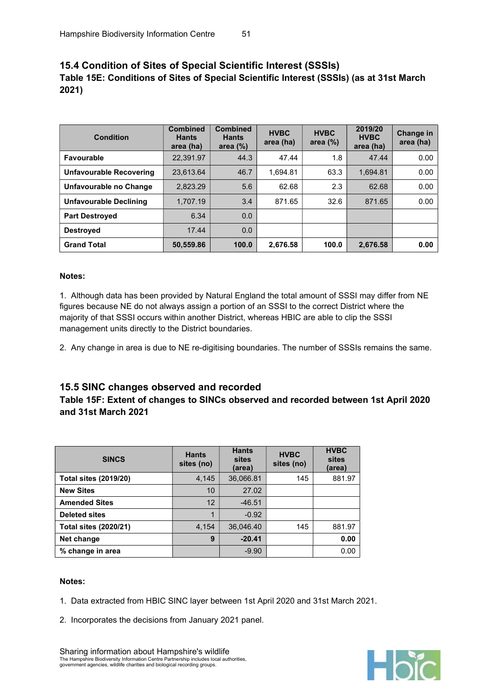## 15.4 Condition of Sites of Special Scientific Interest (SSSIs) Table 15E: Conditions of Sites of Special Scientific Interest (SSSIs) (as at 31st March 2021)

| <b>Condition</b>        | <b>Combined</b><br><b>Hants</b><br>area (ha) | <b>Combined</b><br><b>Hants</b><br>area $(\%)$ | <b>HVBC</b><br>area (ha) | <b>HVBC</b><br>area $(\%)$ | 2019/20<br><b>HVBC</b><br>area (ha) | Change in<br>area (ha) |
|-------------------------|----------------------------------------------|------------------------------------------------|--------------------------|----------------------------|-------------------------------------|------------------------|
| <b>Favourable</b>       | 22,391.97                                    | 44.3                                           | 47.44                    | 1.8                        | 47.44                               | 0.00                   |
| Unfavourable Recovering | 23.613.64                                    | 46.7                                           | 1.694.81                 | 63.3                       | 1.694.81                            | 0.00                   |
| Unfavourable no Change  | 2.823.29                                     | 5.6                                            | 62.68                    | 2.3                        | 62.68                               | 0.00                   |
| Unfavourable Declining  | 1,707.19                                     | 3.4                                            | 871.65                   | 32.6                       | 871.65                              | 0.00                   |
| <b>Part Destroyed</b>   | 6.34                                         | 0.0                                            |                          |                            |                                     |                        |
| <b>Destroyed</b>        | 17.44                                        | 0.0                                            |                          |                            |                                     |                        |
| <b>Grand Total</b>      | 50,559.86                                    | 100.0                                          | 2,676.58                 | 100.0                      | 2.676.58                            | 0.00                   |

#### Notes:

1. Although data has been provided by Natural England the total amount of SSSI may differ from NE figures because NE do not always assign a portion of an SSSI to the correct District where the majority of that SSSI occurs within another District, whereas HBIC are able to clip the SSSI management units directly to the District boundaries.

2. Any change in area is due to NE re-digitising boundaries. The number of SSSIs remains the same.

#### 15.5 SINC changes observed and recorded

## Table 15F: Extent of changes to SINCs observed and recorded between 1st April 2020 and 31st March 2021

| <b>SINCS</b>                 | <b>Hants</b><br>sites (no) | <b>Hants</b><br>sites<br>(area) | <b>HVBC</b><br>sites (no) | <b>HVBC</b><br>sites<br>(area) |
|------------------------------|----------------------------|---------------------------------|---------------------------|--------------------------------|
| <b>Total sites (2019/20)</b> | 4,145                      | 36,066.81                       | 145                       | 881.97                         |
| <b>New Sites</b>             | 10                         | 27.02                           |                           |                                |
| <b>Amended Sites</b>         | 12                         | $-46.51$                        |                           |                                |
| <b>Deleted sites</b>         |                            | $-0.92$                         |                           |                                |
| <b>Total sites (2020/21)</b> | 4,154                      | 36,046.40                       | 145                       | 881.97                         |
| Net change                   | 9                          | $-20.41$                        |                           | 0.00                           |
| % change in area             |                            | $-9.90$                         |                           | 0.00                           |

#### Notes:

- 1. Data extracted from HBIC SINC layer between 1st April 2020 and 31st March 2021.
- 2. Incorporates the decisions from January 2021 panel.



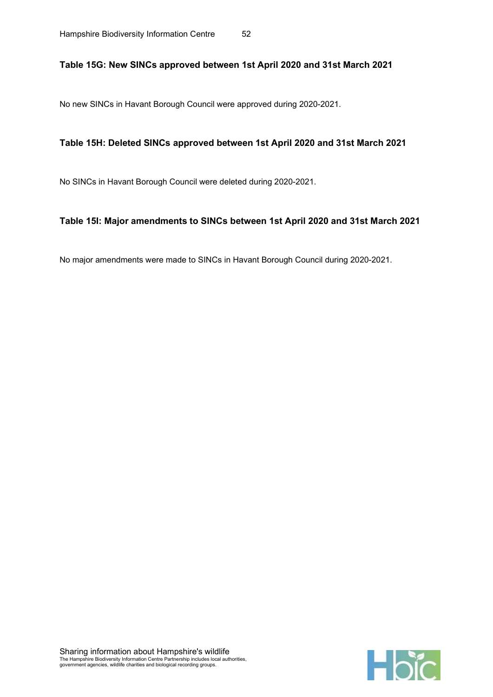#### Table 15G: New SINCs approved between 1st April 2020 and 31st March 2021

No new SINCs in Havant Borough Council were approved during 2020-2021.

#### Table 15H: Deleted SINCs approved between 1st April 2020 and 31st March 2021

No SINCs in Havant Borough Council were deleted during 2020-2021.

#### Table 15I: Major amendments to SINCs between 1st April 2020 and 31st March 2021

No major amendments were made to SINCs in Havant Borough Council during 2020-2021.

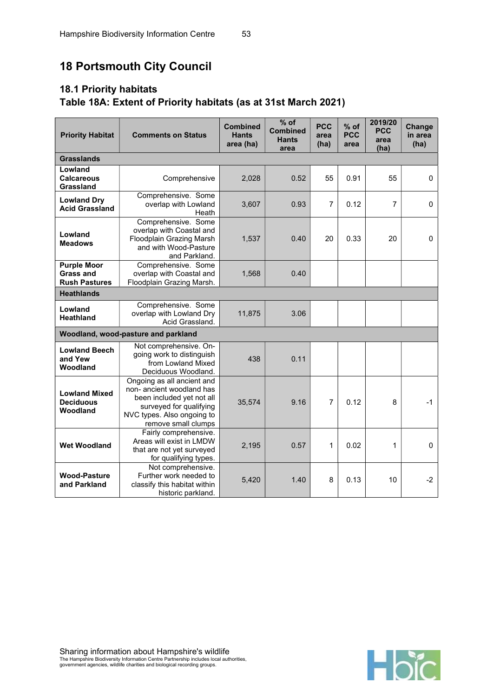# 18 Portsmouth City Council

# 18.1 Priority habitats Table 18A: Extent of Priority habitats (as at 31st March 2021)

| <b>Priority Habitat</b>                                        | <b>Comments on Status</b>                                                                                                                                            | <b>Combined</b><br><b>Hants</b><br>area (ha) | $%$ of<br><b>Combined</b><br><b>Hants</b><br>area | <b>PCC</b><br>area<br>(ha) | $%$ of<br><b>PCC</b><br>area | 2019/20<br><b>PCC</b><br>area<br>(ha) | Change<br>in area<br>(ha) |
|----------------------------------------------------------------|----------------------------------------------------------------------------------------------------------------------------------------------------------------------|----------------------------------------------|---------------------------------------------------|----------------------------|------------------------------|---------------------------------------|---------------------------|
| <b>Grasslands</b>                                              |                                                                                                                                                                      |                                              |                                                   |                            |                              |                                       |                           |
| Lowland<br><b>Calcareous</b><br>Grassland                      | Comprehensive                                                                                                                                                        | 2,028                                        | 0.52                                              | 55                         | 0.91                         | 55                                    | $\mathbf 0$               |
| <b>Lowland Dry</b><br><b>Acid Grassland</b>                    | Comprehensive. Some<br>overlap with Lowland<br>Heath                                                                                                                 | 3,607                                        | 0.93                                              | $\overline{7}$             | 0.12                         | $\overline{7}$                        | $\Omega$                  |
| Lowland<br><b>Meadows</b>                                      | Comprehensive. Some<br>overlap with Coastal and<br>Floodplain Grazing Marsh<br>and with Wood-Pasture<br>and Parkland.                                                | 1,537                                        | 0.40                                              | 20                         | 0.33                         | 20                                    | $\pmb{0}$                 |
| <b>Purple Moor</b><br><b>Grass and</b><br><b>Rush Pastures</b> | Comprehensive. Some<br>overlap with Coastal and<br>Floodplain Grazing Marsh.                                                                                         | 1,568                                        | 0.40                                              |                            |                              |                                       |                           |
| <b>Heathlands</b>                                              |                                                                                                                                                                      |                                              |                                                   |                            |                              |                                       |                           |
| Lowland<br>Heathland                                           | Comprehensive. Some<br>overlap with Lowland Dry<br>Acid Grassland.                                                                                                   | 11,875                                       | 3.06                                              |                            |                              |                                       |                           |
|                                                                | Woodland, wood-pasture and parkland                                                                                                                                  |                                              |                                                   |                            |                              |                                       |                           |
| <b>Lowland Beech</b><br>and Yew<br>Woodland                    | Not comprehensive. On-<br>going work to distinguish<br>from Lowland Mixed<br>Deciduous Woodland.                                                                     | 438                                          | 0.11                                              |                            |                              |                                       |                           |
| <b>Lowland Mixed</b><br><b>Deciduous</b><br>Woodland           | Ongoing as all ancient and<br>non- ancient woodland has<br>been included yet not all<br>surveyed for qualifying<br>NVC types. Also ongoing to<br>remove small clumps | 35,574                                       | 9.16                                              | 7                          | 0.12                         | 8                                     | $-1$                      |
| <b>Wet Woodland</b>                                            | Fairly comprehensive.<br>Areas will exist in LMDW<br>that are not yet surveyed<br>for qualifying types.                                                              | 2,195                                        | 0.57                                              | 1                          | 0.02                         | 1                                     | $\mathbf 0$               |
| <b>Wood-Pasture</b><br>and Parkland                            | Not comprehensive.<br>Further work needed to<br>classify this habitat within<br>historic parkland.                                                                   | 5,420                                        | 1.40                                              | 8                          | 0.13                         | 10                                    | $-2$                      |

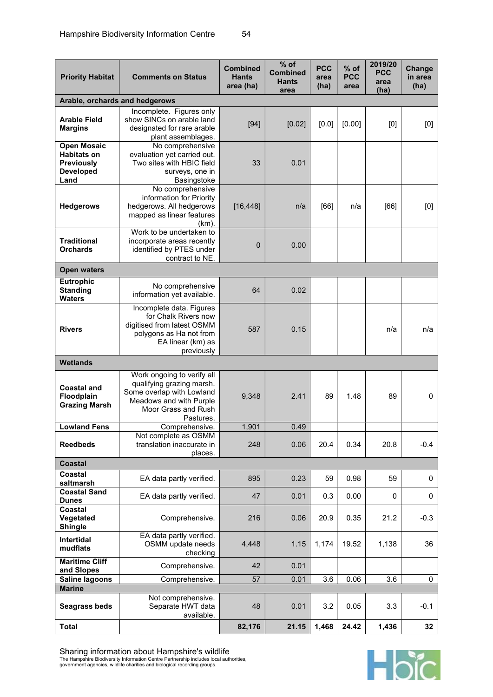| <b>Priority Habitat</b>                                                                   | <b>Comments on Status</b>                                                                                                                           | <b>Combined</b><br><b>Hants</b><br>area (ha) | $%$ of<br><b>Combined</b><br><b>Hants</b><br>area | <b>PCC</b><br>area<br>(ha) | $%$ of<br><b>PCC</b><br>area | 2019/20<br><b>PCC</b><br>area<br>(ha) | Change<br>in area<br>(ha) |
|-------------------------------------------------------------------------------------------|-----------------------------------------------------------------------------------------------------------------------------------------------------|----------------------------------------------|---------------------------------------------------|----------------------------|------------------------------|---------------------------------------|---------------------------|
| Arable, orchards and hedgerows                                                            |                                                                                                                                                     |                                              |                                                   |                            |                              |                                       |                           |
| <b>Arable Field</b><br><b>Margins</b>                                                     | Incomplete. Figures only<br>show SINCs on arable land<br>designated for rare arable<br>plant assemblages.                                           | $[94]$                                       | [0.02]                                            | [0.0]                      | [0.00]                       | [0]                                   | [0]                       |
| <b>Open Mosaic</b><br><b>Habitats on</b><br><b>Previously</b><br><b>Developed</b><br>Land | No comprehensive<br>evaluation yet carried out.<br>Two sites with HBIC field<br>surveys, one in<br>Basingstoke                                      | 33                                           | 0.01                                              |                            |                              |                                       |                           |
| <b>Hedgerows</b>                                                                          | No comprehensive<br>information for Priority<br>hedgerows. All hedgerows<br>mapped as linear features<br>$(km)$ .                                   | [16, 448]                                    | n/a                                               | [66]                       | n/a                          | [66]                                  | [0]                       |
| <b>Traditional</b><br><b>Orchards</b>                                                     | Work to be undertaken to<br>incorporate areas recently<br>identified by PTES under<br>contract to NE.                                               | $\overline{0}$                               | 0.00                                              |                            |                              |                                       |                           |
| <b>Open waters</b>                                                                        |                                                                                                                                                     |                                              |                                                   |                            |                              |                                       |                           |
| Eutrophic<br><b>Standing</b><br><b>Waters</b>                                             | No comprehensive<br>information yet available.                                                                                                      | 64                                           | 0.02                                              |                            |                              |                                       |                           |
| <b>Rivers</b>                                                                             | Incomplete data. Figures<br>for Chalk Rivers now<br>digitised from latest OSMM<br>polygons as Ha not from<br>EA linear (km) as<br>previously        | 587                                          | 0.15                                              |                            |                              | n/a                                   | n/a                       |
| <b>Wetlands</b>                                                                           |                                                                                                                                                     |                                              |                                                   |                            |                              |                                       |                           |
| <b>Coastal and</b><br>Floodplain<br><b>Grazing Marsh</b>                                  | Work ongoing to verify all<br>qualifying grazing marsh.<br>Some overlap with Lowland<br>Meadows and with Purple<br>Moor Grass and Rush<br>Pastures. | 9,348                                        | 2.41                                              | 89                         | 1.48                         | 89                                    | $\mathbf 0$               |
| <b>Lowland Fens</b>                                                                       | Comprehensive.                                                                                                                                      | 1,901                                        | 0.49                                              |                            |                              |                                       |                           |
| <b>Reedbeds</b>                                                                           | Not complete as OSMM<br>translation inaccurate in<br>places.                                                                                        | 248                                          | 0.06                                              | 20.4                       | 0.34                         | 20.8                                  | $-0.4$                    |
| Coastal                                                                                   |                                                                                                                                                     |                                              |                                                   |                            |                              |                                       |                           |
| Coastal<br>saltmarsh                                                                      | EA data partly verified.                                                                                                                            | 895                                          | 0.23                                              | 59                         | 0.98                         | 59                                    | $\mathbf 0$               |
| <b>Coastal Sand</b><br><b>Dunes</b>                                                       | EA data partly verified.                                                                                                                            | 47                                           | 0.01                                              | 0.3                        | 0.00                         | 0                                     | $\mathbf 0$               |
| Coastal<br>Vegetated<br><b>Shingle</b>                                                    | Comprehensive.                                                                                                                                      | 216                                          | 0.06                                              | 20.9                       | 0.35                         | 21.2                                  | $-0.3$                    |
| Intertidal<br>mudflats                                                                    | EA data partly verified.<br>OSMM update needs<br>checking                                                                                           | 4,448                                        | 1.15                                              | 1,174                      | 19.52                        | 1,138                                 | 36                        |
| <b>Maritime Cliff</b><br>and Slopes                                                       | Comprehensive.                                                                                                                                      | 42                                           | 0.01                                              |                            |                              |                                       |                           |
| <b>Saline lagoons</b>                                                                     | Comprehensive.                                                                                                                                      | 57                                           | 0.01                                              | $\overline{3.6}$           | 0.06                         | $\overline{3.6}$                      | $\mathbf 0$               |
| <b>Marine</b>                                                                             |                                                                                                                                                     |                                              |                                                   |                            |                              |                                       |                           |
| <b>Seagrass beds</b>                                                                      | Not comprehensive.<br>Separate HWT data<br>available.                                                                                               | 48                                           | 0.01                                              | 3.2                        | 0.05                         | 3.3                                   | $-0.1$                    |
| <b>Total</b>                                                                              |                                                                                                                                                     | 82,176                                       | 21.15                                             | 1,468                      | 24.42                        | 1,436                                 | 32                        |



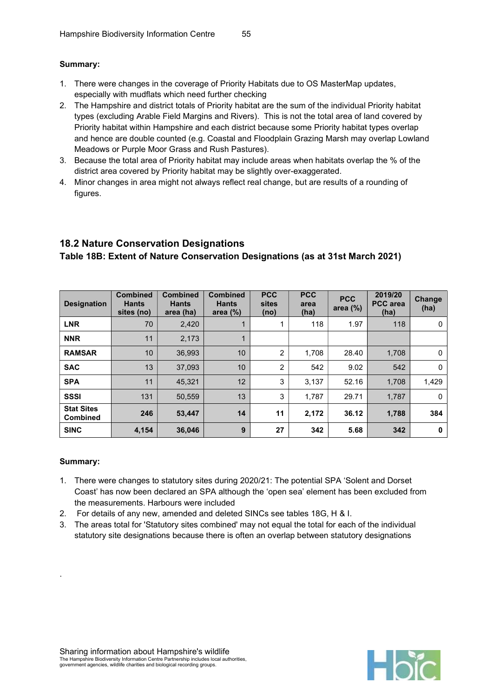#### Summary:

- 1. There were changes in the coverage of Priority Habitats due to OS MasterMap updates, especially with mudflats which need further checking
- 2. The Hampshire and district totals of Priority habitat are the sum of the individual Priority habitat types (excluding Arable Field Margins and Rivers). This is not the total area of land covered by Priority habitat within Hampshire and each district because some Priority habitat types overlap and hence are double counted (e.g. Coastal and Floodplain Grazing Marsh may overlap Lowland Meadows or Purple Moor Grass and Rush Pastures).
- 3. Because the total area of Priority habitat may include areas when habitats overlap the % of the district area covered by Priority habitat may be slightly over-exaggerated.
- 4. Minor changes in area might not always reflect real change, but are results of a rounding of figures.

## 18.2 Nature Conservation Designations Table 18B: Extent of Nature Conservation Designations (as at 31st March 2021)

| <b>Designation</b>                   | <b>Combined</b><br><b>Hants</b><br>sites (no) | <b>Combined</b><br><b>Hants</b><br>area (ha) | <b>Combined</b><br><b>Hants</b><br>area $(\%)$ | <b>PCC</b><br>sites<br>(no) | <b>PCC</b><br>area<br>(ha) | <b>PCC</b><br>area $(\%)$ | 2019/20<br><b>PCC</b> area<br>(ha) | <b>Change</b><br>(ha) |
|--------------------------------------|-----------------------------------------------|----------------------------------------------|------------------------------------------------|-----------------------------|----------------------------|---------------------------|------------------------------------|-----------------------|
| <b>LNR</b>                           | 70                                            | 2,420                                        |                                                |                             | 118                        | 1.97                      | 118                                | 0                     |
| <b>NNR</b>                           | 11                                            | 2,173                                        |                                                |                             |                            |                           |                                    |                       |
| <b>RAMSAR</b>                        | 10                                            | 36.993                                       | 10                                             | $\overline{2}$              | 1.708                      | 28.40                     | 1.708                              | $\mathbf{0}$          |
| <b>SAC</b>                           | 13                                            | 37.093                                       | 10                                             | $\overline{2}$              | 542                        | 9.02                      | 542                                | $\mathbf{0}$          |
| <b>SPA</b>                           | 11                                            | 45,321                                       | 12                                             | 3                           | 3,137                      | 52.16                     | 1,708                              | 1,429                 |
| <b>SSSI</b>                          | 131                                           | 50,559                                       | 13                                             | 3                           | 1,787                      | 29.71                     | 1,787                              | 0                     |
| <b>Stat Sites</b><br><b>Combined</b> | 246                                           | 53,447                                       | 14                                             | 11                          | 2,172                      | 36.12                     | 1,788                              | 384                   |
| <b>SINC</b>                          | 4,154                                         | 36,046                                       | 9                                              | 27                          | 342                        | 5.68                      | 342                                | 0                     |

#### Summary:

.

- 1. There were changes to statutory sites during 2020/21: The potential SPA 'Solent and Dorset Coast' has now been declared an SPA although the 'open sea' element has been excluded from the measurements. Harbours were included
- 2. For details of any new, amended and deleted SINCs see tables 18G, H & I.
- 3. The areas total for 'Statutory sites combined' may not equal the total for each of the individual statutory site designations because there is often an overlap between statutory designations

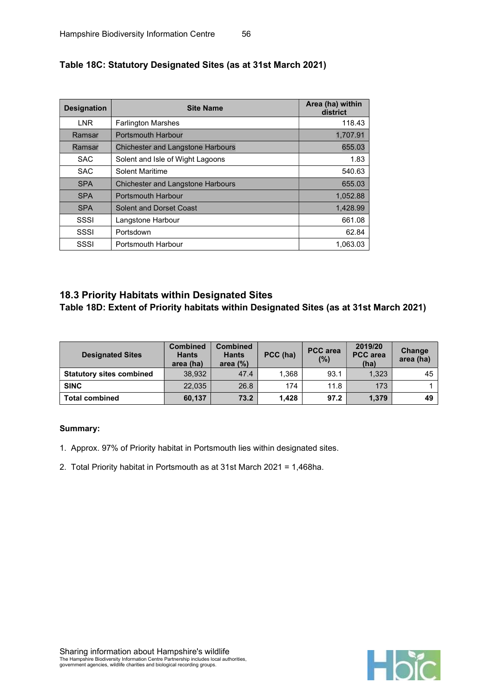| <b>Designation</b> | <b>Site Name</b>                         | Area (ha) within<br>district |
|--------------------|------------------------------------------|------------------------------|
| <b>LNR</b>         | <b>Farlington Marshes</b>                | 118.43                       |
| Ramsar             | <b>Portsmouth Harbour</b>                | 1,707.91                     |
| Ramsar             | <b>Chichester and Langstone Harbours</b> | 655.03                       |
| <b>SAC</b>         | Solent and Isle of Wight Lagoons         | 1.83                         |
| <b>SAC</b>         | <b>Solent Maritime</b>                   | 540.63                       |
| <b>SPA</b>         | <b>Chichester and Langstone Harbours</b> | 655.03                       |
| <b>SPA</b>         | <b>Portsmouth Harbour</b>                | 1,052.88                     |
| <b>SPA</b>         | <b>Solent and Dorset Coast</b>           | 1,428.99                     |
| SSSI               | Langstone Harbour                        | 661.08                       |
| SSSI               | Portsdown                                | 62.84                        |
| SSSI               | Portsmouth Harbour                       | 1.063.03                     |

### Table 18C: Statutory Designated Sites (as at 31st March 2021)

## 18.3 Priority Habitats within Designated Sites

Table 18D: Extent of Priority habitats within Designated Sites (as at 31st March 2021)

| <b>Designated Sites</b>         | <b>Combined</b><br><b>Hants</b><br>area (ha) | <b>Combined</b><br><b>Hants</b><br>area $(%)$ | PCC (ha) | <b>PCC</b> area<br>$(\%)$ | 2019/20<br><b>PCC</b> area<br>(ha) | Change<br>area (ha) |
|---------------------------------|----------------------------------------------|-----------------------------------------------|----------|---------------------------|------------------------------------|---------------------|
| <b>Statutory sites combined</b> | 38.932                                       | 47.4                                          | 1.368    | 93.1                      | 1.323                              | 45                  |
| <b>SINC</b>                     | 22.035                                       | 26.8                                          | 174      | 11.8                      | 173                                |                     |
| <b>Total combined</b>           | 60.137                                       | 73.2                                          | 1.428    | 97.2                      | 1,379                              | 49                  |

- 1. Approx. 97% of Priority habitat in Portsmouth lies within designated sites.
- 2. Total Priority habitat in Portsmouth as at 31st March 2021 = 1,468ha.

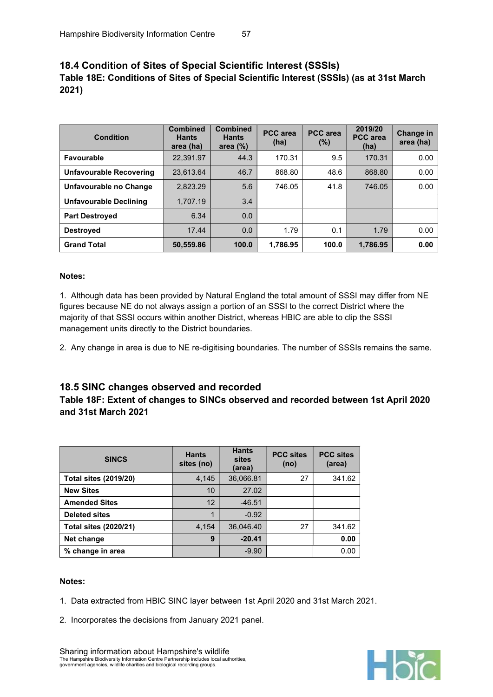## 18.4 Condition of Sites of Special Scientific Interest (SSSIs) Table 18E: Conditions of Sites of Special Scientific Interest (SSSIs) (as at 31st March 2021)

| <b>Condition</b>        | <b>Combined</b><br><b>Hants</b><br>area (ha) | <b>Combined</b><br><b>Hants</b><br>area $(\%)$ | <b>PCC</b> area<br>(ha) | <b>PCC</b> area<br>$(\%)$ | 2019/20<br><b>PCC</b> area<br>(ha) | Change in<br>area (ha) |
|-------------------------|----------------------------------------------|------------------------------------------------|-------------------------|---------------------------|------------------------------------|------------------------|
| <b>Favourable</b>       | 22.391.97                                    | 44.3                                           | 170.31                  | 9.5                       | 170.31                             | 0.00                   |
| Unfavourable Recovering | 23.613.64                                    | 46.7                                           | 868.80                  | 48.6                      | 868.80                             | 0.00                   |
| Unfavourable no Change  | 2.823.29                                     | 5.6                                            | 746.05                  | 41.8                      | 746.05                             | 0.00                   |
| Unfavourable Declining  | 1,707.19                                     | 3.4                                            |                         |                           |                                    |                        |
| <b>Part Destroyed</b>   | 6.34                                         | 0.0                                            |                         |                           |                                    |                        |
| <b>Destroved</b>        | 17.44                                        | 0.0                                            | 1.79                    | 0.1                       | 1.79                               | 0.00                   |
| <b>Grand Total</b>      | 50,559.86                                    | 100.0                                          | 1,786.95                | 100.0                     | 1,786.95                           | 0.00                   |

#### Notes:

1. Although data has been provided by Natural England the total amount of SSSI may differ from NE figures because NE do not always assign a portion of an SSSI to the correct District where the majority of that SSSI occurs within another District, whereas HBIC are able to clip the SSSI management units directly to the District boundaries.

2. Any change in area is due to NE re-digitising boundaries. The number of SSSIs remains the same.

#### 18.5 SINC changes observed and recorded

## Table 18F: Extent of changes to SINCs observed and recorded between 1st April 2020 and 31st March 2021

| <b>SINCS</b>                 | <b>Hants</b><br>sites (no) | <b>Hants</b><br>sites<br>(area) | <b>PCC sites</b><br>(no) | <b>PCC sites</b><br>(area) |
|------------------------------|----------------------------|---------------------------------|--------------------------|----------------------------|
| <b>Total sites (2019/20)</b> | 4,145                      | 36,066.81                       | 27                       | 341.62                     |
| <b>New Sites</b>             | 10                         | 27.02                           |                          |                            |
| <b>Amended Sites</b>         | 12                         | $-46.51$                        |                          |                            |
| <b>Deleted sites</b>         | 1                          | $-0.92$                         |                          |                            |
| <b>Total sites (2020/21)</b> | 4,154                      | 36,046.40                       | 27                       | 341.62                     |
| Net change                   | 9                          | $-20.41$                        |                          | 0.00                       |
| % change in area             |                            | $-9.90$                         |                          | 0.00                       |

#### Notes:

- 1. Data extracted from HBIC SINC layer between 1st April 2020 and 31st March 2021.
- 2. Incorporates the decisions from January 2021 panel.



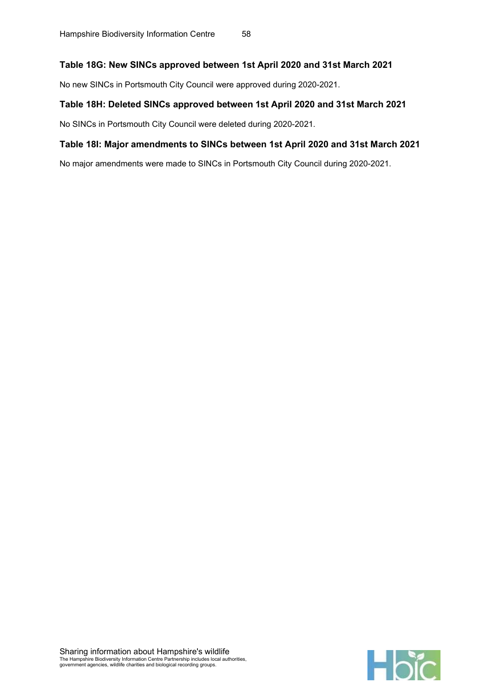#### Table 18G: New SINCs approved between 1st April 2020 and 31st March 2021

No new SINCs in Portsmouth City Council were approved during 2020-2021.

#### Table 18H: Deleted SINCs approved between 1st April 2020 and 31st March 2021

No SINCs in Portsmouth City Council were deleted during 2020-2021.

#### Table 18I: Major amendments to SINCs between 1st April 2020 and 31st March 2021

No major amendments were made to SINCs in Portsmouth City Council during 2020-2021.

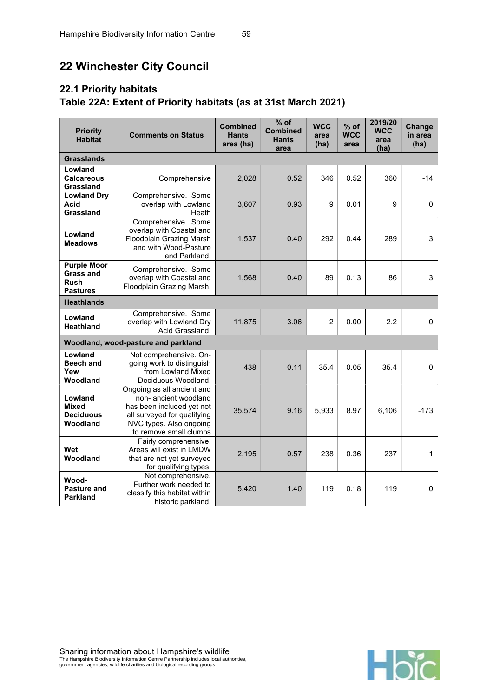# 22 Winchester City Council

# 22.1 Priority habitats Table 22A: Extent of Priority habitats (as at 31st March 2021)

| <b>Priority</b><br><b>Habitat</b>                                        | <b>Comments on Status</b>                                                                                                                                           | <b>Combined</b><br><b>Hants</b><br>area (ha) | $%$ of<br><b>Combined</b><br><b>Hants</b><br>area | <b>WCC</b><br>area<br>(ha) | $%$ of<br><b>WCC</b><br>area | 2019/20<br><b>WCC</b><br>area<br>(ha) | Change<br>in area<br>(ha) |
|--------------------------------------------------------------------------|---------------------------------------------------------------------------------------------------------------------------------------------------------------------|----------------------------------------------|---------------------------------------------------|----------------------------|------------------------------|---------------------------------------|---------------------------|
| <b>Grasslands</b>                                                        |                                                                                                                                                                     |                                              |                                                   |                            |                              |                                       |                           |
| Lowland<br><b>Calcareous</b><br>Grassland                                | Comprehensive                                                                                                                                                       | 2,028                                        | 0.52                                              | 346                        | 0.52                         | 360                                   | $-14$                     |
| <b>Lowland Dry</b><br><b>Acid</b><br>Grassland                           | Comprehensive. Some<br>overlap with Lowland<br>Heath                                                                                                                | 3,607                                        | 0.93                                              | 9                          | 0.01                         | 9                                     | $\mathbf 0$               |
| Lowland<br><b>Meadows</b>                                                | Comprehensive. Some<br>overlap with Coastal and<br><b>Floodplain Grazing Marsh</b><br>and with Wood-Pasture<br>and Parkland.                                        | 1,537                                        | 0.40                                              | 292                        | 0.44                         | 289                                   | 3                         |
| <b>Purple Moor</b><br><b>Grass and</b><br><b>Rush</b><br><b>Pastures</b> | Comprehensive. Some<br>overlap with Coastal and<br>Floodplain Grazing Marsh.                                                                                        | 1,568                                        | 0.40                                              | 89                         | 0.13                         | 86                                    | 3                         |
| <b>Heathlands</b>                                                        |                                                                                                                                                                     |                                              |                                                   |                            |                              |                                       |                           |
| Lowland<br>Heathland                                                     | Comprehensive. Some<br>overlap with Lowland Dry<br>Acid Grassland.                                                                                                  | 11,875                                       | 3.06                                              | $\overline{2}$             | 0.00                         | 2.2                                   | $\mathbf 0$               |
|                                                                          | Woodland, wood-pasture and parkland                                                                                                                                 |                                              |                                                   |                            |                              |                                       |                           |
| Lowland<br><b>Beech and</b><br>Yew<br>Woodland                           | Not comprehensive. On-<br>going work to distinguish<br>from Lowland Mixed<br>Deciduous Woodland.                                                                    | 438                                          | 0.11                                              | 35.4                       | 0.05                         | 35.4                                  | 0                         |
| Lowland<br><b>Mixed</b><br><b>Deciduous</b><br>Woodland                  | Ongoing as all ancient and<br>non-ancient woodland<br>has been included yet not<br>all surveyed for qualifying<br>NVC types. Also ongoing<br>to remove small clumps | 35,574                                       | 9.16                                              | 5,933                      | 8.97                         | 6,106                                 | $-173$                    |
| Wet<br>Woodland                                                          | Fairly comprehensive.<br>Areas will exist in LMDW<br>that are not yet surveyed<br>for qualifying types.                                                             | 2,195                                        | 0.57                                              | 238                        | 0.36                         | 237                                   | 1                         |
| Wood-<br><b>Pasture and</b><br><b>Parkland</b>                           | Not comprehensive.<br>Further work needed to<br>classify this habitat within<br>historic parkland.                                                                  | 5,420                                        | 1.40                                              | 119                        | 0.18                         | 119                                   | $\mathbf 0$               |

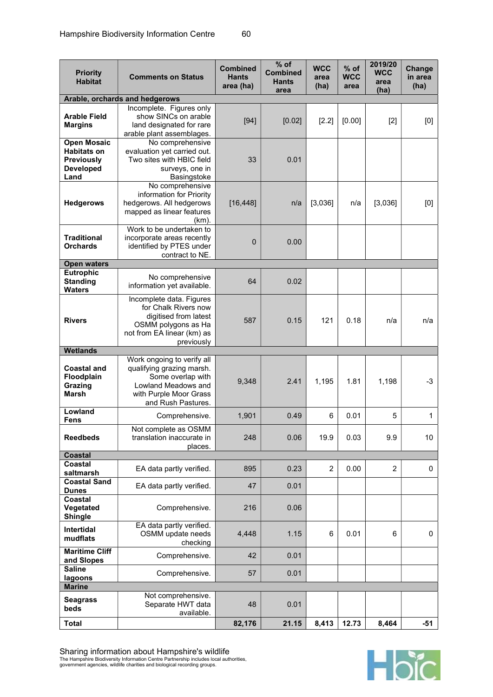| <b>Priority</b><br><b>Habitat</b>                                                         | <b>Comments on Status</b>                                                                                                                           | <b>Combined</b><br><b>Hants</b><br>area (ha) | % of<br><b>Combined</b><br><b>Hants</b><br>area | <b>WCC</b><br>area<br>(ha) | % of<br><b>WCC</b><br>area | 2019/20<br><b>WCC</b><br>area<br>(ha) | Change<br>in area<br>(ha) |
|-------------------------------------------------------------------------------------------|-----------------------------------------------------------------------------------------------------------------------------------------------------|----------------------------------------------|-------------------------------------------------|----------------------------|----------------------------|---------------------------------------|---------------------------|
|                                                                                           | Arable, orchards and hedgerows                                                                                                                      |                                              |                                                 |                            |                            |                                       |                           |
| <b>Arable Field</b><br><b>Margins</b>                                                     | Incomplete. Figures only<br>show SINCs on arable<br>land designated for rare<br>arable plant assemblages.                                           | $[94]$                                       | [0.02]                                          | [2.2]                      | [0.00]                     | $[2]$                                 | [0]                       |
| <b>Open Mosaic</b><br><b>Habitats on</b><br><b>Previously</b><br><b>Developed</b><br>Land | No comprehensive<br>evaluation yet carried out.<br>Two sites with HBIC field<br>surveys, one in<br>Basingstoke                                      | 33                                           | 0.01                                            |                            |                            |                                       |                           |
| <b>Hedgerows</b>                                                                          | No comprehensive<br>information for Priority<br>hedgerows. All hedgerows<br>mapped as linear features<br>$(km)$ .                                   | [16, 448]                                    | n/a                                             | [3,036]                    | n/a                        | [3,036]                               | [0]                       |
| <b>Traditional</b><br><b>Orchards</b>                                                     | Work to be undertaken to<br>incorporate areas recently<br>identified by PTES under<br>contract to NE.                                               | $\overline{0}$                               | 0.00                                            |                            |                            |                                       |                           |
| <b>Open waters</b>                                                                        |                                                                                                                                                     |                                              |                                                 |                            |                            |                                       |                           |
| <b>Eutrophic</b><br><b>Standing</b><br><b>Waters</b>                                      | No comprehensive<br>information yet available.                                                                                                      | 64                                           | 0.02                                            |                            |                            |                                       |                           |
| <b>Rivers</b>                                                                             | Incomplete data. Figures<br>for Chalk Rivers now<br>digitised from latest<br>OSMM polygons as Ha<br>not from EA linear (km) as<br>previously        | 587                                          | 0.15                                            | 121                        | 0.18                       | n/a                                   | n/a                       |
| <b>Wetlands</b>                                                                           |                                                                                                                                                     |                                              |                                                 |                            |                            |                                       |                           |
| <b>Coastal and</b><br>Floodplain<br>Grazing<br><b>Marsh</b>                               | Work ongoing to verify all<br>qualifying grazing marsh.<br>Some overlap with<br>Lowland Meadows and<br>with Purple Moor Grass<br>and Rush Pastures. | 9,348                                        | 2.41                                            | 1,195                      | 1.81                       | 1,198                                 | $-3$                      |
| Lowland                                                                                   | Comprehensive.                                                                                                                                      | 1,901                                        | 0.49                                            | 6                          | 0.01                       | 5                                     | 1                         |
| <b>Fens</b><br><b>Reedbeds</b>                                                            | Not complete as OSMM<br>translation inaccurate in<br>places.                                                                                        | 248                                          | 0.06                                            | 19.9                       | 0.03                       | 9.9                                   | 10                        |
| <b>Coastal</b>                                                                            |                                                                                                                                                     |                                              |                                                 |                            |                            |                                       |                           |
| Coastal<br>saltmarsh<br><b>Coastal Sand</b>                                               | EA data partly verified.                                                                                                                            | 895                                          | 0.23                                            | $\overline{2}$             | 0.00                       | $\overline{2}$                        | 0                         |
| <b>Dunes</b><br>Coastal                                                                   | EA data partly verified.                                                                                                                            | 47                                           | 0.01                                            |                            |                            |                                       |                           |
| Vegetated<br><b>Shingle</b>                                                               | Comprehensive.                                                                                                                                      | 216                                          | 0.06                                            |                            |                            |                                       |                           |
| <b>Intertidal</b><br>mudflats                                                             | EA data partly verified.<br>OSMM update needs<br>checking                                                                                           | 4,448                                        | 1.15                                            | 6                          | 0.01                       | 6                                     | 0                         |
| <b>Maritime Cliff</b><br>and Slopes                                                       | Comprehensive.                                                                                                                                      | 42                                           | 0.01                                            |                            |                            |                                       |                           |
| <b>Saline</b><br>lagoons                                                                  | Comprehensive.                                                                                                                                      | 57                                           | 0.01                                            |                            |                            |                                       |                           |
| <b>Marine</b>                                                                             |                                                                                                                                                     |                                              |                                                 |                            |                            |                                       |                           |
| <b>Seagrass</b><br>beds                                                                   | Not comprehensive.<br>Separate HWT data<br>available.                                                                                               | 48                                           | 0.01                                            |                            |                            |                                       |                           |
| <b>Total</b>                                                                              |                                                                                                                                                     | 82,176                                       | 21.15                                           | 8,413                      | 12.73                      | 8,464                                 | $-51$                     |

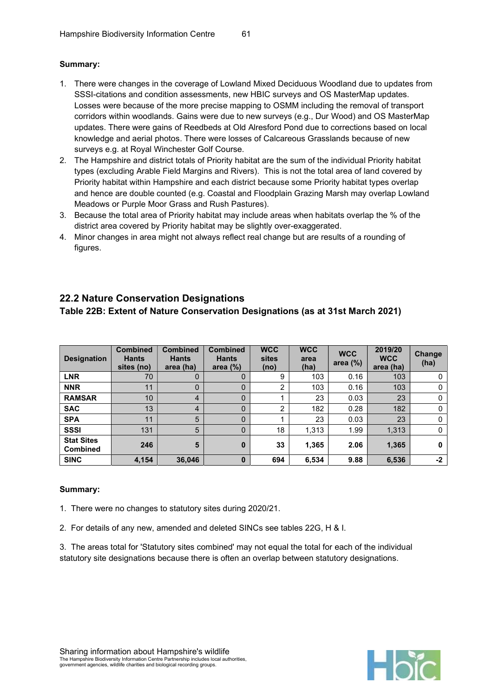#### Summary:

- 1. There were changes in the coverage of Lowland Mixed Deciduous Woodland due to updates from SSSI-citations and condition assessments, new HBIC surveys and OS MasterMap updates. Losses were because of the more precise mapping to OSMM including the removal of transport corridors within woodlands. Gains were due to new surveys (e.g., Dur Wood) and OS MasterMap updates. There were gains of Reedbeds at Old Alresford Pond due to corrections based on local knowledge and aerial photos. There were losses of Calcareous Grasslands because of new surveys e.g. at Royal Winchester Golf Course.
- 2. The Hampshire and district totals of Priority habitat are the sum of the individual Priority habitat types (excluding Arable Field Margins and Rivers). This is not the total area of land covered by Priority habitat within Hampshire and each district because some Priority habitat types overlap and hence are double counted (e.g. Coastal and Floodplain Grazing Marsh may overlap Lowland Meadows or Purple Moor Grass and Rush Pastures).
- 3. Because the total area of Priority habitat may include areas when habitats overlap the % of the district area covered by Priority habitat may be slightly over-exaggerated.
- 4. Minor changes in area might not always reflect real change but are results of a rounding of figures.

## 22.2 Nature Conservation Designations

Table 22B: Extent of Nature Conservation Designations (as at 31st March 2021)

| <b>Designation</b>                   | <b>Combined</b><br><b>Hants</b><br>sites (no) | <b>Combined</b><br><b>Hants</b><br>area (ha) | <b>Combined</b><br><b>Hants</b><br>area $(\%)$ | <b>WCC</b><br>sites<br>(no) | <b>WCC</b><br>area<br>(ha) | <b>WCC</b><br>area $(\%)$ | 2019/20<br><b>WCC</b><br>area (ha) | Change<br>(ha) |
|--------------------------------------|-----------------------------------------------|----------------------------------------------|------------------------------------------------|-----------------------------|----------------------------|---------------------------|------------------------------------|----------------|
| <b>LNR</b>                           | 70                                            | 0                                            | 0                                              | 9                           | 103                        | 0.16                      | 103                                | 0              |
| <b>NNR</b>                           | 11                                            | 0                                            | 0                                              | 2                           | 103                        | 0.16                      | 103                                | 0              |
| <b>RAMSAR</b>                        | 10                                            | 4                                            | $\overline{0}$                                 |                             | 23                         | 0.03                      | 23                                 | 0              |
| <b>SAC</b>                           | 13                                            | 4                                            | 0                                              | 2                           | 182                        | 0.28                      | 182                                | 0              |
| <b>SPA</b>                           | 11                                            | 5                                            | $\overline{0}$                                 |                             | 23                         | 0.03                      | 23                                 | 0              |
| <b>SSSI</b>                          | 131                                           | 5                                            | $\Omega$                                       | 18                          | 1,313                      | 1.99                      | 1,313                              | $\Omega$       |
| <b>Stat Sites</b><br><b>Combined</b> | 246                                           | 5                                            | 0                                              | 33                          | 1,365                      | 2.06                      | 1,365                              | 0              |
| <b>SINC</b>                          | 4,154                                         | 36,046                                       | 0                                              | 694                         | 6,534                      | 9.88                      | 6,536                              | $-2$           |

#### Summary:

1. There were no changes to statutory sites during 2020/21.

2. For details of any new, amended and deleted SINCs see tables 22G, H & I.

3. The areas total for 'Statutory sites combined' may not equal the total for each of the individual statutory site designations because there is often an overlap between statutory designations.

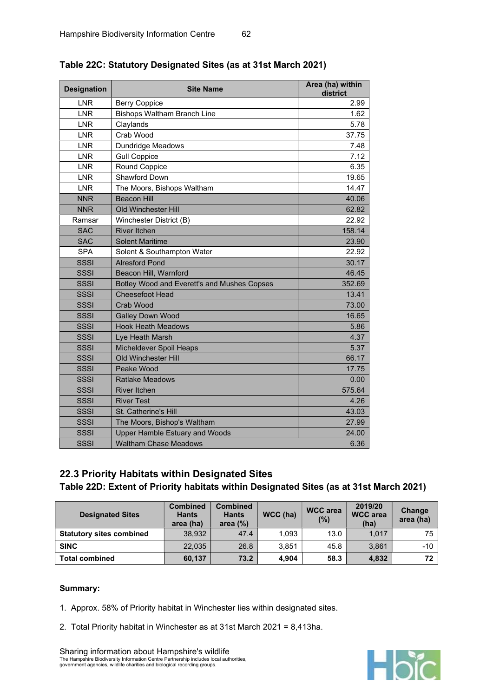| <b>Designation</b> | <b>Site Name</b>                            | Area (ha) within<br>district |
|--------------------|---------------------------------------------|------------------------------|
| <b>LNR</b>         | <b>Berry Coppice</b>                        | 2.99                         |
| <b>LNR</b>         | <b>Bishops Waltham Branch Line</b>          | 1.62                         |
| <b>LNR</b>         | Claylands                                   | 5.78                         |
| <b>LNR</b>         | Crab Wood                                   | 37.75                        |
| <b>LNR</b>         | <b>Dundridge Meadows</b>                    | 7.48                         |
| <b>LNR</b>         | <b>Gull Coppice</b>                         | 7.12                         |
| <b>LNR</b>         | Round Coppice                               | 6.35                         |
| <b>LNR</b>         | Shawford Down                               | 19.65                        |
| <b>LNR</b>         | The Moors, Bishops Waltham                  | 14.47                        |
| <b>NNR</b>         | <b>Beacon Hill</b>                          | 40.06                        |
| <b>NNR</b>         | Old Winchester Hill                         | 62.82                        |
| Ramsar             | Winchester District (B)                     | 22.92                        |
| <b>SAC</b>         | <b>River Itchen</b>                         | 158.14                       |
| <b>SAC</b>         | <b>Solent Maritime</b>                      | 23.90                        |
| <b>SPA</b>         | Solent & Southampton Water                  | 22.92                        |
| <b>SSSI</b>        | <b>Alresford Pond</b>                       | 30.17                        |
| <b>SSSI</b>        | Beacon Hill, Warnford                       | 46.45                        |
| <b>SSSI</b>        | Botley Wood and Everett's and Mushes Copses | 352.69                       |
| <b>SSSI</b>        | <b>Cheesefoot Head</b>                      | 13.41                        |
| SSSI               | Crab Wood                                   | 73.00                        |
| <b>SSSI</b>        | <b>Galley Down Wood</b>                     | 16.65                        |
| SSSI               | <b>Hook Heath Meadows</b>                   | 5.86                         |
| SSSI               | Lye Heath Marsh                             | 4.37                         |
| <b>SSSI</b>        | <b>Micheldever Spoil Heaps</b>              | 5.37                         |
| <b>SSSI</b>        | <b>Old Winchester Hill</b>                  | 66.17                        |
| <b>SSSI</b>        | Peake Wood                                  | 17.75                        |
| <b>SSSI</b>        | <b>Ratlake Meadows</b>                      | 0.00                         |
| <b>SSSI</b>        | <b>River Itchen</b>                         | 575.64                       |
| <b>SSSI</b>        | <b>River Test</b>                           | 4.26                         |
| SSSI               | St. Catherine's Hill                        | 43.03                        |
| <b>SSSI</b>        | The Moors, Bishop's Waltham                 | 27.99                        |
| <b>SSSI</b>        | <b>Upper Hamble Estuary and Woods</b>       | 24.00                        |
| <b>SSSI</b>        | <b>Waltham Chase Meadows</b>                | 6.36                         |

## Table 22C: Statutory Designated Sites (as at 31st March 2021)

## 22.3 Priority Habitats within Designated Sites

Table 22D: Extent of Priority habitats within Designated Sites (as at 31st March 2021)

| <b>Designated Sites</b>         | <b>Combined</b><br><b>Hants</b><br>area (ha) | <b>Combined</b><br><b>Hants</b><br>area $(%)$ | WCC (ha) | <b>WCC</b> area<br>(%) | 2019/20<br><b>WCC</b> area<br>(ha) | Change<br>area (ha) |
|---------------------------------|----------------------------------------------|-----------------------------------------------|----------|------------------------|------------------------------------|---------------------|
| <b>Statutory sites combined</b> | 38.932                                       | 47.4                                          | 1.093    | 13.0                   | 1.017                              | 75                  |
| <b>SINC</b>                     | 22,035                                       | 26.8                                          | 3.851    | 45.8                   | 3,861                              | $-10$               |
| <b>Total combined</b>           | 60,137                                       | 73.2                                          | 4.904    | 58.3                   | 4,832                              | 72                  |

#### Summary:

1. Approx. 58% of Priority habitat in Winchester lies within designated sites.

2. Total Priority habitat in Winchester as at 31st March 2021 = 8,413ha.

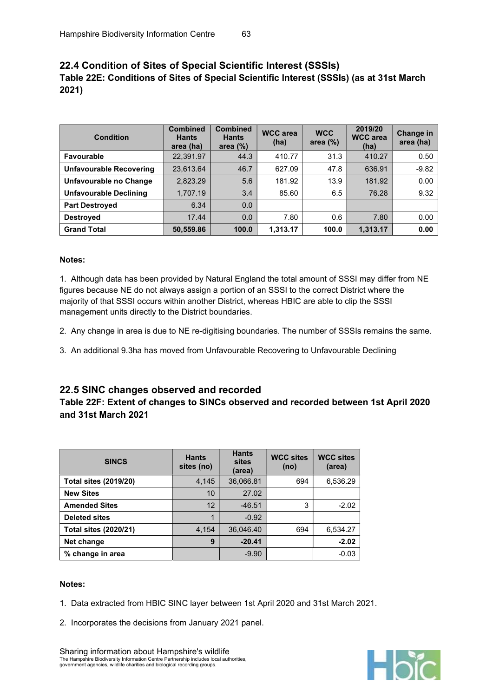## 22.4 Condition of Sites of Special Scientific Interest (SSSIs) Table 22E: Conditions of Sites of Special Scientific Interest (SSSIs) (as at 31st March 2021)

| <b>Condition</b>               | <b>Combined</b><br><b>Hants</b><br>area (ha) | <b>Combined</b><br><b>Hants</b><br>area $(\%)$ | <b>WCC</b> area<br>(ha) | <b>WCC</b><br>area $(\%)$ | 2019/20<br><b>WCC</b> area<br>(ha) | Change in<br>area (ha) |
|--------------------------------|----------------------------------------------|------------------------------------------------|-------------------------|---------------------------|------------------------------------|------------------------|
| Favourable                     | 22,391.97                                    | 44.3                                           | 410.77                  | 31.3                      | 410.27                             | 0.50                   |
| <b>Unfavourable Recovering</b> | 23,613.64                                    | 46.7                                           | 627.09                  | 47.8                      | 636.91                             | $-9.82$                |
| Unfavourable no Change         | 2,823.29                                     | 5.6                                            | 181.92                  | 13.9                      | 181.92                             | 0.00                   |
| <b>Unfavourable Declining</b>  | 1,707.19                                     | 3.4                                            | 85.60                   | 6.5                       | 76.28                              | 9.32                   |
| <b>Part Destroved</b>          | 6.34                                         | 0.0                                            |                         |                           |                                    |                        |
| <b>Destroyed</b>               | 17.44                                        | 0.0                                            | 7.80                    | 0.6                       | 7.80                               | 0.00                   |
| <b>Grand Total</b>             | 50,559.86                                    | 100.0                                          | 1,313.17                | 100.0                     | 1.313.17                           | 0.00                   |

#### Notes:

1. Although data has been provided by Natural England the total amount of SSSI may differ from NE figures because NE do not always assign a portion of an SSSI to the correct District where the majority of that SSSI occurs within another District, whereas HBIC are able to clip the SSSI management units directly to the District boundaries.

2. Any change in area is due to NE re-digitising boundaries. The number of SSSIs remains the same.

3. An additional 9.3ha has moved from Unfavourable Recovering to Unfavourable Declining

#### 22.5 SINC changes observed and recorded

#### Table 22F: Extent of changes to SINCs observed and recorded between 1st April 2020 and 31st March 2021

| <b>SINCS</b>                 | <b>Hants</b><br>sites (no) | <b>Hants</b><br>sites<br>(area) | <b>WCC sites</b><br>(no) | <b>WCC sites</b><br>(area) |
|------------------------------|----------------------------|---------------------------------|--------------------------|----------------------------|
| <b>Total sites (2019/20)</b> | 4,145                      | 36,066.81                       | 694                      | 6,536.29                   |
| <b>New Sites</b>             | 10                         | 27.02                           |                          |                            |
| <b>Amended Sites</b>         | 12                         | $-46.51$                        | 3                        | $-2.02$                    |
| <b>Deleted sites</b>         | 1                          | $-0.92$                         |                          |                            |
| <b>Total sites (2020/21)</b> | 4,154                      | 36,046.40                       | 694                      | 6,534.27                   |
| Net change                   | 9                          | $-20.41$                        |                          | $-2.02$                    |
| % change in area             |                            | $-9.90$                         |                          | $-0.03$                    |

#### Notes:

- 1. Data extracted from HBIC SINC layer between 1st April 2020 and 31st March 2021.
- 2. Incorporates the decisions from January 2021 panel.